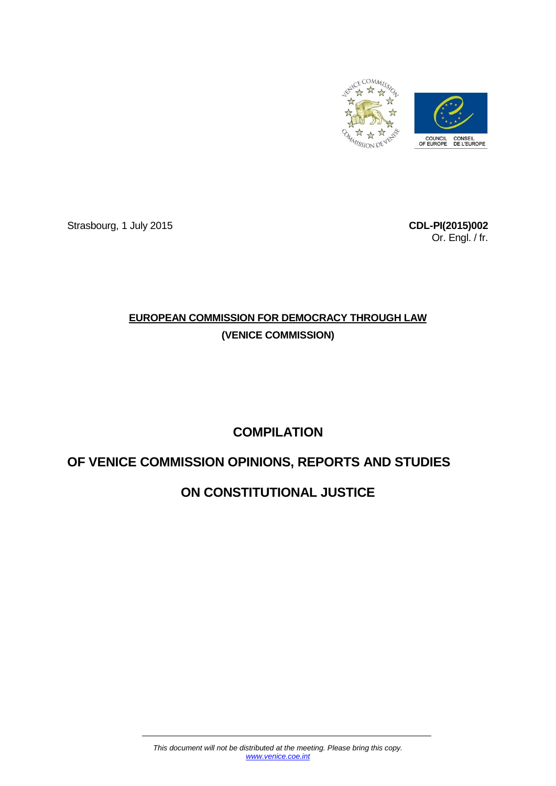

Strasbourg, 1 July 2015 **CDL-PI(2015)002**

Or. Engl. / fr.

# **EUROPEAN COMMISSION FOR DEMOCRACY THROUGH LAW (VENICE COMMISSION)**

# **COMPILATION**

# **OF VENICE COMMISSION OPINIONS, REPORTS AND STUDIES**

# **ON CONSTITUTIONAL JUSTICE**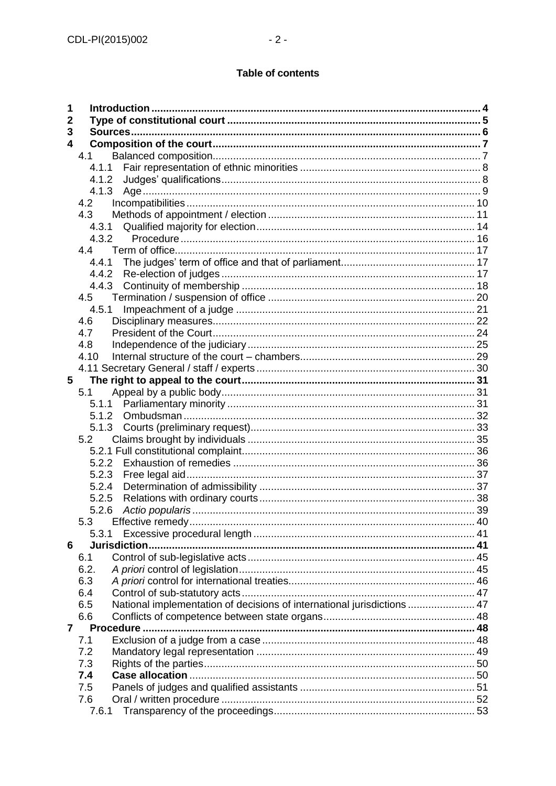# **Table of contents**

| 1               |                                                                                |  |  |  |  |  |
|-----------------|--------------------------------------------------------------------------------|--|--|--|--|--|
| 2               |                                                                                |  |  |  |  |  |
| 3               |                                                                                |  |  |  |  |  |
| 4               |                                                                                |  |  |  |  |  |
|                 | 4.1                                                                            |  |  |  |  |  |
|                 |                                                                                |  |  |  |  |  |
|                 | 4.1.2                                                                          |  |  |  |  |  |
|                 | 4.1.3                                                                          |  |  |  |  |  |
|                 | 4.2                                                                            |  |  |  |  |  |
|                 | 4.3                                                                            |  |  |  |  |  |
|                 |                                                                                |  |  |  |  |  |
|                 | 4.3.2                                                                          |  |  |  |  |  |
|                 |                                                                                |  |  |  |  |  |
|                 | 4.4.1                                                                          |  |  |  |  |  |
|                 | 4.4.2                                                                          |  |  |  |  |  |
|                 |                                                                                |  |  |  |  |  |
|                 | 4.5                                                                            |  |  |  |  |  |
|                 | 4.5.1                                                                          |  |  |  |  |  |
|                 | 4.6                                                                            |  |  |  |  |  |
|                 | 4.7                                                                            |  |  |  |  |  |
|                 | 4.8                                                                            |  |  |  |  |  |
|                 | 4.10                                                                           |  |  |  |  |  |
|                 |                                                                                |  |  |  |  |  |
| $5\phantom{.0}$ |                                                                                |  |  |  |  |  |
|                 | 5.1                                                                            |  |  |  |  |  |
|                 | 5.1.1                                                                          |  |  |  |  |  |
|                 | 5.1.2                                                                          |  |  |  |  |  |
|                 | 5.1.3                                                                          |  |  |  |  |  |
|                 | 5.2                                                                            |  |  |  |  |  |
|                 |                                                                                |  |  |  |  |  |
|                 |                                                                                |  |  |  |  |  |
|                 | 5.2.3                                                                          |  |  |  |  |  |
|                 | 5.2.4                                                                          |  |  |  |  |  |
|                 | 5.2.5                                                                          |  |  |  |  |  |
|                 | 5.2.6                                                                          |  |  |  |  |  |
|                 | 5.3                                                                            |  |  |  |  |  |
|                 | 5.3.1                                                                          |  |  |  |  |  |
| 6               | Jurisdiction.<br>6.1                                                           |  |  |  |  |  |
|                 | 6.2.                                                                           |  |  |  |  |  |
|                 | 6.3                                                                            |  |  |  |  |  |
|                 | 6.4                                                                            |  |  |  |  |  |
|                 | National implementation of decisions of international jurisdictions  47<br>6.5 |  |  |  |  |  |
|                 | 6.6                                                                            |  |  |  |  |  |
| $\overline{7}$  | Procedure                                                                      |  |  |  |  |  |
|                 | 7.1                                                                            |  |  |  |  |  |
|                 | 7.2                                                                            |  |  |  |  |  |
|                 | 7.3                                                                            |  |  |  |  |  |
|                 | 7.4                                                                            |  |  |  |  |  |
|                 | 7.5                                                                            |  |  |  |  |  |
|                 | 7.6                                                                            |  |  |  |  |  |
|                 | 7.6.1                                                                          |  |  |  |  |  |
|                 |                                                                                |  |  |  |  |  |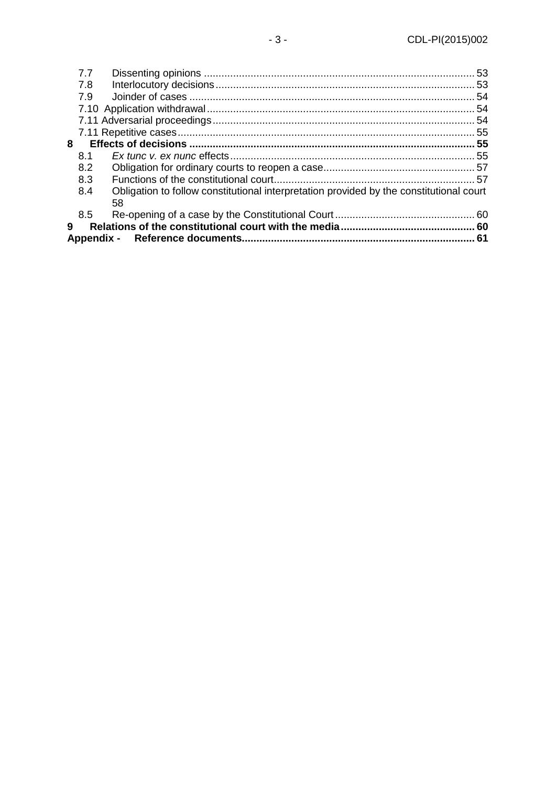|   | 7.7 |                                                                                         |  |  |  |  |
|---|-----|-----------------------------------------------------------------------------------------|--|--|--|--|
|   | 7.8 |                                                                                         |  |  |  |  |
|   | 7.9 |                                                                                         |  |  |  |  |
|   |     |                                                                                         |  |  |  |  |
|   |     |                                                                                         |  |  |  |  |
|   |     |                                                                                         |  |  |  |  |
| 8 |     |                                                                                         |  |  |  |  |
|   | 8.1 |                                                                                         |  |  |  |  |
|   | 8.2 |                                                                                         |  |  |  |  |
|   | 8.3 |                                                                                         |  |  |  |  |
|   | 8.4 | Obligation to follow constitutional interpretation provided by the constitutional court |  |  |  |  |
|   |     | 58                                                                                      |  |  |  |  |
|   | 8.5 |                                                                                         |  |  |  |  |
| 9 |     |                                                                                         |  |  |  |  |
|   |     |                                                                                         |  |  |  |  |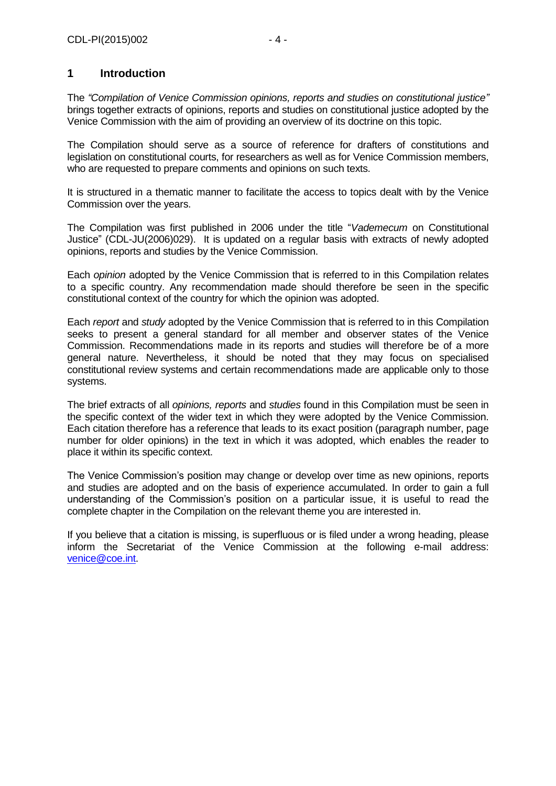# <span id="page-3-0"></span>**1 Introduction**

The *"Compilation of Venice Commission opinions, reports and studies on constitutional justice"* brings together extracts of opinions, reports and studies on constitutional justice adopted by the Venice Commission with the aim of providing an overview of its doctrine on this topic.

The Compilation should serve as a source of reference for drafters of constitutions and legislation on constitutional courts, for researchers as well as for Venice Commission members, who are requested to prepare comments and opinions on such texts.

It is structured in a thematic manner to facilitate the access to topics dealt with by the Venice Commission over the years.

The Compilation was first published in 2006 under the title "*Vademecum* on Constitutional Justice" (CDL-JU(2006)029). It is updated on a regular basis with extracts of newly adopted opinions, reports and studies by the Venice Commission.

Each *opinion* adopted by the Venice Commission that is referred to in this Compilation relates to a specific country. Any recommendation made should therefore be seen in the specific constitutional context of the country for which the opinion was adopted.

Each *report* and *study* adopted by the Venice Commission that is referred to in this Compilation seeks to present a general standard for all member and observer states of the Venice Commission. Recommendations made in its reports and studies will therefore be of a more general nature. Nevertheless, it should be noted that they may focus on specialised constitutional review systems and certain recommendations made are applicable only to those systems.

The brief extracts of all *opinions, reports* and *studies* found in this Compilation must be seen in the specific context of the wider text in which they were adopted by the Venice Commission. Each citation therefore has a reference that leads to its exact position (paragraph number, page number for older opinions) in the text in which it was adopted, which enables the reader to place it within its specific context.

The Venice Commission's position may change or develop over time as new opinions, reports and studies are adopted and on the basis of experience accumulated. In order to gain a full understanding of the Commission's position on a particular issue, it is useful to read the complete chapter in the Compilation on the relevant theme you are interested in.

If you believe that a citation is missing, is superfluous or is filed under a wrong heading, please inform the Secretariat of the Venice Commission at the following e-mail address: [venice@coe.int.](mailto:venice@coe.int)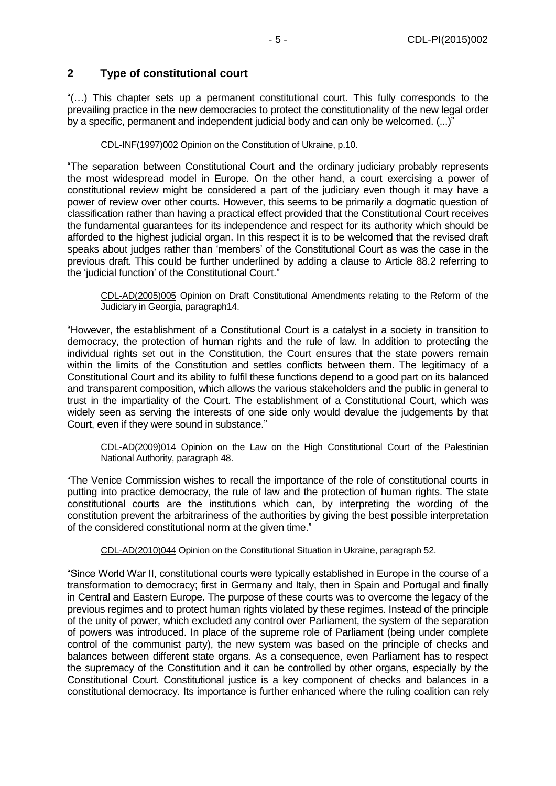# <span id="page-4-0"></span>**2 Type of constitutional court**

"(…) This chapter sets up a permanent constitutional court. This fully corresponds to the prevailing practice in the new democracies to protect the constitutionality of the new legal order by a specific, permanent and independent judicial body and can only be welcomed. (...)"

[CDL-INF\(1997\)002](file:///C:/Users/gerwien/AppData/Local/Microsoft/Windows/Temporary%20Internet%20Files/docs/1997/CDL-INF(1997)002-e.asp) Opinion on the Constitution of Ukraine, p.10.

"The separation between Constitutional Court and the ordinary judiciary probably represents the most widespread model in Europe. On the other hand, a court exercising a power of constitutional review might be considered a part of the judiciary even though it may have a power of review over other courts. However, this seems to be primarily a dogmatic question of classification rather than having a practical effect provided that the Constitutional Court receives the fundamental guarantees for its independence and respect for its authority which should be afforded to the highest judicial organ. In this respect it is to be welcomed that the revised draft speaks about judges rather than 'members' of the Constitutional Court as was the case in the previous draft. This could be further underlined by adding a clause to Article 88.2 referring to the 'judicial function' of the Constitutional Court."

[CDL-AD\(2005\)005](file:///C:/Users/gerwien/AppData/Local/Microsoft/Windows/Temporary%20Internet%20Files/docs/2005/CDL-AD(2005)005-e.asp) Opinion on Draft Constitutional Amendments relating to the Reform of the Judiciary in Georgia, paragraph14.

"However, the establishment of a Constitutional Court is a catalyst in a society in transition to democracy, the protection of human rights and the rule of law. In addition to protecting the individual rights set out in the Constitution, the Court ensures that the state powers remain within the limits of the Constitution and settles conflicts between them. The legitimacy of a Constitutional Court and its ability to fulfil these functions depend to a good part on its balanced and transparent composition, which allows the various stakeholders and the public in general to trust in the impartiality of the Court. The establishment of a Constitutional Court, which was widely seen as serving the interests of one side only would devalue the judgements by that Court, even if they were sound in substance."

[CDL-AD\(2009\)014](http://www.venice.coe.int/docs/2009/CDL-AD(2009)014-f.pdf) Opinion on the Law on the High Constitutional Court of the Palestinian National Authority, paragraph 48.

"The Venice Commission wishes to recall the importance of the role of constitutional courts in putting into practice democracy, the rule of law and the protection of human rights. The state constitutional courts are the institutions which can, by interpreting the wording of the constitution prevent the arbitrariness of the authorities by giving the best possible interpretation of the considered constitutional norm at the given time."

CDL-AD(2010)044 Opinion on the Constitutional Situation in Ukraine, paragraph 52.

"Since World War II, constitutional courts were typically established in Europe in the course of a transformation to democracy; first in Germany and Italy, then in Spain and Portugal and finally in Central and Eastern Europe. The purpose of these courts was to overcome the legacy of the previous regimes and to protect human rights violated by these regimes. Instead of the principle of the unity of power, which excluded any control over Parliament, the system of the separation of powers was introduced. In place of the supreme role of Parliament (being under complete control of the communist party), the new system was based on the principle of checks and balances between different state organs. As a consequence, even Parliament has to respect the supremacy of the Constitution and it can be controlled by other organs, especially by the Constitutional Court. Constitutional justice is a key component of checks and balances in a constitutional democracy. Its importance is further enhanced where the ruling coalition can rely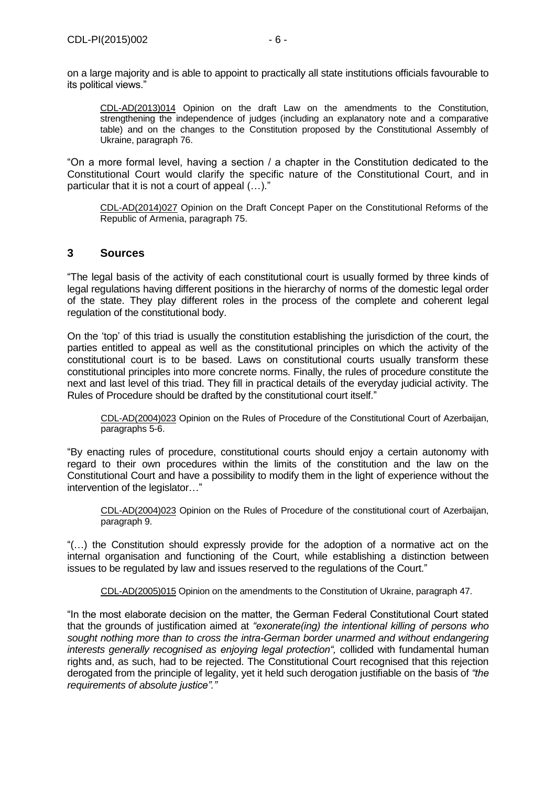on a large majority and is able to appoint to practically all state institutions officials favourable to its political views."

CDL-AD(2013)014 Opinion on the draft Law on the amendments to the Constitution, strengthening the independence of judges (including an explanatory note and a comparative table) and on the changes to the Constitution proposed by the Constitutional Assembly of Ukraine, paragraph 76.

"On a more formal level, having a section / a chapter in the Constitution dedicated to the Constitutional Court would clarify the specific nature of the Constitutional Court, and in particular that it is not a court of appeal (…)."

CDL-AD(2014)027 Opinion on the Draft Concept Paper on the Constitutional Reforms of the Republic of Armenia, paragraph 75.

# <span id="page-5-0"></span>**3 Sources**

"The legal basis of the activity of each constitutional court is usually formed by three kinds of legal regulations having different positions in the hierarchy of norms of the domestic legal order of the state. They play different roles in the process of the complete and coherent legal regulation of the constitutional body.

On the 'top' of this triad is usually the constitution establishing the jurisdiction of the court, the parties entitled to appeal as well as the constitutional principles on which the activity of the constitutional court is to be based. Laws on constitutional courts usually transform these constitutional principles into more concrete norms. Finally, the rules of procedure constitute the next and last level of this triad. They fill in practical details of the everyday judicial activity. The Rules of Procedure should be drafted by the constitutional court itself."

[CDL-AD\(2004\)023](http://www.venice.coe.int/docs/2004/CDL-AD(2004)023-E.pdf) Opinion on the Rules of Procedure of the Constitutional Court of Azerbaijan, paragraphs 5-6.

"By enacting rules of procedure, constitutional courts should enjoy a certain autonomy with regard to their own procedures within the limits of the constitution and the law on the Constitutional Court and have a possibility to modify them in the light of experience without the intervention of the legislator..."

[CDL-AD\(2004\)023](http://www.venice.coe.int/docs/2004/CDL-AD(2004)023-E.pdf) Opinion on the Rules of Procedure of the constitutional court of Azerbaijan, paragraph 9.

"(…) the Constitution should expressly provide for the adoption of a normative act on the internal organisation and functioning of the Court, while establishing a distinction between issues to be regulated by law and issues reserved to the regulations of the Court."

[CDL-AD\(2005\)015](file:///C:/Users/gerwien/AppData/Local/Microsoft/Windows/Temporary%20Internet%20Files/docs/2005/CDL-AD(2005)015-e.asp) Opinion on the amendments to the Constitution of Ukraine, paragraph 47.

"In the most elaborate decision on the matter, the German Federal Constitutional Court stated that the grounds of justification aimed at *"exonerate(ing) the intentional killing of persons who sought nothing more than to cross the intra-German border unarmed and without endangering interests generally recognised as enjoying legal protection",* collided with fundamental human rights and, as such, had to be rejected. The Constitutional Court recognised that this rejection derogated from the principle of legality, yet it held such derogation justifiable on the basis of *"the requirements of absolute justice"."*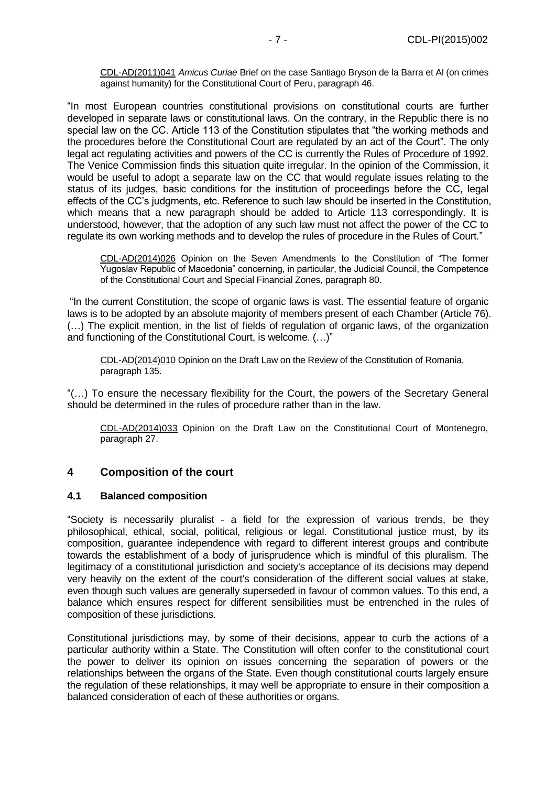CDL-AD(2011)041 *Amicus Curiae* Brief on the case Santiago Bryson de la Barra et Al (on crimes against humanity) for the Constitutional Court of Peru, paragraph 46.

"In most European countries constitutional provisions on constitutional courts are further developed in separate laws or constitutional laws. On the contrary, in the Republic there is no special law on the CC. Article 113 of the Constitution stipulates that "the working methods and the procedures before the Constitutional Court are regulated by an act of the Court". The only legal act regulating activities and powers of the CC is currently the Rules of Procedure of 1992. The Venice Commission finds this situation quite irregular. In the opinion of the Commission, it would be useful to adopt a separate law on the CC that would regulate issues relating to the status of its judges, basic conditions for the institution of proceedings before the CC, legal effects of the CC's judgments, etc. Reference to such law should be inserted in the Constitution, which means that a new paragraph should be added to Article 113 correspondingly. It is understood, however, that the adoption of any such law must not affect the power of the CC to regulate its own working methods and to develop the rules of procedure in the Rules of Court."

CDL-AD(2014)026 Opinion on the Seven Amendments to the Constitution of "The former Yugoslav Republic of Macedonia" concerning, in particular, the Judicial Council, the Competence of the Constitutional Court and Special Financial Zones, paragraph 80.

"In the current Constitution, the scope of organic laws is vast. The essential feature of organic laws is to be adopted by an absolute majority of members present of each Chamber (Article 76). (…) The explicit mention, in the list of fields of regulation of organic laws, of the organization and functioning of the Constitutional Court, is welcome. (…)"

CDL-AD(2014)010 Opinion on the Draft Law on the Review of the Constitution of Romania, paragraph 135.

"(…) To ensure the necessary flexibility for the Court, the powers of the Secretary General should be determined in the rules of procedure rather than in the law.

CDL-AD(2014)033 Opinion on the Draft Law on the Constitutional Court of Montenegro, paragraph 27.

# <span id="page-6-0"></span>**4 Composition of the court**

#### <span id="page-6-1"></span>**4.1 Balanced composition**

"Society is necessarily pluralist - a field for the expression of various trends, be they philosophical, ethical, social, political, religious or legal. Constitutional justice must, by its composition, guarantee independence with regard to different interest groups and contribute towards the establishment of a body of jurisprudence which is mindful of this pluralism. The legitimacy of a constitutional jurisdiction and society's acceptance of its decisions may depend very heavily on the extent of the court's consideration of the different social values at stake, even though such values are generally superseded in favour of common values. To this end, a balance which ensures respect for different sensibilities must be entrenched in the rules of composition of these jurisdictions.

Constitutional jurisdictions may, by some of their decisions, appear to curb the actions of a particular authority within a State. The Constitution will often confer to the constitutional court the power to deliver its opinion on issues concerning the separation of powers or the relationships between the organs of the State. Even though constitutional courts largely ensure the regulation of these relationships, it may well be appropriate to ensure in their composition a balanced consideration of each of these authorities or organs.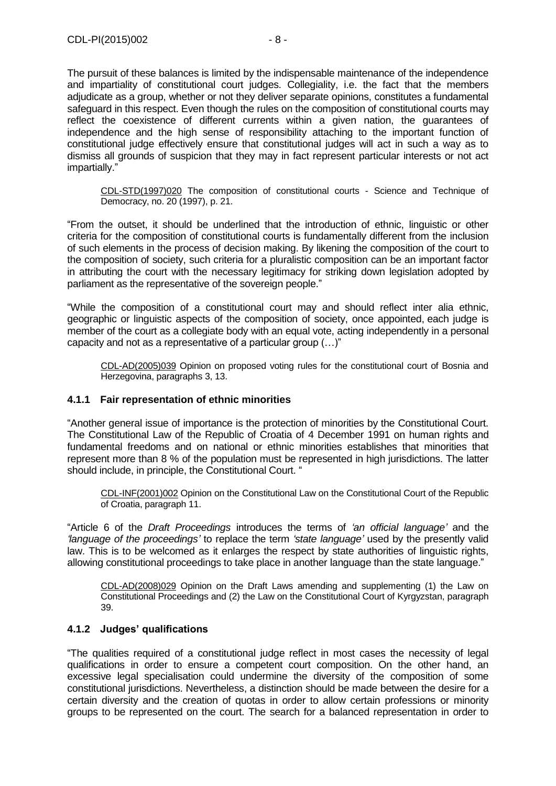The pursuit of these balances is limited by the indispensable maintenance of the independence and impartiality of constitutional court judges. Collegiality, i.e. the fact that the members adjudicate as a group, whether or not they deliver separate opinions, constitutes a fundamental safeguard in this respect. Even though the rules on the composition of constitutional courts may reflect the coexistence of different currents within a given nation, the guarantees of independence and the high sense of responsibility attaching to the important function of constitutional judge effectively ensure that constitutional judges will act in such a way as to dismiss all grounds of suspicion that they may in fact represent particular interests or not act impartially."

[CDL-STD\(1997\)020](file:///C:/Users/gerwien/AppData/Local/Microsoft/Windows/Temporary%20Internet%20Files/docs/1997/CDL-STD(1997)020-e.asp) The composition of constitutional courts - Science and Technique of Democracy, no. 20 (1997), p. 21.

"From the outset, it should be underlined that the introduction of ethnic, linguistic or other criteria for the composition of constitutional courts is fundamentally different from the inclusion of such elements in the process of decision making. By likening the composition of the court to the composition of society, such criteria for a pluralistic composition can be an important factor in attributing the court with the necessary legitimacy for striking down legislation adopted by parliament as the representative of the sovereign people."

"While the composition of a constitutional court may and should reflect inter alia ethnic, geographic or linguistic aspects of the composition of society, once appointed, each judge is member of the court as a collegiate body with an equal vote, acting independently in a personal capacity and not as a representative of a particular group (…)"

[CDL-AD\(2005\)039](file:///C:/Users/gerwien/AppData/Local/Microsoft/Windows/Temporary%20Internet%20Files/docs/2005/CDL-AD(2005)039-e.asp) Opinion on proposed voting rules for the constitutional court of Bosnia and Herzegovina, paragraphs 3, 13.

## <span id="page-7-0"></span>**4.1.1 Fair representation of ethnic minorities**

"Another general issue of importance is the protection of minorities by the Constitutional Court. The Constitutional Law of the Republic of Croatia of 4 December 1991 on human rights and fundamental freedoms and on national or ethnic minorities establishes that minorities that represent more than 8 % of the population must be represented in high jurisdictions. The latter should include, in principle, the Constitutional Court. "

[CDL-INF\(2001\)002](file:///C:/Users/gerwien/AppData/Local/Microsoft/Windows/Temporary%20Internet%20Files/docs/2001/CDL-INF(2001)002-e.asp) Opinion on the Constitutional Law on the Constitutional Court of the Republic of Croatia, paragraph 11.

"Article 6 of the *Draft Proceedings* introduces the terms of *'an official language'* and the *'language of the proceedings'* to replace the term *'state language'* used by the presently valid law. This is to be welcomed as it enlarges the respect by state authorities of linguistic rights, allowing constitutional proceedings to take place in another language than the state language."

[CDL-AD\(2008\)029](http://www.venice.coe.int/docs/2008/CDL-AD(2008)029-E.pdf) Opinion on the Draft Laws amending and supplementing (1) the Law on Constitutional Proceedings and (2) the Law on the Constitutional Court of Kyrgyzstan, paragraph 39.

#### <span id="page-7-1"></span>**4.1.2 Judges' qualifications**

"The qualities required of a constitutional judge reflect in most cases the necessity of legal qualifications in order to ensure a competent court composition. On the other hand, an excessive legal specialisation could undermine the diversity of the composition of some constitutional jurisdictions. Nevertheless, a distinction should be made between the desire for a certain diversity and the creation of quotas in order to allow certain professions or minority groups to be represented on the court. The search for a balanced representation in order to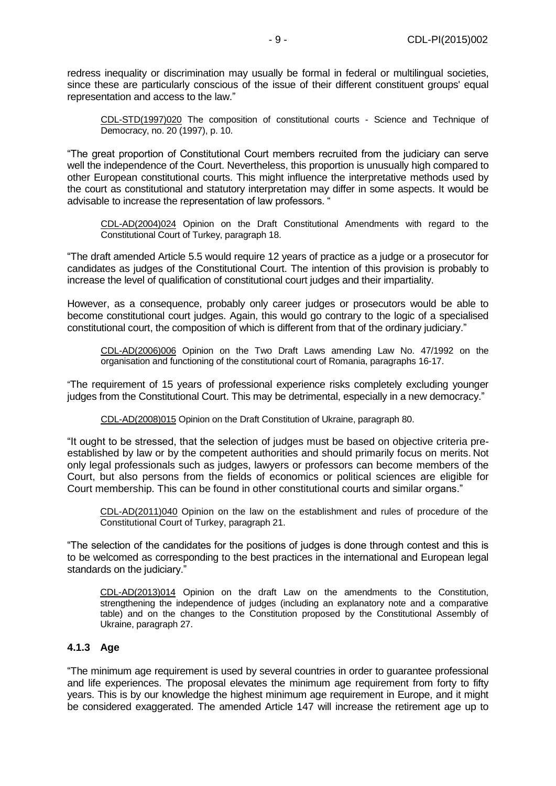redress inequality or discrimination may usually be formal in federal or multilingual societies, since these are particularly conscious of the issue of their different constituent groups' equal representation and access to the law."

[CDL-STD\(1997\)020](file:///C:/Users/gerwien/AppData/Local/Microsoft/Windows/Temporary%20Internet%20Files/docs/1997/CDL-STD(1997)020-e.asp) The composition of constitutional courts - Science and Technique of Democracy, no. 20 (1997), p. 10.

"The great proportion of Constitutional Court members recruited from the judiciary can serve well the independence of the Court. Nevertheless, this proportion is unusually high compared to other European constitutional courts. This might influence the interpretative methods used by the court as constitutional and statutory interpretation may differ in some aspects. It would be advisable to increase the representation of law professors. "

[CDL-AD\(2004\)024](file:///C:/Users/gerwien/AppData/Local/Microsoft/Windows/Temporary%20Internet%20Files/docs/2004/CDL-AD(2004)024-e.asp) Opinion on the Draft Constitutional Amendments with regard to the Constitutional Court of Turkey, paragraph 18.

"The draft amended Article 5.5 would require 12 years of practice as a judge or a prosecutor for candidates as judges of the Constitutional Court. The intention of this provision is probably to increase the level of qualification of constitutional court judges and their impartiality.

However, as a consequence, probably only career judges or prosecutors would be able to become constitutional court judges. Again, this would go contrary to the logic of a specialised constitutional court, the composition of which is different from that of the ordinary judiciary."

[CDL-AD\(2006\)006](file:///C:/Users/gerwien/AppData/Local/Microsoft/Windows/Temporary%20Internet%20Files/docs/2006/CDL-AD(2006)006-e.asp) Opinion on the Two Draft Laws amending Law No. 47/1992 on the organisation and functioning of the constitutional court of Romania, paragraphs 16-17.

"The requirement of 15 years of professional experience risks completely excluding younger judges from the Constitutional Court. This may be detrimental, especially in a new democracy."

[CDL-AD\(2008\)015](http://www.venice.coe.int/docs/2008/CDL-AD(2008)015-E.pdf) Opinion on the Draft Constitution of Ukraine, paragraph 80.

"It ought to be stressed, that the selection of judges must be based on objective criteria preestablished by law or by the competent authorities and should primarily focus on merits. Not only legal professionals such as judges, lawyers or professors can become members of the Court, but also persons from the fields of economics or political sciences are eligible for Court membership. This can be found in other constitutional courts and similar organs."

CDL-AD(2011)040 Opinion on the law on the establishment and rules of procedure of the Constitutional Court of Turkey, paragraph 21.

"The selection of the candidates for the positions of judges is done through contest and this is to be welcomed as corresponding to the best practices in the international and European legal standards on the judiciary."

CDL-AD(2013)014 Opinion on the draft Law on the amendments to the Constitution, strengthening the independence of judges (including an explanatory note and a comparative table) and on the changes to the Constitution proposed by the Constitutional Assembly of Ukraine, paragraph 27.

## <span id="page-8-0"></span>**4.1.3 Age**

"The minimum age requirement is used by several countries in order to guarantee professional and life experiences. The proposal elevates the minimum age requirement from forty to fifty years. This is by our knowledge the highest minimum age requirement in Europe, and it might be considered exaggerated. The amended Article 147 will increase the retirement age up to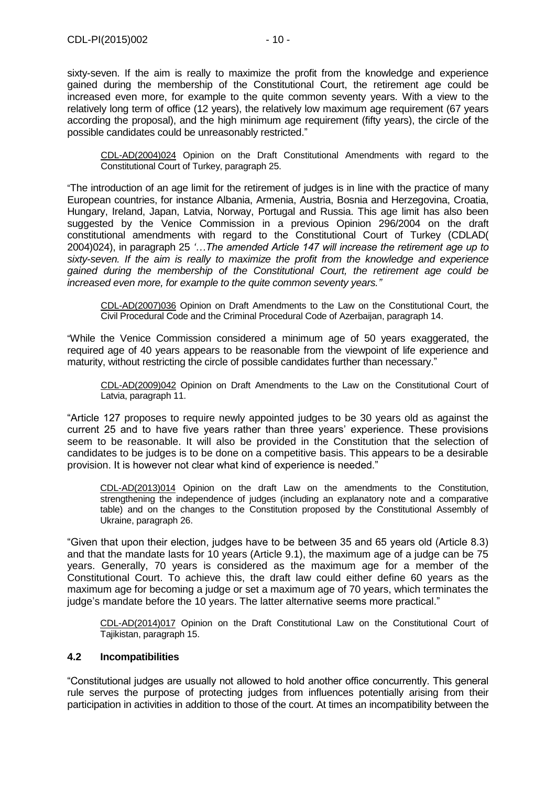sixty-seven. If the aim is really to maximize the profit from the knowledge and experience gained during the membership of the Constitutional Court, the retirement age could be increased even more, for example to the quite common seventy years. With a view to the relatively long term of office (12 years), the relatively low maximum age requirement (67 years according the proposal), and the high minimum age requirement (fifty years), the circle of the possible candidates could be unreasonably restricted."

[CDL-AD\(2004\)024](file:///C:/Users/gerwien/AppData/Local/Microsoft/Windows/Temporary%20Internet%20Files/docs/2004/CDL-AD(2004)024-e.asp) Opinion on the Draft Constitutional Amendments with regard to the Constitutional Court of Turkey, paragraph 25.

"The introduction of an age limit for the retirement of judges is in line with the practice of many European countries, for instance Albania, Armenia, Austria, Bosnia and Herzegovina, Croatia, Hungary, Ireland, Japan, Latvia, Norway, Portugal and Russia. This age limit has also been suggested by the Venice Commission in a previous Opinion 296/2004 on the draft constitutional amendments with regard to the Constitutional Court of Turkey (CDLAD( 2004)024), in paragraph 25 *'…The amended Article 147 will increase the retirement age up to sixty-seven. If the aim is really to maximize the profit from the knowledge and experience gained during the membership of the Constitutional Court, the retirement age could be increased even more, for example to the quite common seventy years."*

[CDL-AD\(2007\)036](http://www.venice.coe.int/docs/2007/CDL-AD(2007)036-E.pdf) Opinion on Draft Amendments to the Law on the Constitutional Court, the Civil Procedural Code and the Criminal Procedural Code of Azerbaijan, paragraph 14.

"While the Venice Commission considered a minimum age of 50 years exaggerated, the required age of 40 years appears to be reasonable from the viewpoint of life experience and maturity, without restricting the circle of possible candidates further than necessary."

[CDL-AD\(2009\)042](http://www.venice.coe.int/docs/2009/CDL-AD(2009)042-E.pdf) Opinion on Draft Amendments to the Law on the Constitutional Court of Latvia, paragraph 11.

"Article 127 proposes to require newly appointed judges to be 30 years old as against the current 25 and to have five years rather than three years' experience. These provisions seem to be reasonable. It will also be provided in the Constitution that the selection of candidates to be judges is to be done on a competitive basis. This appears to be a desirable provision. It is however not clear what kind of experience is needed."

CDL-AD(2013)014 Opinion on the draft Law on the amendments to the Constitution, strengthening the independence of judges (including an explanatory note and a comparative table) and on the changes to the Constitution proposed by the Constitutional Assembly of Ukraine, paragraph 26.

"Given that upon their election, judges have to be between 35 and 65 years old (Article 8.3) and that the mandate lasts for 10 years (Article 9.1), the maximum age of a judge can be 75 years. Generally, 70 years is considered as the maximum age for a member of the Constitutional Court. To achieve this, the draft law could either define 60 years as the maximum age for becoming a judge or set a maximum age of 70 years, which terminates the judge's mandate before the 10 years. The latter alternative seems more practical."

CDL-AD(2014)017 Opinion on the Draft Constitutional Law on the Constitutional Court of Tajikistan, paragraph 15.

## <span id="page-9-0"></span>**4.2 Incompatibilities**

"Constitutional judges are usually not allowed to hold another office concurrently. This general rule serves the purpose of protecting judges from influences potentially arising from their participation in activities in addition to those of the court. At times an incompatibility between the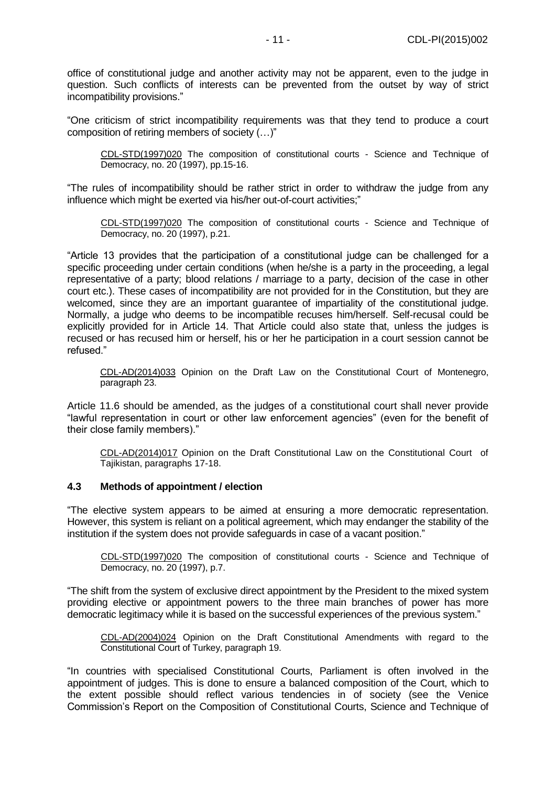office of constitutional judge and another activity may not be apparent, even to the judge in question. Such conflicts of interests can be prevented from the outset by way of strict incompatibility provisions."

"One criticism of strict incompatibility requirements was that they tend to produce a court composition of retiring members of society (…)"

[CDL-STD\(1997\)020](file:///C:/Users/gerwien/AppData/Local/Microsoft/Windows/Temporary%20Internet%20Files/docs/1997/CDL-STD(1997)020-e.asp) The composition of constitutional courts - Science and Technique of Democracy, no. 20 (1997), pp.15-16.

"The rules of incompatibility should be rather strict in order to withdraw the judge from any influence which might be exerted via his/her out-of-court activities:"

[CDL-STD\(1997\)020](file:///C:/Users/gerwien/AppData/Local/Microsoft/Windows/Temporary%20Internet%20Files/docs/1997/CDL-STD(1997)020-e.asp) The composition of constitutional courts - Science and Technique of Democracy, no. 20 (1997), p.21.

"Article 13 provides that the participation of a constitutional judge can be challenged for a specific proceeding under certain conditions (when he/she is a party in the proceeding, a legal representative of a party; blood relations / marriage to a party, decision of the case in other court etc.). These cases of incompatibility are not provided for in the Constitution, but they are welcomed, since they are an important guarantee of impartiality of the constitutional judge. Normally, a judge who deems to be incompatible recuses him/herself. Self-recusal could be explicitly provided for in Article 14. That Article could also state that, unless the judges is recused or has recused him or herself, his or her he participation in a court session cannot be refused."

CDL-AD(2014)033 Opinion on the Draft Law on the Constitutional Court of Montenegro, paragraph 23.

Article 11.6 should be amended, as the judges of a constitutional court shall never provide "lawful representation in court or other law enforcement agencies" (even for the benefit of their close family members)."

CDL-AD(2014)017 Opinion on the Draft Constitutional Law on the Constitutional Court of Tajikistan, paragraphs 17-18.

#### <span id="page-10-0"></span>**4.3 Methods of appointment / election**

"The elective system appears to be aimed at ensuring a more democratic representation. However, this system is reliant on a political agreement, which may endanger the stability of the institution if the system does not provide safeguards in case of a vacant position."

[CDL-STD\(1997\)020](http://www.venice.coe.int/docs/1997/CDL-STD(1997)020-E.asp) The composition of constitutional courts - Science and Technique of Democracy, no. 20 (1997), p.7.

"The shift from the system of exclusive direct appointment by the President to the mixed system providing elective or appointment powers to the three main branches of power has more democratic legitimacy while it is based on the successful experiences of the previous system."

[CDL-AD\(2004\)024](file:///C:/Users/gerwien/AppData/Local/Microsoft/Windows/Temporary%20Internet%20Files/docs/2004/CDL-AD(2004)024-e.asp) Opinion on the Draft Constitutional Amendments with regard to the Constitutional Court of Turkey, paragraph 19.

"In countries with specialised Constitutional Courts, Parliament is often involved in the appointment of judges. This is done to ensure a balanced composition of the Court, which to the extent possible should reflect various tendencies in of society (see the Venice Commission's Report on the Composition of Constitutional Courts, Science and Technique of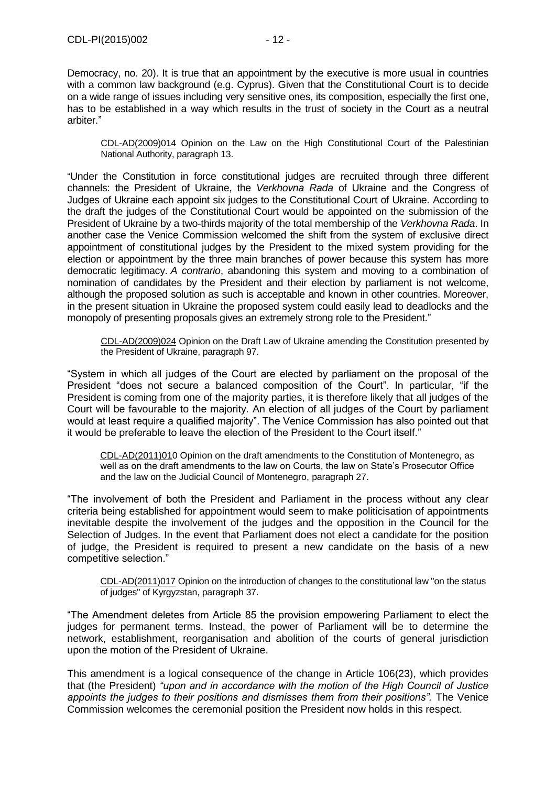Democracy, no. 20). It is true that an appointment by the executive is more usual in countries with a common law background (e.g. Cyprus). Given that the Constitutional Court is to decide on a wide range of issues including very sensitive ones, its composition, especially the first one, has to be established in a way which results in the trust of society in the Court as a neutral arbiter."

[CDL-AD\(2009\)014](http://www.venice.coe.int/docs/2009/CDL-AD(2009)014-E.pdf) Opinion on the Law on the High Constitutional Court of the Palestinian National Authority, paragraph 13.

"Under the Constitution in force constitutional judges are recruited through three different channels: the President of Ukraine, the *Verkhovna Rada* of Ukraine and the Congress of Judges of Ukraine each appoint six judges to the Constitutional Court of Ukraine. According to the draft the judges of the Constitutional Court would be appointed on the submission of the President of Ukraine by a two-thirds majority of the total membership of the *Verkhovna Rada*. In another case the Venice Commission welcomed the shift from the system of exclusive direct appointment of constitutional judges by the President to the mixed system providing for the election or appointment by the three main branches of power because this system has more democratic legitimacy. *A contrario*, abandoning this system and moving to a combination of nomination of candidates by the President and their election by parliament is not welcome, although the proposed solution as such is acceptable and known in other countries. Moreover, in the present situation in Ukraine the proposed system could easily lead to deadlocks and the monopoly of presenting proposals gives an extremely strong role to the President."

[CDL-AD\(2009\)024](http://www.venice.coe.int/docs/2009/CDL-AD(2009)024-E.pdf) Opinion on the Draft Law of Ukraine amending the Constitution presented by the President of Ukraine, paragraph 97.

"System in which all judges of the Court are elected by parliament on the proposal of the President "does not secure a balanced composition of the Court". In particular, "if the President is coming from one of the majority parties, it is therefore likely that all judges of the Court will be favourable to the majority. An election of all judges of the Court by parliament would at least require a qualified majority". The Venice Commission has also pointed out that it would be preferable to leave the election of the President to the Court itself."

CDL-AD(2011)010 Opinion on the draft amendments to the Constitution of Montenegro, as well as on the draft amendments to the law on Courts, the law on State's Prosecutor Office and the law on the Judicial Council of Montenegro, paragraph 27.

"The involvement of both the President and Parliament in the process without any clear criteria being established for appointment would seem to make politicisation of appointments inevitable despite the involvement of the judges and the opposition in the Council for the Selection of Judges. In the event that Parliament does not elect a candidate for the position of judge, the President is required to present a new candidate on the basis of a new competitive selection."

CDL-AD(2011)017 [Opinion on the introduction of changes to the constitutional law "on the status](http://www.venice.coe.int/docs/2011/CDL-AD(2011)017-e.pdf)  [of judges" of Kyrgyzstan, p](http://www.venice.coe.int/docs/2011/CDL-AD(2011)017-e.pdf)aragraph 37.

"The Amendment deletes from Article 85 the provision empowering Parliament to elect the judges for permanent terms. Instead, the power of Parliament will be to determine the network, establishment, reorganisation and abolition of the courts of general jurisdiction upon the motion of the President of Ukraine.

This amendment is a logical consequence of the change in Article 106(23), which provides that (the President) *"upon and in accordance with the motion of the High Council of Justice*  appoints the judges to their positions and dismisses them from their positions". The Venice Commission welcomes the ceremonial position the President now holds in this respect.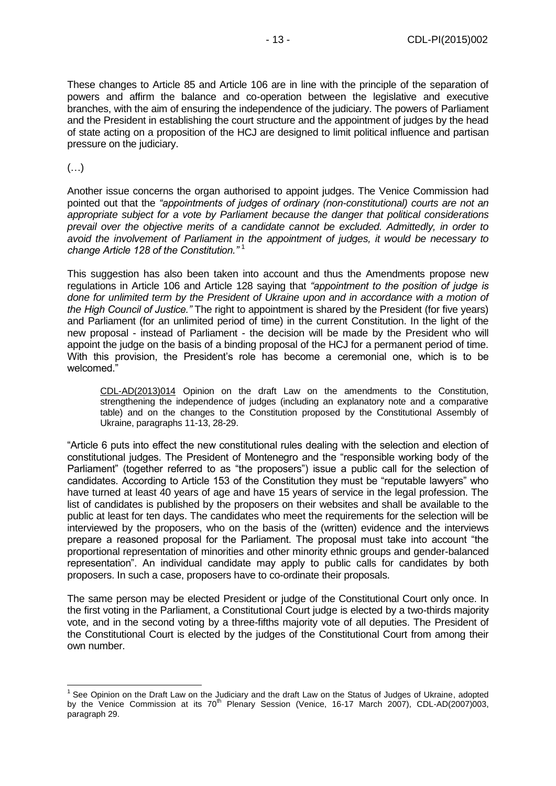These changes to Article 85 and Article 106 are in line with the principle of the separation of powers and affirm the balance and co-operation between the legislative and executive branches, with the aim of ensuring the independence of the judiciary. The powers of Parliament and the President in establishing the court structure and the appointment of judges by the head of state acting on a proposition of the HCJ are designed to limit political influence and partisan pressure on the judiciary.

(…)

-

Another issue concerns the organ authorised to appoint judges. The Venice Commission had pointed out that the *"appointments of judges of ordinary (non-constitutional) courts are not an appropriate subject for a vote by Parliament because the danger that political considerations prevail over the objective merits of a candidate cannot be excluded. Admittedly, in order to avoid the involvement of Parliament in the appointment of judges, it would be necessary to change Article 128 of the Constitution."* <sup>1</sup>

This suggestion has also been taken into account and thus the Amendments propose new regulations in Article 106 and Article 128 saying that *"appointment to the position of judge is done for unlimited term by the President of Ukraine upon and in accordance with a motion of the High Council of Justice."* The right to appointment is shared by the President (for five years) and Parliament (for an unlimited period of time) in the current Constitution. In the light of the new proposal - instead of Parliament - the decision will be made by the President who will appoint the judge on the basis of a binding proposal of the HCJ for a permanent period of time. With this provision, the President's role has become a ceremonial one, which is to be welcomed."

CDL-AD(2013)014 Opinion on the draft Law on the amendments to the Constitution, strengthening the independence of judges (including an explanatory note and a comparative table) and on the changes to the Constitution proposed by the Constitutional Assembly of Ukraine, paragraphs 11-13, 28-29.

"Article 6 puts into effect the new constitutional rules dealing with the selection and election of constitutional judges. The President of Montenegro and the "responsible working body of the Parliament" (together referred to as "the proposers") issue a public call for the selection of candidates. According to Article 153 of the Constitution they must be "reputable lawyers" who have turned at least 40 years of age and have 15 years of service in the legal profession. The list of candidates is published by the proposers on their websites and shall be available to the public at least for ten days. The candidates who meet the requirements for the selection will be interviewed by the proposers, who on the basis of the (written) evidence and the interviews prepare a reasoned proposal for the Parliament. The proposal must take into account "the proportional representation of minorities and other minority ethnic groups and gender-balanced representation". An individual candidate may apply to public calls for candidates by both proposers. In such a case, proposers have to co-ordinate their proposals.

The same person may be elected President or judge of the Constitutional Court only once. In the first voting in the Parliament, a Constitutional Court judge is elected by a two-thirds majority vote, and in the second voting by a three-fifths majority vote of all deputies. The President of the Constitutional Court is elected by the judges of the Constitutional Court from among their own number.

 $1$  See Opinion on the Draft Law on the Judiciary and the draft Law on the Status of Judges of Ukraine, adopted by the Venice Commission at its  $70<sup>th</sup>$  Plenary Session (Venice, 16-17 March 2007), CDL-AD(2007)003, paragraph 29.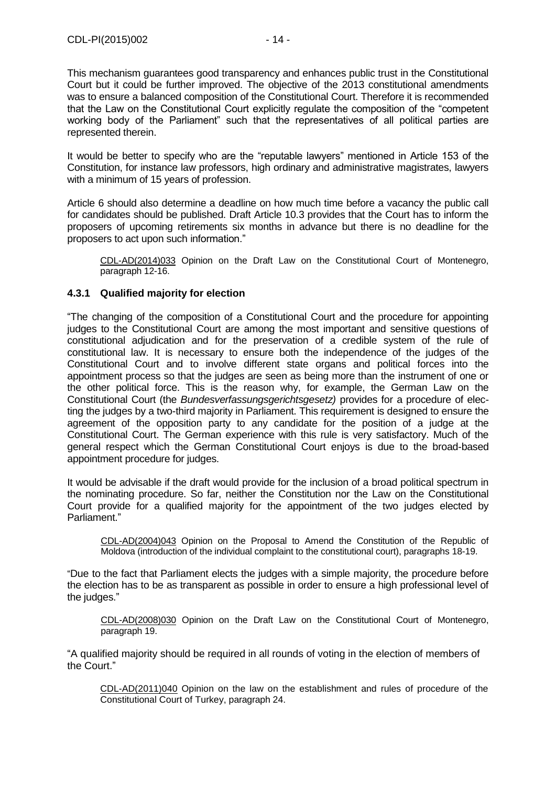It would be better to specify who are the "reputable lawyers" mentioned in Article 153 of the Constitution, for instance law professors, high ordinary and administrative magistrates, lawyers with a minimum of 15 years of profession.

Article 6 should also determine a deadline on how much time before a vacancy the public call for candidates should be published. Draft Article 10.3 provides that the Court has to inform the proposers of upcoming retirements six months in advance but there is no deadline for the proposers to act upon such information."

CDL-AD(2014)033 Opinion on the Draft Law on the Constitutional Court of Montenegro, paragraph 12-16.

# <span id="page-13-0"></span>**4.3.1 Qualified majority for election**

"The changing of the composition of a Constitutional Court and the procedure for appointing judges to the Constitutional Court are among the most important and sensitive questions of constitutional adjudication and for the preservation of a credible system of the rule of constitutional law. It is necessary to ensure both the independence of the judges of the Constitutional Court and to involve different state organs and political forces into the appointment process so that the judges are seen as being more than the instrument of one or the other political force. This is the reason why, for example, the German Law on the Constitutional Court (the *Bundesverfassungsgerichtsgesetz)* provides for a procedure of electing the judges by a two-third majority in Parliament. This requirement is designed to ensure the agreement of the opposition party to any candidate for the position of a judge at the Constitutional Court. The German experience with this rule is very satisfactory. Much of the general respect which the German Constitutional Court enjoys is due to the broad-based appointment procedure for judges.

It would be advisable if the draft would provide for the inclusion of a broad political spectrum in the nominating procedure. So far, neither the Constitution nor the Law on the Constitutional Court provide for a qualified majority for the appointment of the two judges elected by Parliament."

[CDL-AD\(2004\)043](file:///C:/Users/gerwien/AppData/Local/Microsoft/Windows/Temporary%20Internet%20Files/docs/2004/CDL-AD(2004)043-e.asp) Opinion on the Proposal to Amend the Constitution of the Republic of Moldova (introduction of the individual complaint to the constitutional court), paragraphs 18-19.

"Due to the fact that Parliament elects the judges with a simple majority, the procedure before the election has to be as transparent as possible in order to ensure a high professional level of the judges."

[CDL-AD\(2008\)030](http://www.venice.coe.int/docs/2008/CDL-AD(2008)030-E.pdf) Opinion on the Draft Law on the Constitutional Court of Montenegro, paragraph 19.

"A qualified majority should be required in all rounds of voting in the election of members of the Court."

CDL-AD(2011)040 Opinion on the law on the establishment and rules of procedure of the Constitutional Court of Turkey, paragraph 24.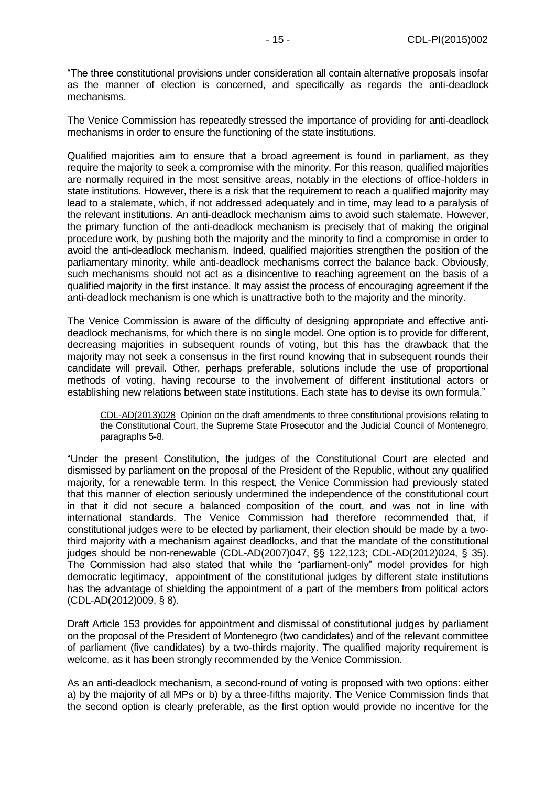"The three constitutional provisions under consideration all contain alternative proposals insofar as the manner of election is concerned, and specifically as regards the anti-deadlock mechanisms.

The Venice Commission has repeatedly stressed the importance of providing for anti-deadlock mechanisms in order to ensure the functioning of the state institutions.

Qualified majorities aim to ensure that a broad agreement is found in parliament, as they require the majority to seek a compromise with the minority. For this reason, qualified majorities are normally required in the most sensitive areas, notably in the elections of office-holders in state institutions. However, there is a risk that the requirement to reach a qualified majority may lead to a stalemate, which, if not addressed adequately and in time, may lead to a paralysis of the relevant institutions. An anti-deadlock mechanism aims to avoid such stalemate. However, the primary function of the anti-deadlock mechanism is precisely that of making the original procedure work, by pushing both the majority and the minority to find a compromise in order to avoid the anti-deadlock mechanism. Indeed, qualified majorities strengthen the position of the parliamentary minority, while anti-deadlock mechanisms correct the balance back. Obviously, such mechanisms should not act as a disincentive to reaching agreement on the basis of a qualified majority in the first instance. It may assist the process of encouraging agreement if the anti-deadlock mechanism is one which is unattractive both to the majority and the minority.

The Venice Commission is aware of the difficulty of designing appropriate and effective antideadlock mechanisms, for which there is no single model. One option is to provide for different, decreasing majorities in subsequent rounds of voting, but this has the drawback that the majority may not seek a consensus in the first round knowing that in subsequent rounds their candidate will prevail. Other, perhaps preferable, solutions include the use of proportional methods of voting, having recourse to the involvement of different institutional actors or establishing new relations between state institutions. Each state has to devise its own formula."

CDL-AD(2013)028 Opinion on the draft amendments to three constitutional provisions relating to the Constitutional Court, the Supreme State Prosecutor and the Judicial Council of Montenegro, paragraphs 5-8.

"Under the present Constitution, the judges of the Constitutional Court are elected and dismissed by parliament on the proposal of the President of the Republic, without any qualified majority, for a renewable term. In this respect, the Venice Commission had previously stated that this manner of election seriously undermined the independence of the constitutional court in that it did not secure a balanced composition of the court, and was not in line with international standards. The Venice Commission had therefore recommended that, if constitutional judges were to be elected by parliament, their election should be made by a twothird majority with a mechanism against deadlocks, and that the mandate of the constitutional judges should be non-renewable (CDL-AD(2007)047, §§ 122,123; CDL-AD(2012)024, § 35). The Commission had also stated that while the "parliament-only" model provides for high democratic legitimacy, appointment of the constitutional judges by different state institutions has the advantage of shielding the appointment of a part of the members from political actors (CDL-AD(2012)009, § 8).

Draft Article 153 provides for appointment and dismissal of constitutional judges by parliament on the proposal of the President of Montenegro (two candidates) and of the relevant committee of parliament (five candidates) by a two-thirds majority. The qualified majority requirement is welcome, as it has been strongly recommended by the Venice Commission.

As an anti-deadlock mechanism, a second-round of voting is proposed with two options: either a) by the majority of all MPs or b) by a three-fifths majority. The Venice Commission finds that the second option is clearly preferable, as the first option would provide no incentive for the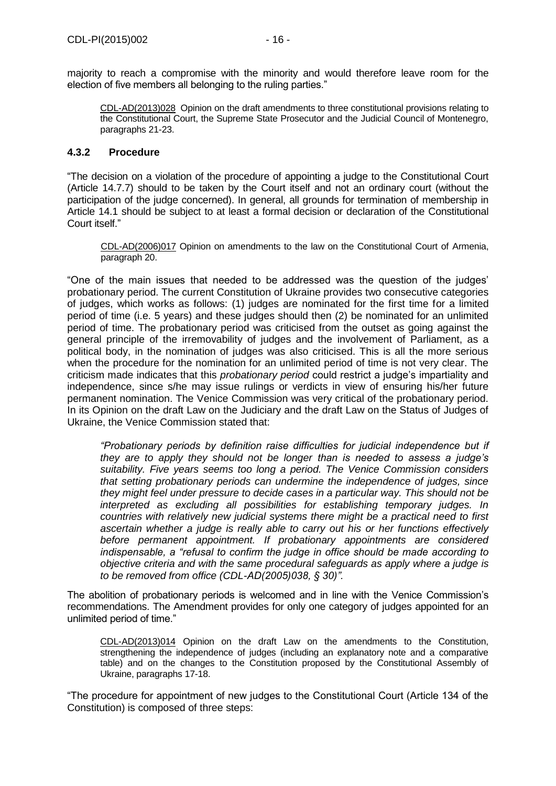majority to reach a compromise with the minority and would therefore leave room for the election of five members all belonging to the ruling parties."

CDL-AD(2013)028 Opinion on the draft amendments to three constitutional provisions relating to the Constitutional Court, the Supreme State Prosecutor and the Judicial Council of Montenegro, paragraphs 21-23.

## <span id="page-15-0"></span>**4.3.2 Procedure**

"The decision on a violation of the procedure of appointing a judge to the Constitutional Court (Article 14.7.7) should to be taken by the Court itself and not an ordinary court (without the participation of the judge concerned). In general, all grounds for termination of membership in Article 14.1 should be subject to at least a formal decision or declaration of the Constitutional Court itself."

[CDL-AD\(2006\)017](file:///C:/Users/gerwien/AppData/Local/Microsoft/Windows/Temporary%20Internet%20Files/docs/2006/CDL-AD(2006)017-e.asp) Opinion on amendments to the law on the Constitutional Court of Armenia, paragraph 20.

"One of the main issues that needed to be addressed was the question of the judges' probationary period. The current Constitution of Ukraine provides two consecutive categories of judges, which works as follows: (1) judges are nominated for the first time for a limited period of time (i.e. 5 years) and these judges should then (2) be nominated for an unlimited period of time. The probationary period was criticised from the outset as going against the general principle of the irremovability of judges and the involvement of Parliament, as a political body, in the nomination of judges was also criticised. This is all the more serious when the procedure for the nomination for an unlimited period of time is not very clear. The criticism made indicates that this *probationary period* could restrict a judge's impartiality and independence, since s/he may issue rulings or verdicts in view of ensuring his/her future permanent nomination. The Venice Commission was very critical of the probationary period. In its Opinion on the draft Law on the Judiciary and the draft Law on the Status of Judges of Ukraine, the Venice Commission stated that:

*"Probationary periods by definition raise difficulties for judicial independence but if they are to apply they should not be longer than is needed to assess a judge's suitability. Five years seems too long a period. The Venice Commission considers that setting probationary periods can undermine the independence of judges, since they might feel under pressure to decide cases in a particular way. This should not be interpreted as excluding all possibilities for establishing temporary judges. In countries with relatively new judicial systems there might be a practical need to first ascertain whether a judge is really able to carry out his or her functions effectively before permanent appointment. If probationary appointments are considered indispensable, a "refusal to confirm the judge in office should be made according to objective criteria and with the same procedural safeguards as apply where a judge is to be removed from office (CDL-AD(2005)038, § 30)".*

The abolition of probationary periods is welcomed and in line with the Venice Commission's recommendations. The Amendment provides for only one category of judges appointed for an unlimited period of time."

CDL-AD(2013)014 Opinion on the draft Law on the amendments to the Constitution, strengthening the independence of judges (including an explanatory note and a comparative table) and on the changes to the Constitution proposed by the Constitutional Assembly of Ukraine, paragraphs 17-18.

"The procedure for appointment of new judges to the Constitutional Court (Article 134 of the Constitution) is composed of three steps: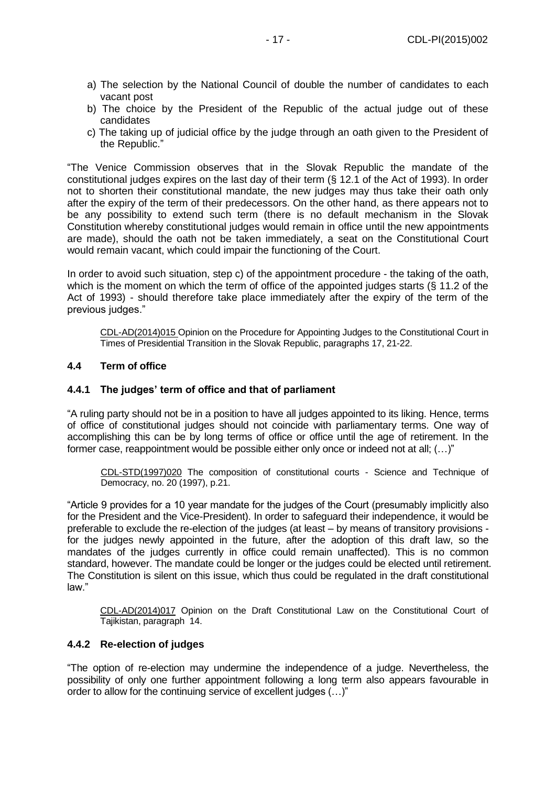- a) The selection by the National Council of double the number of candidates to each vacant post
- b) The choice by the President of the Republic of the actual judge out of these candidates
- c) The taking up of judicial office by the judge through an oath given to the President of the Republic."

"The Venice Commission observes that in the Slovak Republic the mandate of the constitutional judges expires on the last day of their term (§ 12.1 of the Act of 1993). In order not to shorten their constitutional mandate, the new judges may thus take their oath only after the expiry of the term of their predecessors. On the other hand, as there appears not to be any possibility to extend such term (there is no default mechanism in the Slovak Constitution whereby constitutional judges would remain in office until the new appointments are made), should the oath not be taken immediately, a seat on the Constitutional Court would remain vacant, which could impair the functioning of the Court.

In order to avoid such situation, step c) of the appointment procedure - the taking of the oath, which is the moment on which the term of office of the appointed judges starts (§ 11.2 of the Act of 1993) - should therefore take place immediately after the expiry of the term of the previous judges."

CDL-AD(2014)015 Opinion on the Procedure for Appointing Judges to the Constitutional Court in Times of Presidential Transition in the Slovak Republic, paragraphs 17, 21-22.

#### <span id="page-16-0"></span>**4.4 Term of office**

#### <span id="page-16-1"></span>**4.4.1 The judges' term of office and that of parliament**

"A ruling party should not be in a position to have all judges appointed to its liking. Hence, terms of office of constitutional judges should not coincide with parliamentary terms. One way of accomplishing this can be by long terms of office or office until the age of retirement. In the former case, reappointment would be possible either only once or indeed not at all; (…)"

[CDL-STD\(1997\)020](file:///C:/Users/gerwien/AppData/Local/Microsoft/Windows/Temporary%20Internet%20Files/docs/1997/CDL-STD(1997)020-e.asp) The composition of constitutional courts - Science and Technique of Democracy, no. 20 (1997), p.21.

"Article 9 provides for a 10 year mandate for the judges of the Court (presumably implicitly also for the President and the Vice-President). In order to safeguard their independence, it would be preferable to exclude the re-election of the judges (at least – by means of transitory provisions for the judges newly appointed in the future, after the adoption of this draft law, so the mandates of the judges currently in office could remain unaffected). This is no common standard, however. The mandate could be longer or the judges could be elected until retirement. The Constitution is silent on this issue, which thus could be regulated in the draft constitutional law."

CDL-AD(2014)017 Opinion on the Draft Constitutional Law on the Constitutional Court of Tajikistan, paragraph 14.

#### <span id="page-16-2"></span>**4.4.2 Re-election of judges**

"The option of re-election may undermine the independence of a judge. Nevertheless, the possibility of only one further appointment following a long term also appears favourable in order to allow for the continuing service of excellent judges (…)"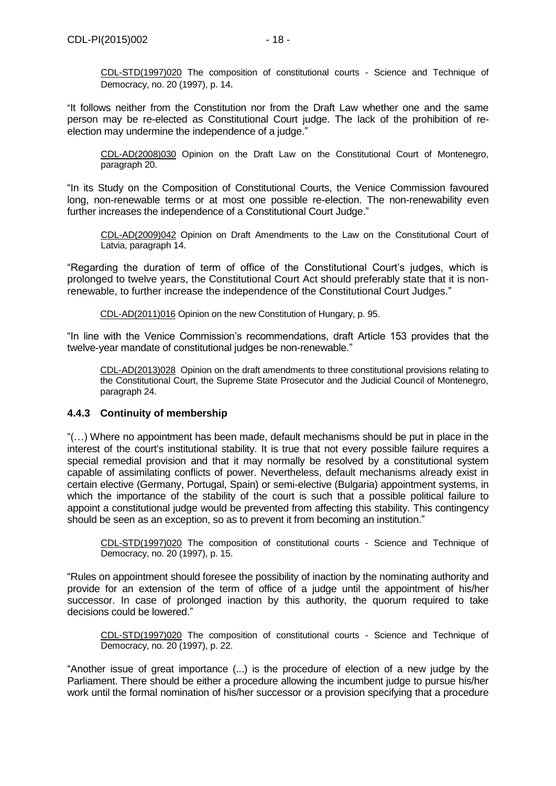[CDL-STD\(1997\)020](file:///C:/Users/gerwien/AppData/Local/Microsoft/Windows/Temporary%20Internet%20Files/docs/1997/CDL-STD(1997)020-e.asp) The composition of constitutional courts - Science and Technique of Democracy, no. 20 (1997), p. 14.

"It follows neither from the Constitution nor from the Draft Law whether one and the same person may be re-elected as Constitutional Court judge. The lack of the prohibition of reelection may undermine the independence of a judge."

[CDL-AD\(2008\)030](http://www.venice.coe.int/docs/2008/CDL-AD(2008)030-E.pdf) Opinion on the Draft Law on the Constitutional Court of Montenegro, paragraph 20.

"In its Study on the Composition of Constitutional Courts, the Venice Commission favoured long, non-renewable terms or at most one possible re-election. The non-renewability even further increases the independence of a Constitutional Court Judge."

[CDL-AD\(2009\)042](http://www.venice.coe.int/docs/2009/CDL-AD(2009)042-E.pdf) Opinion on Draft Amendments to the Law on the Constitutional Court of Latvia, paragraph 14.

"Regarding the duration of term of office of the Constitutional Court's judges, which is prolonged to twelve years, the Constitutional Court Act should preferably state that it is nonrenewable, to further increase the independence of the Constitutional Court Judges."

CDL-AD(2011)016 [Opinion on the new Constitution of Hungary, p](http://www.venice.coe.int/docs/2011/CDL-AD(2011)016-e.pdf). 95.

"In line with the Venice Commission's recommendations, draft Article 153 provides that the twelve-year mandate of constitutional judges be non-renewable."

CDL-AD(2013)028 Opinion on the draft amendments to three constitutional provisions relating to the Constitutional Court, the Supreme State Prosecutor and the Judicial Council of Montenegro, paragraph 24.

## <span id="page-17-0"></span>**4.4.3 Continuity of membership**

"(…) Where no appointment has been made, default mechanisms should be put in place in the interest of the court's institutional stability. It is true that not every possible failure requires a special remedial provision and that it may normally be resolved by a constitutional system capable of assimilating conflicts of power. Nevertheless, default mechanisms already exist in certain elective (Germany, Portugal, Spain) or semi-elective (Bulgaria) appointment systems, in which the importance of the stability of the court is such that a possible political failure to appoint a constitutional judge would be prevented from affecting this stability. This contingency should be seen as an exception, so as to prevent it from becoming an institution."

[CDL-STD\(1997\)020](file:///C:/Users/gerwien/AppData/Local/Microsoft/Windows/Temporary%20Internet%20Files/docs/1997/CDL-STD(1997)020-e.asp) The composition of constitutional courts - Science and Technique of Democracy, no. 20 (1997), p. 15.

"Rules on appointment should foresee the possibility of inaction by the nominating authority and provide for an extension of the term of office of a judge until the appointment of his/her successor. In case of prolonged inaction by this authority, the quorum required to take decisions could be lowered."

[CDL-STD\(1997\)020](file:///C:/Users/gerwien/AppData/Local/Microsoft/Windows/Temporary%20Internet%20Files/docs/1997/CDL-STD(1997)020-e.asp) The composition of constitutional courts - Science and Technique of Democracy, no. 20 (1997), p. 22.

"Another issue of great importance (...) is the procedure of election of a new judge by the Parliament. There should be either a procedure allowing the incumbent judge to pursue his/her work until the formal nomination of his/her successor or a provision specifying that a procedure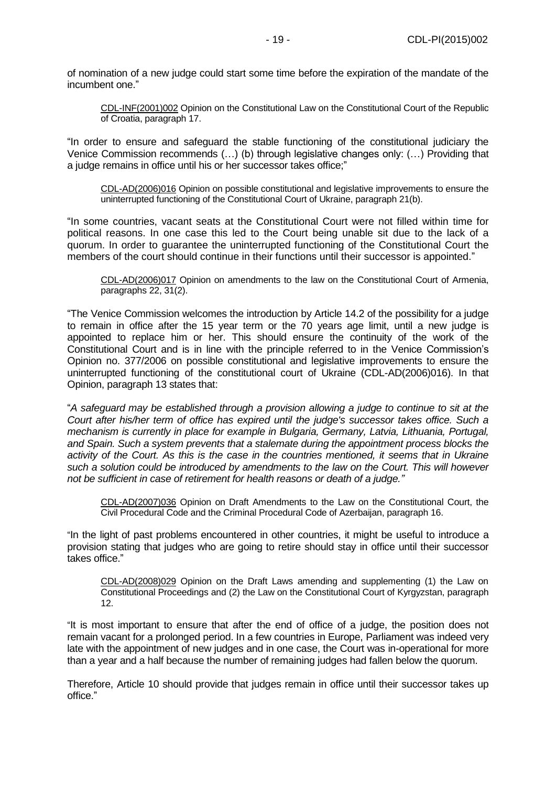of nomination of a new judge could start some time before the expiration of the mandate of the incumbent one."

[CDL-INF\(2001\)002](file:///C:/Users/gerwien/AppData/Local/Microsoft/Windows/Temporary%20Internet%20Files/docs/2001/CDL-INF(2001)002-e.asp) Opinion on the Constitutional Law on the Constitutional Court of the Republic of Croatia, paragraph 17.

"In order to ensure and safeguard the stable functioning of the constitutional judiciary the Venice Commission recommends (…) (b) through legislative changes only: (…) Providing that a judge remains in office until his or her successor takes office;"

[CDL-AD\(2006\)016](file:///C:/Users/gerwien/AppData/Local/Microsoft/Windows/Temporary%20Internet%20Files/docs/2006/CDL-AD(2006)016-e.asp) Opinion on possible constitutional and legislative improvements to ensure the uninterrupted functioning of the Constitutional Court of Ukraine, paragraph 21(b).

"In some countries, vacant seats at the Constitutional Court were not filled within time for political reasons. In one case this led to the Court being unable sit due to the lack of a quorum. In order to guarantee the uninterrupted functioning of the Constitutional Court the members of the court should continue in their functions until their successor is appointed."

[CDL-AD\(2006\)017](file:///C:/Users/gerwien/AppData/Local/Microsoft/Windows/Temporary%20Internet%20Files/docs/2006/CDL-AD(2006)017-e.asp) Opinion on amendments to the law on the Constitutional Court of Armenia, paragraphs 22, 31(2).

"The Venice Commission welcomes the introduction by Article 14.2 of the possibility for a judge to remain in office after the 15 year term or the 70 years age limit, until a new judge is appointed to replace him or her. This should ensure the continuity of the work of the Constitutional Court and is in line with the principle referred to in the Venice Commission's Opinion no. 377/2006 on possible constitutional and legislative improvements to ensure the uninterrupted functioning of the constitutional court of Ukraine (CDL-AD(2006)016). In that Opinion, paragraph 13 states that:

"*A safeguard may be established through a provision allowing a judge to continue to sit at the Court after his/her term of office has expired until the judge's successor takes office. Such a mechanism is currently in place for example in Bulgaria, Germany, Latvia, Lithuania, Portugal, and Spain. Such a system prevents that a stalemate during the appointment process blocks the activity of the Court. As this is the case in the countries mentioned, it seems that in Ukraine such a solution could be introduced by amendments to the law on the Court. This will however not be sufficient in case of retirement for health reasons or death of a judge."*

[CDL-AD\(2007\)036](http://www.venice.coe.int/docs/2007/CDL-AD(2007)036-E.pdf) Opinion on Draft Amendments to the Law on the Constitutional Court, the Civil Procedural Code and the Criminal Procedural Code of Azerbaijan, paragraph 16.

"In the light of past problems encountered in other countries, it might be useful to introduce a provision stating that judges who are going to retire should stay in office until their successor takes office."

[CDL-AD\(2008\)029](http://www.venice.coe.int/docs/2008/CDL-AD(2008)029-E.pdf) Opinion on the Draft Laws amending and supplementing (1) the Law on Constitutional Proceedings and (2) the Law on the Constitutional Court of Kyrgyzstan, paragraph 12.

"It is most important to ensure that after the end of office of a judge, the position does not remain vacant for a prolonged period. In a few countries in Europe, Parliament was indeed very late with the appointment of new judges and in one case, the Court was in-operational for more than a year and a half because the number of remaining judges had fallen below the quorum.

Therefore, Article 10 should provide that judges remain in office until their successor takes up office."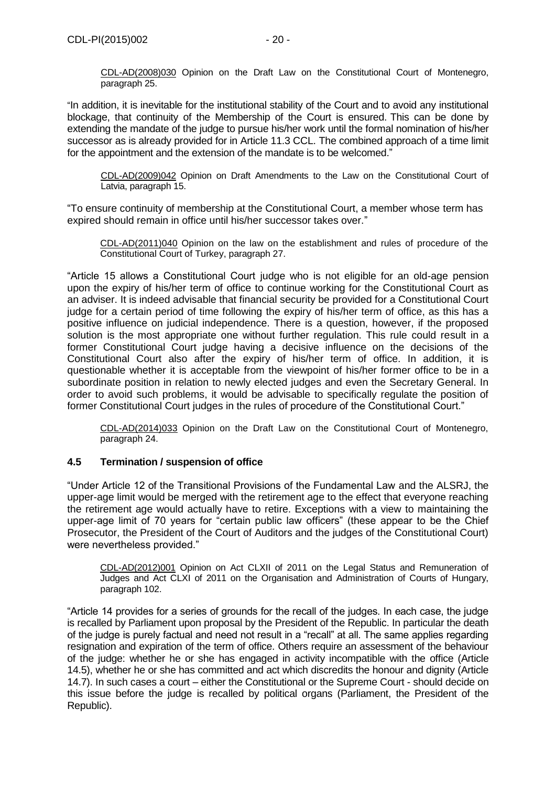"In addition, it is inevitable for the institutional stability of the Court and to avoid any institutional blockage, that continuity of the Membership of the Court is ensured. This can be done by extending the mandate of the judge to pursue his/her work until the formal nomination of his/her successor as is already provided for in Article 11.3 CCL. The combined approach of a time limit for the appointment and the extension of the mandate is to be welcomed."

[CDL-AD\(2009\)042](http://www.venice.coe.int/docs/2009/CDL-AD(2009)042-E.pdf) Opinion on Draft Amendments to the Law on the Constitutional Court of Latvia, paragraph 15.

"To ensure continuity of membership at the Constitutional Court, a member whose term has expired should remain in office until his/her successor takes over."

CDL-AD(2011)040 Opinion on the law on the establishment and rules of procedure of the Constitutional Court of Turkey, paragraph 27.

"Article 15 allows a Constitutional Court judge who is not eligible for an old-age pension upon the expiry of his/her term of office to continue working for the Constitutional Court as an adviser. It is indeed advisable that financial security be provided for a Constitutional Court judge for a certain period of time following the expiry of his/her term of office, as this has a positive influence on judicial independence. There is a question, however, if the proposed solution is the most appropriate one without further regulation. This rule could result in a former Constitutional Court judge having a decisive influence on the decisions of the Constitutional Court also after the expiry of his/her term of office. In addition, it is questionable whether it is acceptable from the viewpoint of his/her former office to be in a subordinate position in relation to newly elected judges and even the Secretary General. In order to avoid such problems, it would be advisable to specifically regulate the position of former Constitutional Court judges in the rules of procedure of the Constitutional Court."

CDL-AD(2014)033 Opinion on the Draft Law on the Constitutional Court of Montenegro, paragraph 24.

## <span id="page-19-0"></span>**4.5 Termination / suspension of office**

"Under Article 12 of the Transitional Provisions of the Fundamental Law and the ALSRJ, the upper-age limit would be merged with the retirement age to the effect that everyone reaching the retirement age would actually have to retire. Exceptions with a view to maintaining the upper-age limit of 70 years for "certain public law officers" (these appear to be the Chief Prosecutor, the President of the Court of Auditors and the judges of the Constitutional Court) were nevertheless provided."

CDL-AD(2012)001 [Opinion on Act CLXII of 2011 on the Legal Status and Remuneration of](http://www.venice.coe.int/docs/2012/CDL-AD(2012)001-e.pdf)  [Judges and Act CLXI of 2011 on the Organisation and Administration of Courts of Hungary,](http://www.venice.coe.int/docs/2012/CDL-AD(2012)001-e.pdf)  paragraph 102.

"Article 14 provides for a series of grounds for the recall of the judges. In each case, the judge is recalled by Parliament upon proposal by the President of the Republic. In particular the death of the judge is purely factual and need not result in a "recall" at all. The same applies regarding resignation and expiration of the term of office. Others require an assessment of the behaviour of the judge: whether he or she has engaged in activity incompatible with the office (Article 14.5), whether he or she has committed and act which discredits the honour and dignity (Article 14.7). In such cases a court – either the Constitutional or the Supreme Court - should decide on this issue before the judge is recalled by political organs (Parliament, the President of the Republic).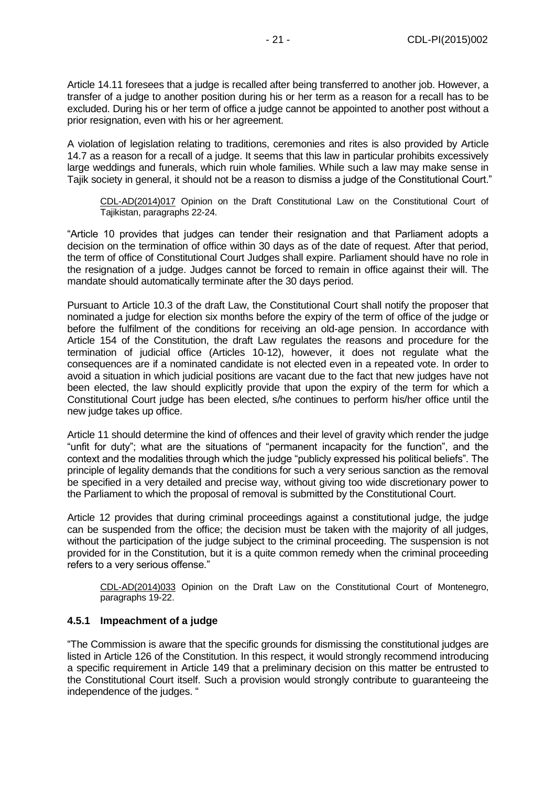Article 14.11 foresees that a judge is recalled after being transferred to another job. However, a transfer of a judge to another position during his or her term as a reason for a recall has to be excluded. During his or her term of office a judge cannot be appointed to another post without a prior resignation, even with his or her agreement.

A violation of legislation relating to traditions, ceremonies and rites is also provided by Article 14.7 as a reason for a recall of a judge. It seems that this law in particular prohibits excessively large weddings and funerals, which ruin whole families. While such a law may make sense in Tajik society in general, it should not be a reason to dismiss a judge of the Constitutional Court."

CDL-AD(2014)017 Opinion on the Draft Constitutional Law on the Constitutional Court of Tajikistan, paragraphs 22-24.

"Article 10 provides that judges can tender their resignation and that Parliament adopts a decision on the termination of office within 30 days as of the date of request. After that period, the term of office of Constitutional Court Judges shall expire. Parliament should have no role in the resignation of a judge. Judges cannot be forced to remain in office against their will. The mandate should automatically terminate after the 30 days period.

Pursuant to Article 10.3 of the draft Law, the Constitutional Court shall notify the proposer that nominated a judge for election six months before the expiry of the term of office of the judge or before the fulfilment of the conditions for receiving an old-age pension. In accordance with Article 154 of the Constitution, the draft Law regulates the reasons and procedure for the termination of judicial office (Articles 10-12), however, it does not regulate what the consequences are if a nominated candidate is not elected even in a repeated vote. In order to avoid a situation in which judicial positions are vacant due to the fact that new judges have not been elected, the law should explicitly provide that upon the expiry of the term for which a Constitutional Court judge has been elected, s/he continues to perform his/her office until the new judge takes up office.

Article 11 should determine the kind of offences and their level of gravity which render the judge "unfit for duty"; what are the situations of "permanent incapacity for the function", and the context and the modalities through which the judge "publicly expressed his political beliefs". The principle of legality demands that the conditions for such a very serious sanction as the removal be specified in a very detailed and precise way, without giving too wide discretionary power to the Parliament to which the proposal of removal is submitted by the Constitutional Court.

Article 12 provides that during criminal proceedings against a constitutional judge, the judge can be suspended from the office; the decision must be taken with the majority of all judges, without the participation of the judge subject to the criminal proceeding. The suspension is not provided for in the Constitution, but it is a quite common remedy when the criminal proceeding refers to a very serious offense."

CDL-AD(2014)033 Opinion on the Draft Law on the Constitutional Court of Montenegro, paragraphs 19-22.

## <span id="page-20-0"></span>**4.5.1 Impeachment of a judge**

"The Commission is aware that the specific grounds for dismissing the constitutional judges are listed in Article 126 of the Constitution. In this respect, it would strongly recommend introducing a specific requirement in Article 149 that a preliminary decision on this matter be entrusted to the Constitutional Court itself. Such a provision would strongly contribute to guaranteeing the independence of the judges. "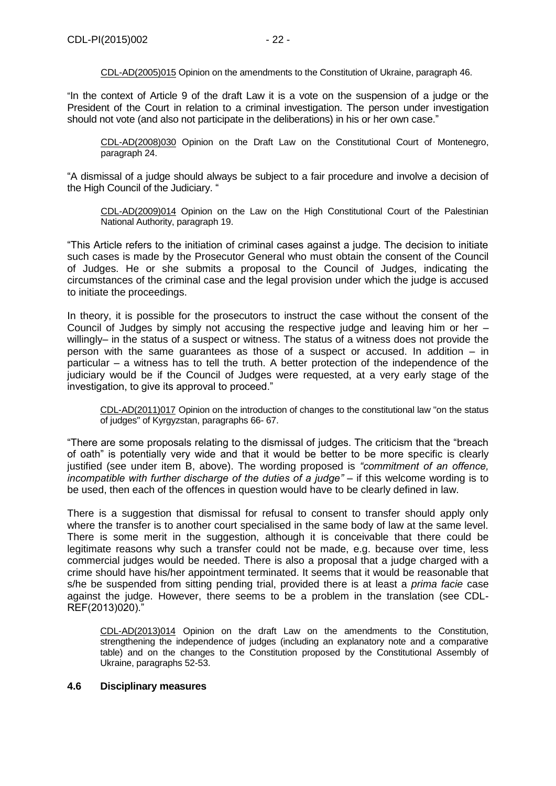[CDL-AD\(2005\)015](file:///C:/Users/gerwien/AppData/Local/Microsoft/Windows/Temporary%20Internet%20Files/docs/2005/CDL-AD(2005)015-e.asp) Opinion on the amendments to the Constitution of Ukraine, paragraph 46.

"In the context of Article 9 of the draft Law it is a vote on the suspension of a judge or the President of the Court in relation to a criminal investigation. The person under investigation should not vote (and also not participate in the deliberations) in his or her own case."

[CDL-AD\(2008\)030](http://www.venice.coe.int/docs/2008/CDL-AD(2008)030-E.pdf) Opinion on the Draft Law on the Constitutional Court of Montenegro, paragraph 24.

"A dismissal of a judge should always be subject to a fair procedure and involve a decision of the High Council of the Judiciary. "

[CDL-AD\(2009\)014](http://www.venice.coe.int/docs/2009/CDL-AD(2009)014-E.pdf) Opinion on the Law on the High Constitutional Court of the Palestinian National Authority, paragraph 19.

"This Article refers to the initiation of criminal cases against a judge. The decision to initiate such cases is made by the Prosecutor General who must obtain the consent of the Council of Judges. He or she submits a proposal to the Council of Judges, indicating the circumstances of the criminal case and the legal provision under which the judge is accused to initiate the proceedings.

In theory, it is possible for the prosecutors to instruct the case without the consent of the Council of Judges by simply not accusing the respective judge and leaving him or her – willingly– in the status of a suspect or witness. The status of a witness does not provide the person with the same guarantees as those of a suspect or accused. In addition – in particular – a witness has to tell the truth. A better protection of the independence of the judiciary would be if the Council of Judges were requested, at a very early stage of the investigation, to give its approval to proceed."

CDL-AD(2011)017 [Opinion on the introduction of changes to the constitutional law "on the status](http://www.venice.coe.int/docs/2011/CDL-AD(2011)017-e.pdf)  [of judges" of Kyrgyzstan, p](http://www.venice.coe.int/docs/2011/CDL-AD(2011)017-e.pdf)aragraphs 66- 67.

"There are some proposals relating to the dismissal of judges. The criticism that the "breach of oath" is potentially very wide and that it would be better to be more specific is clearly justified (see under item B, above). The wording proposed is *"commitment of an offence, incompatible with further discharge of the duties of a judge"* – if this welcome wording is to be used, then each of the offences in question would have to be clearly defined in law.

There is a suggestion that dismissal for refusal to consent to transfer should apply only where the transfer is to another court specialised in the same body of law at the same level. There is some merit in the suggestion, although it is conceivable that there could be legitimate reasons why such a transfer could not be made, e.g. because over time, less commercial judges would be needed. There is also a proposal that a judge charged with a crime should have his/her appointment terminated. It seems that it would be reasonable that s/he be suspended from sitting pending trial, provided there is at least a *prima facie* case against the judge. However, there seems to be a problem in the translation (see CDL-REF(2013)020)."

CDL-AD(2013)014 Opinion on the draft Law on the amendments to the Constitution, strengthening the independence of judges (including an explanatory note and a comparative table) and on the changes to the Constitution proposed by the Constitutional Assembly of Ukraine, paragraphs 52-53.

#### <span id="page-21-0"></span>**4.6 Disciplinary measures**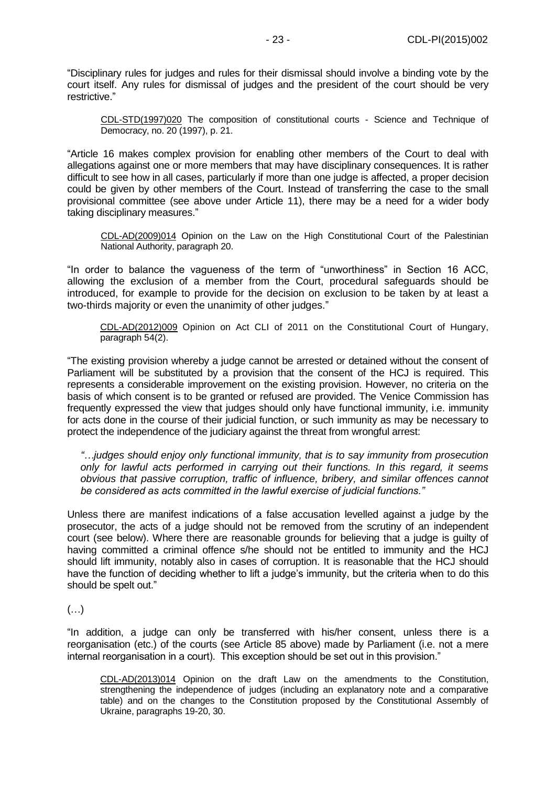"Disciplinary rules for judges and rules for their dismissal should involve a binding vote by the court itself. Any rules for dismissal of judges and the president of the court should be very restrictive."

[CDL-STD\(1997\)020](file:///C:/Users/gerwien/AppData/Local/Microsoft/Windows/Temporary%20Internet%20Files/docs/1997/CDL-STD(1997)020-e.asp) The composition of constitutional courts - Science and Technique of Democracy, no. 20 (1997), p. 21.

"Article 16 makes complex provision for enabling other members of the Court to deal with allegations against one or more members that may have disciplinary consequences. It is rather difficult to see how in all cases, particularly if more than one judge is affected, a proper decision could be given by other members of the Court. Instead of transferring the case to the small provisional committee (see above under Article 11), there may be a need for a wider body taking disciplinary measures."

[CDL-AD\(2009\)014](http://www.venice.coe.int/docs/2009/CDL-AD(2009)014-E.pdf) Opinion on the Law on the High Constitutional Court of the Palestinian National Authority, paragraph 20.

"In order to balance the vagueness of the term of "unworthiness" in Section 16 ACC, allowing the exclusion of a member from the Court, procedural safeguards should be introduced, for example to provide for the decision on exclusion to be taken by at least a two-thirds majority or even the unanimity of other judges."

CDL-AD(2012)009 [Opinion on Act CLI of 2011 on the Constitutional Court of Hungary,](http://www.venice.coe.int/docs/2012/CDL-AD(2012)009-e.pdf) paragraph 54(2).

"The existing provision whereby a judge cannot be arrested or detained without the consent of Parliament will be substituted by a provision that the consent of the HCJ is required. This represents a considerable improvement on the existing provision. However, no criteria on the basis of which consent is to be granted or refused are provided. The Venice Commission has frequently expressed the view that judges should only have functional immunity, i.e. immunity for acts done in the course of their judicial function, or such immunity as may be necessary to protect the independence of the judiciary against the threat from wrongful arrest:

*"…judges should enjoy only functional immunity, that is to say immunity from prosecution only for lawful acts performed in carrying out their functions. In this regard, it seems obvious that passive corruption, traffic of influence, bribery, and similar offences cannot be considered as acts committed in the lawful exercise of judicial functions."*

Unless there are manifest indications of a false accusation levelled against a judge by the prosecutor, the acts of a judge should not be removed from the scrutiny of an independent court (see below). Where there are reasonable grounds for believing that a judge is guilty of having committed a criminal offence s/he should not be entitled to immunity and the HCJ should lift immunity, notably also in cases of corruption. It is reasonable that the HCJ should have the function of deciding whether to lift a judge's immunity, but the criteria when to do this should be spelt out."

(…)

"In addition, a judge can only be transferred with his/her consent, unless there is a reorganisation (etc.) of the courts (see Article 85 above) made by Parliament (i.e. not a mere internal reorganisation in a court). This exception should be set out in this provision."

CDL-AD(2013)014 Opinion on the draft Law on the amendments to the Constitution, strengthening the independence of judges (including an explanatory note and a comparative table) and on the changes to the Constitution proposed by the Constitutional Assembly of Ukraine, paragraphs 19-20, 30.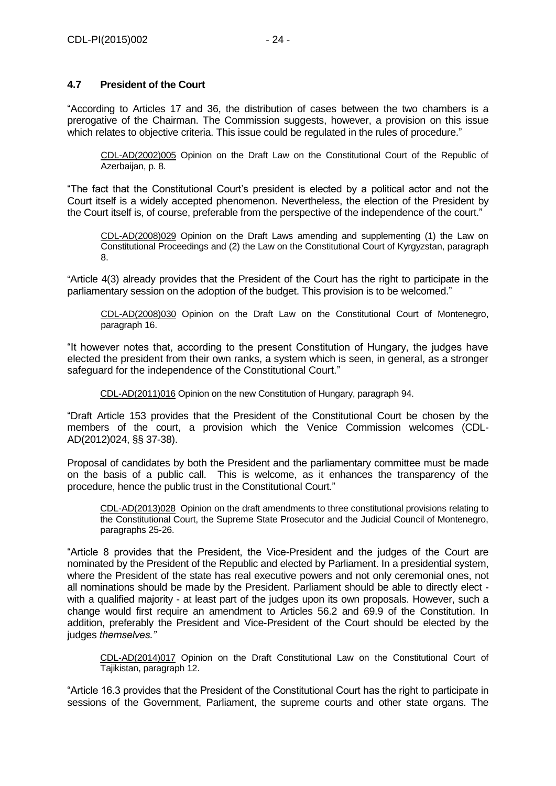# <span id="page-23-0"></span>**4.7 President of the Court**

"According to Articles 17 and 36, the distribution of cases between the two chambers is a prerogative of the Chairman. The Commission suggests, however, a provision on this issue which relates to objective criteria. This issue could be regulated in the rules of procedure."

[CDL-AD\(2002\)005](file:///C:/Users/gerwien/AppData/Local/Microsoft/Windows/Temporary%20Internet%20Files/docs/2002/CDL-AD(2002)005-e.asp) Opinion on the Draft Law on the Constitutional Court of the Republic of Azerbaijan, p. 8.

"The fact that the Constitutional Court's president is elected by a political actor and not the Court itself is a widely accepted phenomenon. Nevertheless, the election of the President by the Court itself is, of course, preferable from the perspective of the independence of the court."

[CDL-AD\(2008\)029](http://www.venice.coe.int/docs/2008/CDL-AD(2008)029-E.pdf) Opinion on the Draft Laws amending and supplementing (1) the Law on Constitutional Proceedings and (2) the Law on the Constitutional Court of Kyrgyzstan, paragraph 8.

"Article 4(3) already provides that the President of the Court has the right to participate in the parliamentary session on the adoption of the budget. This provision is to be welcomed."

[CDL-AD\(2008\)030](http://www.venice.coe.int/docs/2008/CDL-AD(2008)030-E.pdf) Opinion on the Draft Law on the Constitutional Court of Montenegro, paragraph 16.

"It however notes that, according to the present Constitution of Hungary, the judges have elected the president from their own ranks, a system which is seen, in general, as a stronger safeguard for the independence of the Constitutional Court."

CDL-AD(2011)016 [Opinion on the new Constitution of Hungary,](http://www.venice.coe.int/docs/2011/CDL-AD(2011)016-e.pdf) paragraph 94.

"Draft Article 153 provides that the President of the Constitutional Court be chosen by the members of the court, a provision which the Venice Commission welcomes (CDL-AD(2012)024, §§ 37-38).

Proposal of candidates by both the President and the parliamentary committee must be made on the basis of a public call. This is welcome, as it enhances the transparency of the procedure, hence the public trust in the Constitutional Court."

CDL-AD(2013)028 Opinion on the draft amendments to three constitutional provisions relating to the Constitutional Court, the Supreme State Prosecutor and the Judicial Council of Montenegro, paragraphs 25-26.

"Article 8 provides that the President, the Vice-President and the judges of the Court are nominated by the President of the Republic and elected by Parliament. In a presidential system, where the President of the state has real executive powers and not only ceremonial ones, not all nominations should be made by the President. Parliament should be able to directly elect with a qualified majority - at least part of the judges upon its own proposals. However, such a change would first require an amendment to Articles 56.2 and 69.9 of the Constitution. In addition, preferably the President and Vice-President of the Court should be elected by the judges *themselves."*

CDL-AD(2014)017 Opinion on the Draft Constitutional Law on the Constitutional Court of Tajikistan, paragraph 12.

"Article 16.3 provides that the President of the Constitutional Court has the right to participate in sessions of the Government, Parliament, the supreme courts and other state organs. The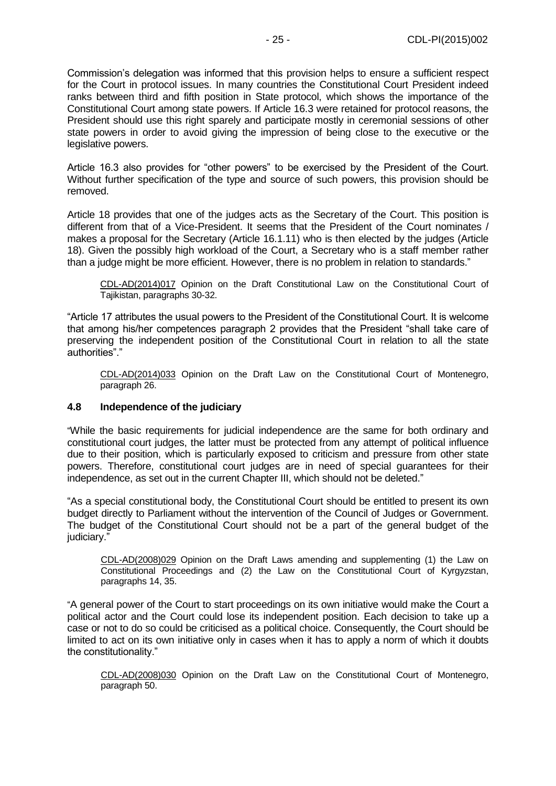Commission's delegation was informed that this provision helps to ensure a sufficient respect for the Court in protocol issues. In many countries the Constitutional Court President indeed ranks between third and fifth position in State protocol, which shows the importance of the Constitutional Court among state powers. If Article 16.3 were retained for protocol reasons, the President should use this right sparely and participate mostly in ceremonial sessions of other state powers in order to avoid giving the impression of being close to the executive or the legislative powers.

Article 16.3 also provides for "other powers" to be exercised by the President of the Court. Without further specification of the type and source of such powers, this provision should be removed.

Article 18 provides that one of the judges acts as the Secretary of the Court. This position is different from that of a Vice-President. It seems that the President of the Court nominates / makes a proposal for the Secretary (Article 16.1.11) who is then elected by the judges (Article 18). Given the possibly high workload of the Court, a Secretary who is a staff member rather than a judge might be more efficient. However, there is no problem in relation to standards."

CDL-AD(2014)017 Opinion on the Draft Constitutional Law on the Constitutional Court of Tajikistan, paragraphs 30-32.

"Article 17 attributes the usual powers to the President of the Constitutional Court. It is welcome that among his/her competences paragraph 2 provides that the President "shall take care of preserving the independent position of the Constitutional Court in relation to all the state authorities"."

CDL-AD(2014)033 Opinion on the Draft Law on the Constitutional Court of Montenegro, paragraph 26.

#### <span id="page-24-0"></span>**4.8 Independence of the judiciary**

"While the basic requirements for judicial independence are the same for both ordinary and constitutional court judges, the latter must be protected from any attempt of political influence due to their position, which is particularly exposed to criticism and pressure from other state powers. Therefore, constitutional court judges are in need of special guarantees for their independence, as set out in the current Chapter III, which should not be deleted."

"As a special constitutional body, the Constitutional Court should be entitled to present its own budget directly to Parliament without the intervention of the Council of Judges or Government. The budget of the Constitutional Court should not be a part of the general budget of the iudiciary."

[CDL-AD\(2008\)029](http://www.venice.coe.int/docs/2008/CDL-AD(2008)029-E.pdf) Opinion on the Draft Laws amending and supplementing (1) the Law on Constitutional Proceedings and (2) the Law on the Constitutional Court of Kyrgyzstan, paragraphs 14, 35.

"A general power of the Court to start proceedings on its own initiative would make the Court a political actor and the Court could lose its independent position. Each decision to take up a case or not to do so could be criticised as a political choice. Consequently, the Court should be limited to act on its own initiative only in cases when it has to apply a norm of which it doubts the constitutionality."

[CDL-AD\(2008\)030](http://www.venice.coe.int/docs/2008/CDL-AD(2008)030-E.pdf) Opinion on the Draft Law on the Constitutional Court of Montenegro, paragraph 50.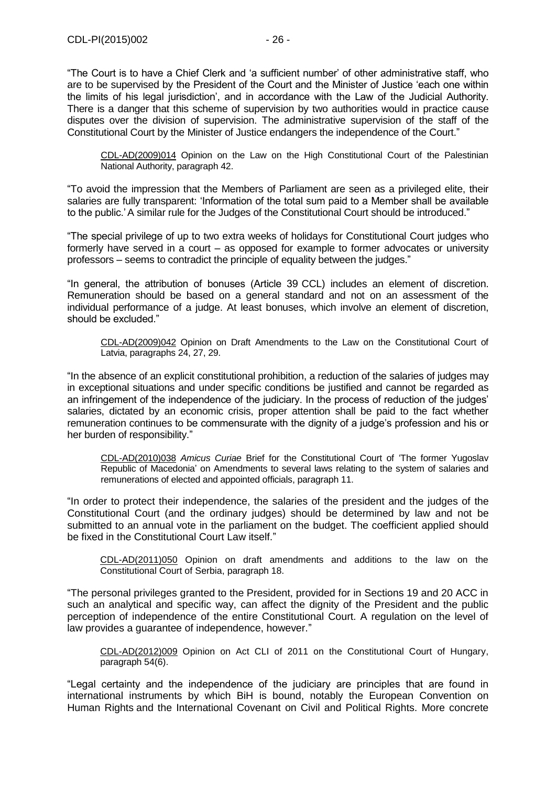"The Court is to have a Chief Clerk and 'a sufficient number' of other administrative staff, who are to be supervised by the President of the Court and the Minister of Justice 'each one within the limits of his legal jurisdiction', and in accordance with the Law of the Judicial Authority. There is a danger that this scheme of supervision by two authorities would in practice cause disputes over the division of supervision. The administrative supervision of the staff of the Constitutional Court by the Minister of Justice endangers the independence of the Court."

[CDL-AD\(2009\)014](http://www.venice.coe.int/docs/2009/CDL-AD(2009)014-E.pdf) Opinion on the Law on the High Constitutional Court of the Palestinian National Authority, paragraph 42.

"To avoid the impression that the Members of Parliament are seen as a privileged elite, their salaries are fully transparent: 'Information of the total sum paid to a Member shall be available to the public.'A similar rule for the Judges of the Constitutional Court should be introduced."

"The special privilege of up to two extra weeks of holidays for Constitutional Court judges who formerly have served in a court – as opposed for example to former advocates or university professors – seems to contradict the principle of equality between the judges."

"In general, the attribution of bonuses (Article 39 CCL) includes an element of discretion. Remuneration should be based on a general standard and not on an assessment of the individual performance of a judge. At least bonuses, which involve an element of discretion, should be excluded."

[CDL-AD\(2009\)042](http://www.venice.coe.int/docs/2009/CDL-AD(2009)042-E.pdf) Opinion on Draft Amendments to the Law on the Constitutional Court of Latvia, paragraphs 24, 27, 29.

"In the absence of an explicit constitutional prohibition, a reduction of the salaries of judges may in exceptional situations and under specific conditions be justified and cannot be regarded as an infringement of the independence of the judiciary. In the process of reduction of the judges' salaries, dictated by an economic crisis, proper attention shall be paid to the fact whether remuneration continues to be commensurate with the dignity of a judge's profession and his or her burden of responsibility."

[CDL-AD\(2010\)038](http://www.venice.coe.int/docs/2010/CDL-AD(2010)038-E.pdf) *Amicus Curiae* Brief for the Constitutional Court of 'The former Yugoslav Republic of Macedonia' on Amendments to several laws relating to the system of salaries and remunerations of elected and appointed officials, paragraph 11.

"In order to protect their independence, the salaries of the president and the judges of the Constitutional Court (and the ordinary judges) should be determined by law and not be submitted to an annual vote in the parliament on the budget. The coefficient applied should be fixed in the Constitutional Court Law itself."

CDL-AD(2011)050 [Opinion on draft amendments and additions to the law on the](http://www.venice.coe.int/docs/2011/CDL-AD(2011)050-e.pdf)  [Constitutional Court of Serbia, p](http://www.venice.coe.int/docs/2011/CDL-AD(2011)050-e.pdf)aragraph 18.

"The personal privileges granted to the President, provided for in Sections 19 and 20 ACC in such an analytical and specific way, can affect the dignity of the President and the public perception of independence of the entire Constitutional Court. A regulation on the level of law provides a guarantee of independence, however."

CDL-AD(2012)009 [Opinion on Act CLI of 2011 on the Constitutional Court of Hungary,](http://www.venice.coe.int/docs/2012/CDL-AD(2012)009-e.pdf)  paragraph 54(6).

"Legal certainty and the independence of the judiciary are principles that are found in international instruments by which BiH is bound, notably the European Convention on Human Rights and the International Covenant on Civil and Political Rights. More concrete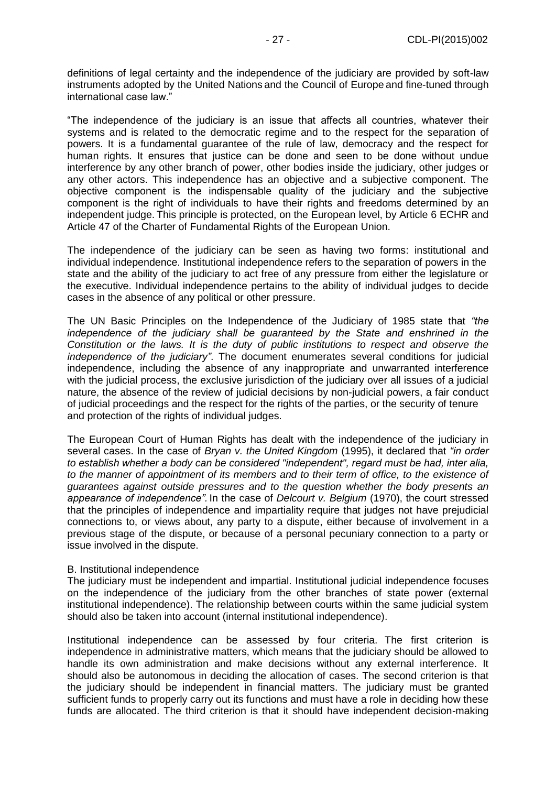definitions of legal certainty and the independence of the judiciary are provided by soft-law instruments adopted by the United Nations and the Council of Europe and fine-tuned through international case law."

"The independence of the judiciary is an issue that affects all countries, whatever their systems and is related to the democratic regime and to the respect for the separation of powers. It is a fundamental guarantee of the rule of law, democracy and the respect for human rights. It ensures that justice can be done and seen to be done without undue interference by any other branch of power, other bodies inside the judiciary, other judges or any other actors. This independence has an objective and a subjective component. The objective component is the indispensable quality of the judiciary and the subjective component is the right of individuals to have their rights and freedoms determined by an independent judge. This principle is protected, on the European level, by Article 6 ECHR and Article 47 of the Charter of Fundamental Rights of the European Union.

The independence of the judiciary can be seen as having two forms: institutional and individual independence. Institutional independence refers to the separation of powers in the state and the ability of the judiciary to act free of any pressure from either the legislature or the executive. Individual independence pertains to the ability of individual judges to decide cases in the absence of any political or other pressure.

The UN Basic Principles on the Independence of the Judiciary of 1985 state that *"the independence of the judiciary shall be guaranteed by the State and enshrined in the Constitution or the laws. It is the duty of public institutions to respect and observe the independence of the judiciary"*. The document enumerates several conditions for judicial independence, including the absence of any inappropriate and unwarranted interference with the judicial process, the exclusive jurisdiction of the judiciary over all issues of a judicial nature, the absence of the review of judicial decisions by non-judicial powers, a fair conduct of judicial proceedings and the respect for the rights of the parties, or the security of tenure and protection of the rights of individual judges.

The European Court of Human Rights has dealt with the independence of the judiciary in several cases. In the case of *Bryan v. the United Kingdom* (1995), it declared that *"in order to establish whether a body can be considered "independent", regard must be had, inter alia, to the manner of appointment of its members and to their term of office, to the existence of guarantees against outside pressures and to the question whether the body presents an appearance of independence".* In the case of *Delcourt v. Belgium* (1970), the court stressed that the principles of independence and impartiality require that judges not have prejudicial connections to, or views about, any party to a dispute, either because of involvement in a previous stage of the dispute, or because of a personal pecuniary connection to a party or issue involved in the dispute.

#### B. Institutional independence

The judiciary must be independent and impartial. Institutional judicial independence focuses on the independence of the judiciary from the other branches of state power (external institutional independence). The relationship between courts within the same judicial system should also be taken into account (internal institutional independence).

Institutional independence can be assessed by four criteria. The first criterion is independence in administrative matters, which means that the judiciary should be allowed to handle its own administration and make decisions without any external interference. It should also be autonomous in deciding the allocation of cases. The second criterion is that the judiciary should be independent in financial matters. The judiciary must be granted sufficient funds to properly carry out its functions and must have a role in deciding how these funds are allocated. The third criterion is that it should have independent decision-making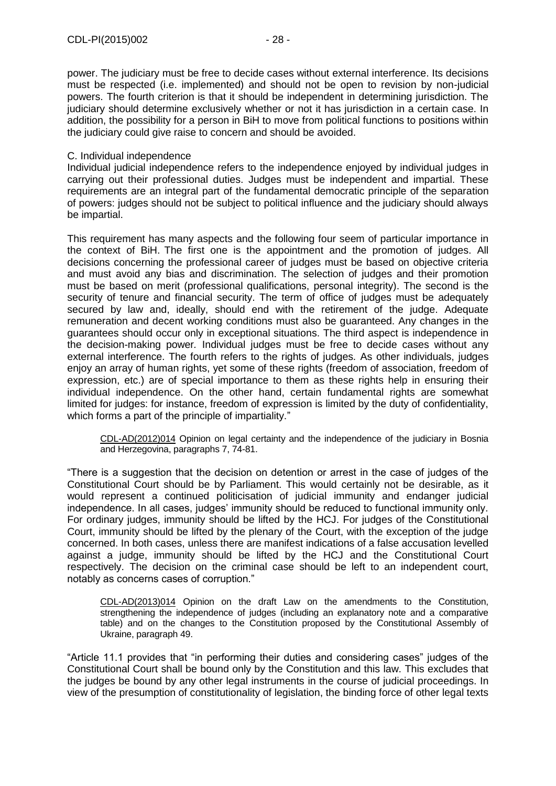power. The judiciary must be free to decide cases without external interference. Its decisions must be respected (i.e. implemented) and should not be open to revision by non-judicial powers. The fourth criterion is that it should be independent in determining jurisdiction. The judiciary should determine exclusively whether or not it has jurisdiction in a certain case. In addition, the possibility for a person in BiH to move from political functions to positions within the judiciary could give raise to concern and should be avoided.

#### C. Individual independence

Individual judicial independence refers to the independence enjoyed by individual judges in carrying out their professional duties. Judges must be independent and impartial. These requirements are an integral part of the fundamental democratic principle of the separation of powers: judges should not be subject to political influence and the judiciary should always be impartial.

This requirement has many aspects and the following four seem of particular importance in the context of BiH. The first one is the appointment and the promotion of judges. All decisions concerning the professional career of judges must be based on objective criteria and must avoid any bias and discrimination. The selection of judges and their promotion must be based on merit (professional qualifications, personal integrity). The second is the security of tenure and financial security. The term of office of judges must be adequately secured by law and, ideally, should end with the retirement of the judge. Adequate remuneration and decent working conditions must also be guaranteed. Any changes in the guarantees should occur only in exceptional situations. The third aspect is independence in the decision-making power*.* Individual judges must be free to decide cases without any external interference. The fourth refers to the rights of judges*.* As other individuals, judges enjoy an array of human rights, yet some of these rights (freedom of association, freedom of expression, etc.) are of special importance to them as these rights help in ensuring their individual independence. On the other hand, certain fundamental rights are somewhat limited for judges: for instance, freedom of expression is limited by the duty of confidentiality, which forms a part of the principle of impartiality."

CDL-AD(2012)014 Opinion on legal certainty and the independence of the judiciary in Bosnia and Herzegovina, paragraphs 7, 74-81.

"There is a suggestion that the decision on detention or arrest in the case of judges of the Constitutional Court should be by Parliament. This would certainly not be desirable, as it would represent a continued politicisation of judicial immunity and endanger judicial independence. In all cases, judges' immunity should be reduced to functional immunity only. For ordinary judges, immunity should be lifted by the HCJ. For judges of the Constitutional Court, immunity should be lifted by the plenary of the Court, with the exception of the judge concerned. In both cases, unless there are manifest indications of a false accusation levelled against a judge, immunity should be lifted by the HCJ and the Constitutional Court respectively. The decision on the criminal case should be left to an independent court, notably as concerns cases of corruption."

CDL-AD(2013)014 Opinion on the draft Law on the amendments to the Constitution, strengthening the independence of judges (including an explanatory note and a comparative table) and on the changes to the Constitution proposed by the Constitutional Assembly of Ukraine, paragraph 49.

"Article 11.1 provides that "in performing their duties and considering cases" judges of the Constitutional Court shall be bound only by the Constitution and this law. This excludes that the judges be bound by any other legal instruments in the course of judicial proceedings. In view of the presumption of constitutionality of legislation, the binding force of other legal texts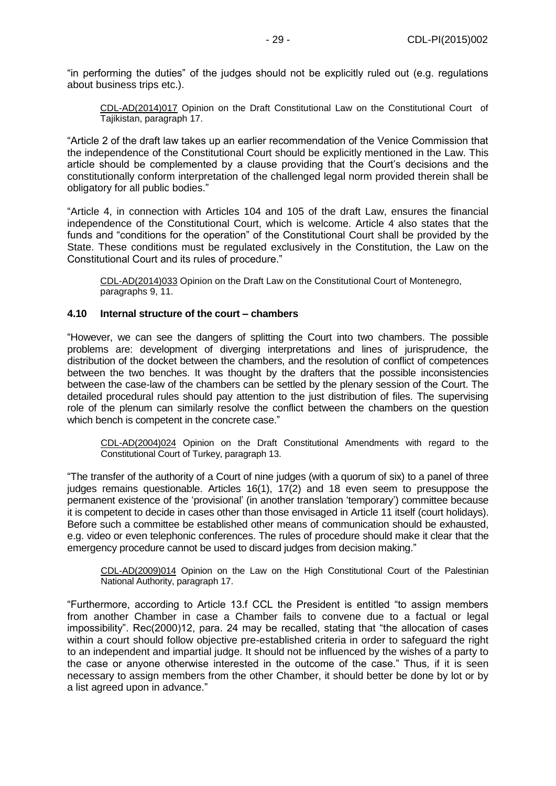"in performing the duties" of the judges should not be explicitly ruled out (e.g. regulations about business trips etc.).

CDL-AD(2014)017 Opinion on the Draft Constitutional Law on the Constitutional Court of Tajikistan, paragraph 17.

"Article 2 of the draft law takes up an earlier recommendation of the Venice Commission that the independence of the Constitutional Court should be explicitly mentioned in the Law. This article should be complemented by a clause providing that the Court's decisions and the constitutionally conform interpretation of the challenged legal norm provided therein shall be obligatory for all public bodies."

"Article 4, in connection with Articles 104 and 105 of the draft Law, ensures the financial independence of the Constitutional Court, which is welcome. Article 4 also states that the funds and "conditions for the operation" of the Constitutional Court shall be provided by the State. These conditions must be regulated exclusively in the Constitution, the Law on the Constitutional Court and its rules of procedure."

CDL-AD(2014)033 Opinion on the Draft Law on the Constitutional Court of Montenegro, paragraphs 9, 11.

#### <span id="page-28-0"></span>**4.10 Internal structure of the court – chambers**

"However, we can see the dangers of splitting the Court into two chambers. The possible problems are: development of diverging interpretations and lines of jurisprudence, the distribution of the docket between the chambers, and the resolution of conflict of competences between the two benches. It was thought by the drafters that the possible inconsistencies between the case-law of the chambers can be settled by the plenary session of the Court. The detailed procedural rules should pay attention to the just distribution of files. The supervising role of the plenum can similarly resolve the conflict between the chambers on the question which bench is competent in the concrete case."

[CDL-AD\(2004\)024](file:///C:/Users/gerwien/AppData/Local/Microsoft/Windows/Temporary%20Internet%20Files/docs/2004/CDL-AD(2004)024-e.asp) Opinion on the Draft Constitutional Amendments with regard to the Constitutional Court of Turkey, paragraph 13.

"The transfer of the authority of a Court of nine judges (with a quorum of six) to a panel of three judges remains questionable. Articles 16(1), 17(2) and 18 even seem to presuppose the permanent existence of the 'provisional' (in another translation 'temporary') committee because it is competent to decide in cases other than those envisaged in Article 11 itself (court holidays). Before such a committee be established other means of communication should be exhausted, e.g. video or even telephonic conferences. The rules of procedure should make it clear that the emergency procedure cannot be used to discard judges from decision making."

[CDL-AD\(2009\)014](http://www.venice.coe.int/docs/2009/CDL-AD(2009)014-E.pdf) Opinion on the Law on the High Constitutional Court of the Palestinian National Authority, paragraph 17.

"Furthermore, according to Article 13.f CCL the President is entitled "to assign members from another Chamber in case a Chamber fails to convene due to a factual or legal impossibility". Rec(2000)12, para. 24 may be recalled, stating that "the allocation of cases within a court should follow objective pre-established criteria in order to safeguard the right to an independent and impartial judge. It should not be influenced by the wishes of a party to the case or anyone otherwise interested in the outcome of the case." Thus, if it is seen necessary to assign members from the other Chamber, it should better be done by lot or by a list agreed upon in advance."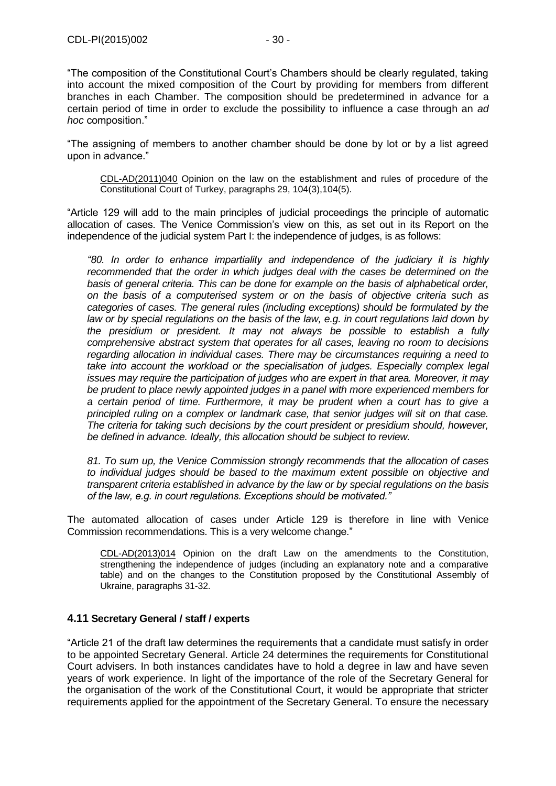"The composition of the Constitutional Court's Chambers should be clearly regulated, taking into account the mixed composition of the Court by providing for members from different branches in each Chamber. The composition should be predetermined in advance for a certain period of time in order to exclude the possibility to influence a case through an *ad hoc* composition."

"The assigning of members to another chamber should be done by lot or by a list agreed upon in advance."

CDL-AD(2011)040 Opinion on the law on the establishment and rules of procedure of the Constitutional Court of Turkey, paragraphs 29, 104(3),104(5).

"Article 129 will add to the main principles of judicial proceedings the principle of automatic allocation of cases. The Venice Commission's view on this, as set out in its Report on the independence of the judicial system Part I: the independence of judges, is as follows:

*"80. In order to enhance impartiality and independence of the judiciary it is highly recommended that the order in which judges deal with the cases be determined on the basis of general criteria. This can be done for example on the basis of alphabetical order, on the basis of a computerised system or on the basis of objective criteria such as categories of cases. The general rules (including exceptions) should be formulated by the law or by special regulations on the basis of the law, e.g. in court regulations laid down by the presidium or president. It may not always be possible to establish a fully comprehensive abstract system that operates for all cases, leaving no room to decisions regarding allocation in individual cases. There may be circumstances requiring a need to take into account the workload or the specialisation of judges. Especially complex legal issues may require the participation of judges who are expert in that area. Moreover, it may be prudent to place newly appointed judges in a panel with more experienced members for a certain period of time. Furthermore, it may be prudent when a court has to give a principled ruling on a complex or landmark case, that senior judges will sit on that case. The criteria for taking such decisions by the court president or presidium should, however, be defined in advance. Ideally, this allocation should be subject to review.*

*81. To sum up, the Venice Commission strongly recommends that the allocation of cases to individual judges should be based to the maximum extent possible on objective and transparent criteria established in advance by the law or by special regulations on the basis of the law, e.g. in court regulations. Exceptions should be motivated."*

The automated allocation of cases under Article 129 is therefore in line with Venice Commission recommendations. This is a very welcome change."

CDL-AD(2013)014 Opinion on the draft Law on the amendments to the Constitution, strengthening the independence of judges (including an explanatory note and a comparative table) and on the changes to the Constitution proposed by the Constitutional Assembly of Ukraine, paragraphs 31-32.

## <span id="page-29-0"></span>**4.11 Secretary General / staff / experts**

"Article 21 of the draft law determines the requirements that a candidate must satisfy in order to be appointed Secretary General. Article 24 determines the requirements for Constitutional Court advisers. In both instances candidates have to hold a degree in law and have seven years of work experience. In light of the importance of the role of the Secretary General for the organisation of the work of the Constitutional Court, it would be appropriate that stricter requirements applied for the appointment of the Secretary General. To ensure the necessary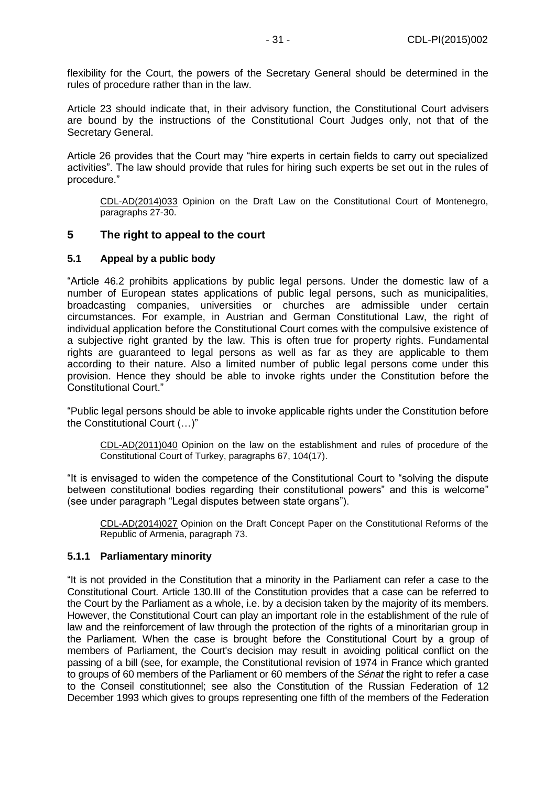flexibility for the Court, the powers of the Secretary General should be determined in the rules of procedure rather than in the law.

Article 23 should indicate that, in their advisory function, the Constitutional Court advisers are bound by the instructions of the Constitutional Court Judges only, not that of the Secretary General.

Article 26 provides that the Court may "hire experts in certain fields to carry out specialized activities". The law should provide that rules for hiring such experts be set out in the rules of procedure."

CDL-AD(2014)033 Opinion on the Draft Law on the Constitutional Court of Montenegro, paragraphs 27-30.

# <span id="page-30-0"></span>**5 The right to appeal to the court**

#### <span id="page-30-1"></span>**5.1 Appeal by a public body**

"Article 46.2 prohibits applications by public legal persons. Under the domestic law of a number of European states applications of public legal persons, such as municipalities, broadcasting companies, universities or churches are admissible under certain circumstances. For example, in Austrian and German Constitutional Law, the right of individual application before the Constitutional Court comes with the compulsive existence of a subjective right granted by the law. This is often true for property rights. Fundamental rights are guaranteed to legal persons as well as far as they are applicable to them according to their nature. Also a limited number of public legal persons come under this provision. Hence they should be able to invoke rights under the Constitution before the Constitutional Court."

"Public legal persons should be able to invoke applicable rights under the Constitution before the Constitutional Court (…)"

CDL-AD(2011)040 Opinion on the law on the establishment and rules of procedure of the Constitutional Court of Turkey, paragraphs 67, 104(17).

"It is envisaged to widen the competence of the Constitutional Court to "solving the dispute between constitutional bodies regarding their constitutional powers" and this is welcome" (see under paragraph "Legal disputes between state organs").

CDL-AD(2014)027 Opinion on the Draft Concept Paper on the Constitutional Reforms of the Republic of Armenia, paragraph 73.

#### <span id="page-30-2"></span>**5.1.1 Parliamentary minority**

"It is not provided in the Constitution that a minority in the Parliament can refer a case to the Constitutional Court. Article 130.III of the Constitution provides that a case can be referred to the Court by the Parliament as a whole, i.e. by a decision taken by the majority of its members. However, the Constitutional Court can play an important role in the establishment of the rule of law and the reinforcement of law through the protection of the rights of a minoritarian group in the Parliament. When the case is brought before the Constitutional Court by a group of members of Parliament, the Court's decision may result in avoiding political conflict on the passing of a bill (see, for example, the Constitutional revision of 1974 in France which granted to groups of 60 members of the Parliament or 60 members of the *Sénat* the right to refer a case to the Conseil constitutionnel; see also the Constitution of the Russian Federation of 12 December 1993 which gives to groups representing one fifth of the members of the Federation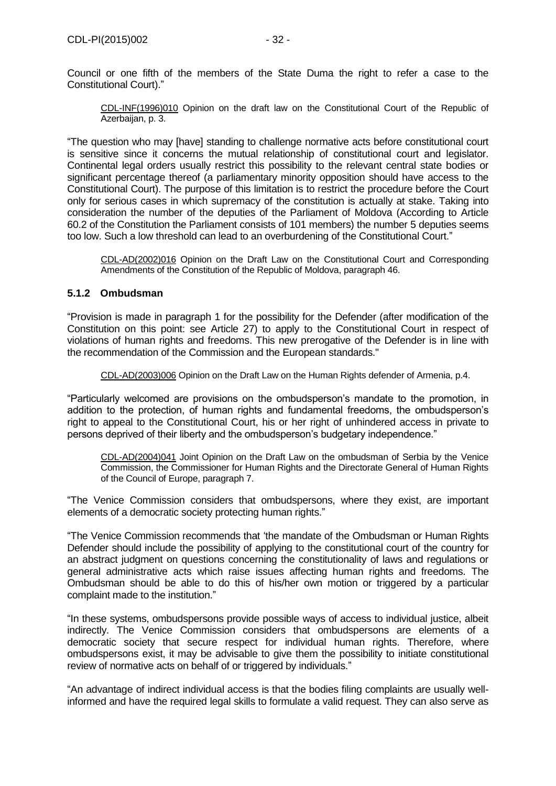[CDL-INF\(1996\)010](file:///C:/Users/gerwien/AppData/Local/Microsoft/Windows/Temporary%20Internet%20Files/docs/1996/CDL-INF(1996)010-e.asp) Opinion on the draft law on the Constitutional Court of the Republic of Azerbaijan, p. 3.

"The question who may [have] standing to challenge normative acts before constitutional court is sensitive since it concerns the mutual relationship of constitutional court and legislator. Continental legal orders usually restrict this possibility to the relevant central state bodies or significant percentage thereof (a parliamentary minority opposition should have access to the Constitutional Court). The purpose of this limitation is to restrict the procedure before the Court only for serious cases in which supremacy of the constitution is actually at stake. Taking into consideration the number of the deputies of the Parliament of Moldova (According to Article 60.2 of the Constitution the Parliament consists of 101 members) the number 5 deputies seems too low. Such a low threshold can lead to an overburdening of the Constitutional Court."

[CDL-AD\(2002\)016](file:///C:/Users/gerwien/AppData/Local/Microsoft/Windows/Temporary%20Internet%20Files/docs/2002/CDL-AD(2002)016-e.asp) Opinion on the Draft Law on the Constitutional Court and Corresponding Amendments of the Constitution of the Republic of Moldova, paragraph 46.

# <span id="page-31-0"></span>**5.1.2 Ombudsman**

"Provision is made in paragraph 1 for the possibility for the Defender (after modification of the Constitution on this point: see Article 27) to apply to the Constitutional Court in respect of violations of human rights and freedoms. This new prerogative of the Defender is in line with the recommendation of the Commission and the European standards."

[CDL-AD\(2003\)006](file:///C:/Users/gerwien/AppData/Local/Microsoft/Windows/Temporary%20Internet%20Files/docs/2003/CDL-AD(2003)006-e.asp) Opinion on the Draft Law on the Human Rights defender of Armenia, p.4.

"Particularly welcomed are provisions on the ombudsperson's mandate to the promotion, in addition to the protection, of human rights and fundamental freedoms, the ombudsperson's right to appeal to the Constitutional Court, his or her right of unhindered access in private to persons deprived of their liberty and the ombudsperson's budgetary independence."

[CDL-AD\(2004\)041](file:///C:/Users/gerwien/AppData/Local/Microsoft/Windows/Temporary%20Internet%20Files/docs/2004/CDL-AD(2004)041-e.asp) Joint Opinion on the Draft Law on the ombudsman of Serbia by the Venice Commission, the Commissioner for Human Rights and the Directorate General of Human Rights of the Council of Europe, paragraph 7.

"The Venice Commission considers that ombudspersons, where they exist, are important elements of a democratic society protecting human rights."

"The Venice Commission recommends that 'the mandate of the Ombudsman or Human Rights Defender should include the possibility of applying to the constitutional court of the country for an abstract judgment on questions concerning the constitutionality of laws and regulations or general administrative acts which raise issues affecting human rights and freedoms. The Ombudsman should be able to do this of his/her own motion or triggered by a particular complaint made to the institution."

"In these systems, ombudspersons provide possible ways of access to individual justice, albeit indirectly. The Venice Commission considers that ombudspersons are elements of a democratic society that secure respect for individual human rights. Therefore, where ombudspersons exist, it may be advisable to give them the possibility to initiate constitutional review of normative acts on behalf of or triggered by individuals."

"An advantage of indirect individual access is that the bodies filing complaints are usually wellinformed and have the required legal skills to formulate a valid request. They can also serve as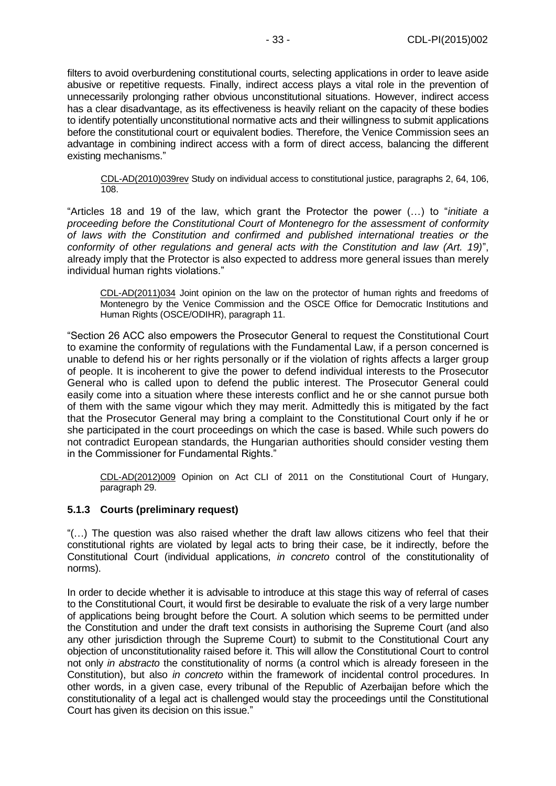filters to avoid overburdening constitutional courts, selecting applications in order to leave aside abusive or repetitive requests. Finally, indirect access plays a vital role in the prevention of unnecessarily prolonging rather obvious unconstitutional situations. However, indirect access has a clear disadvantage, as its effectiveness is heavily reliant on the capacity of these bodies to identify potentially unconstitutional normative acts and their willingness to submit applications before the constitutional court or equivalent bodies. Therefore, the Venice Commission sees an advantage in combining indirect access with a form of direct access, balancing the different existing mechanisms."

[CDL-AD\(2010\)039rev](http://www.venice.coe.int/docs/2010/CDL-AD(2010)039rev-E.pdf) Study on individual access to constitutional justice, paragraphs 2, 64, 106, 108.

"Articles 18 and 19 of the law, which grant the Protector the power (…) to "*initiate a proceeding before the Constitutional Court of Montenegro for the assessment of conformity of laws with the Constitution and confirmed and published international treaties or the conformity of other regulations and general acts with the Constitution and law (Art. 19)*", already imply that the Protector is also expected to address more general issues than merely individual human rights violations."

CDL-AD(2011)034 Joint [opinion on the law on the protector of human rights and freedoms of](http://www.venice.coe.int/docs/2011/CDL-AD(2011)034-e.pdf)  [Montenegro by the Venice Commission and the OSCE Office for Democratic Institutions and](http://www.venice.coe.int/docs/2011/CDL-AD(2011)034-e.pdf)  [Human Rights \(OSCE/ODIHR\), p](http://www.venice.coe.int/docs/2011/CDL-AD(2011)034-e.pdf)aragraph 11.

"Section 26 ACC also empowers the Prosecutor General to request the Constitutional Court to examine the conformity of regulations with the Fundamental Law, if a person concerned is unable to defend his or her rights personally or if the violation of rights affects a larger group of people. It is incoherent to give the power to defend individual interests to the Prosecutor General who is called upon to defend the public interest. The Prosecutor General could easily come into a situation where these interests conflict and he or she cannot pursue both of them with the same vigour which they may merit. Admittedly this is mitigated by the fact that the Prosecutor General may bring a complaint to the Constitutional Court only if he or she participated in the court proceedings on which the case is based. While such powers do not contradict European standards, the Hungarian authorities should consider vesting them in the Commissioner for Fundamental Rights."

CDL-AD(2012)009 [Opinion on Act CLI of 2011 on the Constitutional Court of Hungary,](http://www.venice.coe.int/docs/2012/CDL-AD(2012)009-e.pdf)  paragraph 29.

## <span id="page-32-0"></span>**5.1.3 Courts (preliminary request)**

"(…) The question was also raised whether the draft law allows citizens who feel that their constitutional rights are violated by legal acts to bring their case, be it indirectly, before the Constitutional Court (individual applications, *in concreto* control of the constitutionality of norms).

In order to decide whether it is advisable to introduce at this stage this way of referral of cases to the Constitutional Court, it would first be desirable to evaluate the risk of a very large number of applications being brought before the Court. A solution which seems to be permitted under the Constitution and under the draft text consists in authorising the Supreme Court (and also any other jurisdiction through the Supreme Court) to submit to the Constitutional Court any objection of unconstitutionality raised before it. This will allow the Constitutional Court to control not only *in abstracto* the constitutionality of norms (a control which is already foreseen in the Constitution), but also *in concreto* within the framework of incidental control procedures. In other words, in a given case, every tribunal of the Republic of Azerbaijan before which the constitutionality of a legal act is challenged would stay the proceedings until the Constitutional Court has given its decision on this issue."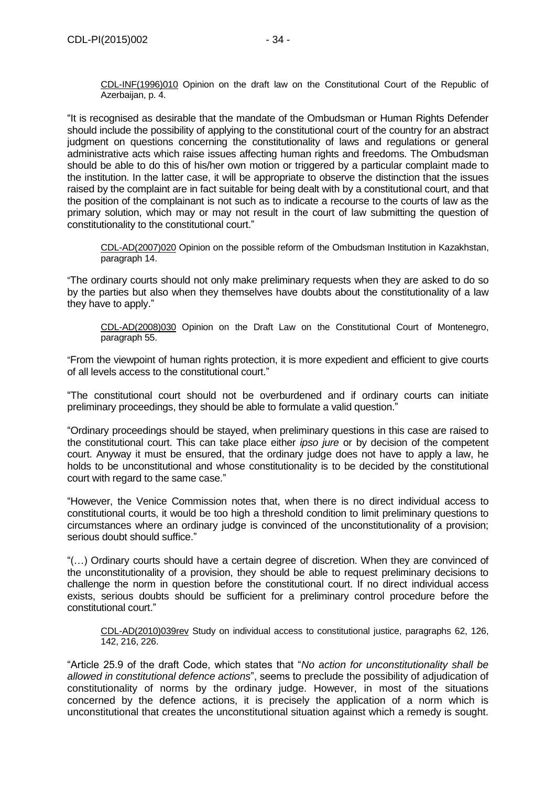[CDL-INF\(1996\)010](file:///C:/Users/gerwien/AppData/Local/Microsoft/Windows/Temporary%20Internet%20Files/docs/1996/CDL-INF(1996)010-e.asp) Opinion on the draft law on the Constitutional Court of the Republic of Azerbaijan, p. 4.

"It is recognised as desirable that the mandate of the Ombudsman or Human Rights Defender should include the possibility of applying to the constitutional court of the country for an abstract judgment on questions concerning the constitutionality of laws and regulations or general administrative acts which raise issues affecting human rights and freedoms. The Ombudsman should be able to do this of his/her own motion or triggered by a particular complaint made to the institution. In the latter case, it will be appropriate to observe the distinction that the issues raised by the complaint are in fact suitable for being dealt with by a constitutional court, and that the position of the complainant is not such as to indicate a recourse to the courts of law as the primary solution, which may or may not result in the court of law submitting the question of constitutionality to the constitutional court."

[CDL-AD\(2007\)020](http://www.venice.coe.int/docs/2007/CDL-AD(2007)020-E.pdf) Opinion on the possible reform of the Ombudsman Institution in Kazakhstan, paragraph 14.

"The ordinary courts should not only make preliminary requests when they are asked to do so by the parties but also when they themselves have doubts about the constitutionality of a law they have to apply."

[CDL-AD\(2008\)030](http://www.venice.coe.int/docs/2008/CDL-AD(2008)030-E.pdf) Opinion on the Draft Law on the Constitutional Court of Montenegro, paragraph 55.

"From the viewpoint of human rights protection, it is more expedient and efficient to give courts of all levels access to the constitutional court."

"The constitutional court should not be overburdened and if ordinary courts can initiate preliminary proceedings, they should be able to formulate a valid question."

"Ordinary proceedings should be stayed, when preliminary questions in this case are raised to the constitutional court. This can take place either *ipso jure* or by decision of the competent court. Anyway it must be ensured, that the ordinary judge does not have to apply a law, he holds to be unconstitutional and whose constitutionality is to be decided by the constitutional court with regard to the same case."

"However, the Venice Commission notes that, when there is no direct individual access to constitutional courts, it would be too high a threshold condition to limit preliminary questions to circumstances where an ordinary judge is convinced of the unconstitutionality of a provision; serious doubt should suffice."

"(…) Ordinary courts should have a certain degree of discretion. When they are convinced of the unconstitutionality of a provision, they should be able to request preliminary decisions to challenge the norm in question before the constitutional court. If no direct individual access exists, serious doubts should be sufficient for a preliminary control procedure before the constitutional court."

[CDL-AD\(2010\)039rev](http://www.venice.coe.int/docs/2010/CDL-AD(2010)039rev-E.pdf) Study on individual access to constitutional justice, paragraphs 62, 126, 142, 216, 226.

"Article 25.9 of the draft Code, which states that "*No action for unconstitutionality shall be allowed in constitutional defence actions*", seems to preclude the possibility of adjudication of constitutionality of norms by the ordinary judge. However, in most of the situations concerned by the defence actions, it is precisely the application of a norm which is unconstitutional that creates the unconstitutional situation against which a remedy is sought.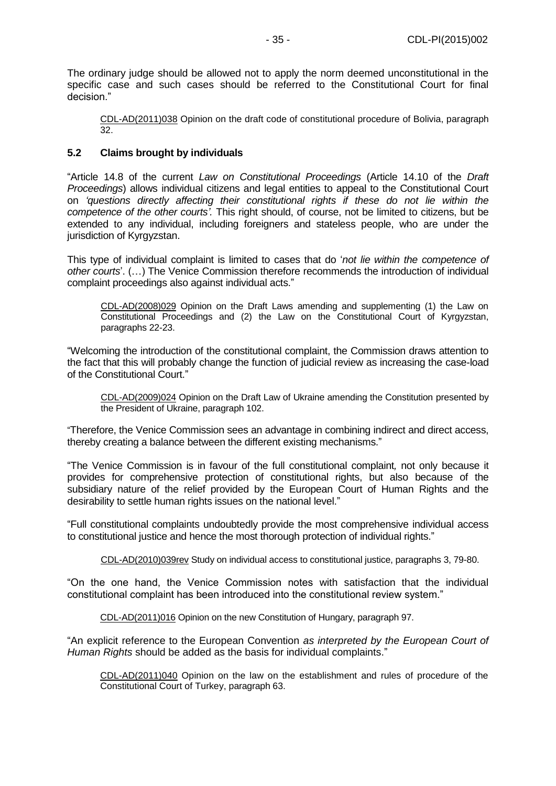The ordinary judge should be allowed not to apply the norm deemed unconstitutional in the specific case and such cases should be referred to the Constitutional Court for final decision."

CDL-AD(2011)038 Opinion on the draft code of constitutional procedure of Bolivia, paragraph 32.

## <span id="page-34-0"></span>**5.2 Claims brought by individuals**

"Article 14.8 of the current *Law on Constitutional Proceedings* (Article 14.10 of the *Draft Proceedings*) allows individual citizens and legal entities to appeal to the Constitutional Court on *'questions directly affecting their constitutional rights if these do not lie within the competence of the other courts'.* This right should, of course, not be limited to citizens, but be extended to any individual, including foreigners and stateless people, who are under the jurisdiction of Kyrgyzstan.

This type of individual complaint is limited to cases that do '*not lie within the competence of other courts*'. (…) The Venice Commission therefore recommends the introduction of individual complaint proceedings also against individual acts."

[CDL-AD\(2008\)029](http://www.venice.coe.int/docs/2008/CDL-AD(2008)029-E.pdf) Opinion on the Draft Laws amending and supplementing (1) the Law on Constitutional Proceedings and (2) the Law on the Constitutional Court of Kyrgyzstan, paragraphs 22-23.

"Welcoming the introduction of the constitutional complaint, the Commission draws attention to the fact that this will probably change the function of judicial review as increasing the case-load of the Constitutional Court."

[CDL-AD\(2009\)024](http://www.venice.coe.int/docs/2009/CDL-AD(2009)024-E.pdf) Opinion on the Draft Law of Ukraine amending the Constitution presented by the President of Ukraine, paragraph 102.

"Therefore, the Venice Commission sees an advantage in combining indirect and direct access, thereby creating a balance between the different existing mechanisms."

"The Venice Commission is in favour of the full constitutional complaint*,* not only because it provides for comprehensive protection of constitutional rights, but also because of the subsidiary nature of the relief provided by the European Court of Human Rights and the desirability to settle human rights issues on the national level."

"Full constitutional complaints undoubtedly provide the most comprehensive individual access to constitutional justice and hence the most thorough protection of individual rights."

[CDL-AD\(2010\)039rev](http://www.venice.coe.int/docs/2010/CDL-AD(2010)039rev-E.pdf) Study on individual access to constitutional justice, paragraphs 3, 79-80.

"On the one hand, the Venice Commission notes with satisfaction that the individual constitutional complaint has been introduced into the constitutional review system."

CDL-AD(2011)016 [Opinion on the new Constitution of Hungary, p](http://www.venice.coe.int/docs/2011/CDL-AD(2011)016-e.pdf)aragraph 97.

"An explicit reference to the European Convention *as interpreted by the European Court of Human Rights* should be added as the basis for individual complaints."

CDL-AD(2011)040 Opinion on the law on the establishment and rules of procedure of the Constitutional Court of Turkey, paragraph 63.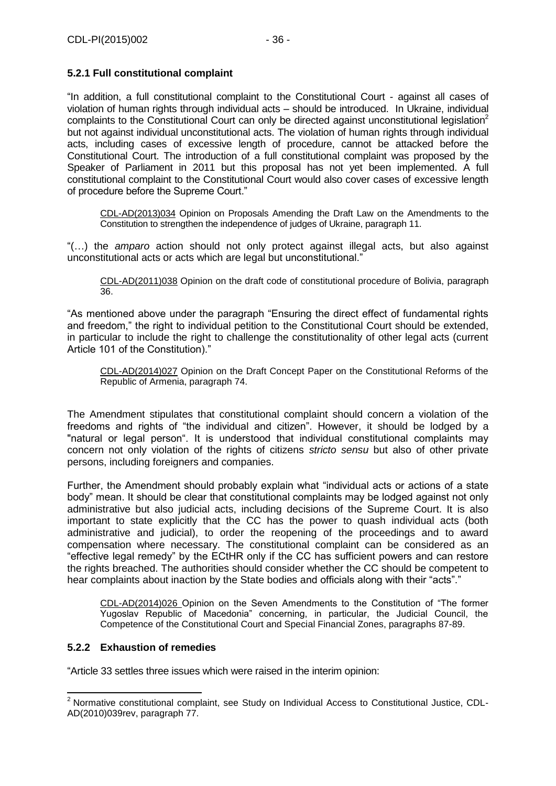# <span id="page-35-0"></span>**5.2.1 Full constitutional complaint**

"In addition, a full constitutional complaint to the Constitutional Court - against all cases of violation of human rights through individual acts – should be introduced. In Ukraine, individual complaints to the Constitutional Court can only be directed against unconstitutional legislation<sup>2</sup> but not against individual unconstitutional acts. The violation of human rights through individual acts, including cases of excessive length of procedure, cannot be attacked before the Constitutional Court. The introduction of a full constitutional complaint was proposed by the Speaker of Parliament in 2011 but this proposal has not yet been implemented. A full constitutional complaint to the Constitutional Court would also cover cases of excessive length of procedure before the Supreme Court."

CDL-AD(2013)034 Opinion on Proposals Amending the Draft Law on the Amendments to the Constitution to strengthen the independence of judges of Ukraine, paragraph 11.

"(…) the *amparo* action should not only protect against illegal acts, but also against unconstitutional acts or acts which are legal but unconstitutional."

CDL-AD(2011)038 Opinion on the draft code of constitutional procedure of Bolivia, paragraph 36.

"As mentioned above under the paragraph "Ensuring the direct effect of fundamental rights and freedom," the right to individual petition to the Constitutional Court should be extended, in particular to include the right to challenge the constitutionality of other legal acts (current Article 101 of the Constitution)."

CDL-AD(2014)027 Opinion on the Draft Concept Paper on the Constitutional Reforms of the Republic of Armenia, paragraph 74.

The Amendment stipulates that constitutional complaint should concern a violation of the freedoms and rights of "the individual and citizen". However, it should be lodged by a "natural or legal person". It is understood that individual constitutional complaints may concern not only violation of the rights of citizens *stricto sensu* but also of other private persons, including foreigners and companies.

Further, the Amendment should probably explain what "individual acts or actions of a state body" mean. It should be clear that constitutional complaints may be lodged against not only administrative but also judicial acts, including decisions of the Supreme Court. It is also important to state explicitly that the CC has the power to quash individual acts (both administrative and judicial), to order the reopening of the proceedings and to award compensation where necessary. The constitutional complaint can be considered as an "effective legal remedy" by the ECtHR only if the CC has sufficient powers and can restore the rights breached. The authorities should consider whether the CC should be competent to hear complaints about inaction by the State bodies and officials along with their "acts"."

CDL-AD(2014)026 Opinion on the Seven Amendments to the Constitution of "The former Yugoslav Republic of Macedonia" concerning, in particular, the Judicial Council, the Competence of the Constitutional Court and Special Financial Zones, paragraphs 87-89.

## <span id="page-35-1"></span>**5.2.2 Exhaustion of remedies**

-

"Article 33 settles three issues which were raised in the interim opinion:

 $2$  Normative constitutional complaint, see Study on Individual Access to Constitutional Justice, CDL-AD(2010)039rev, paragraph 77.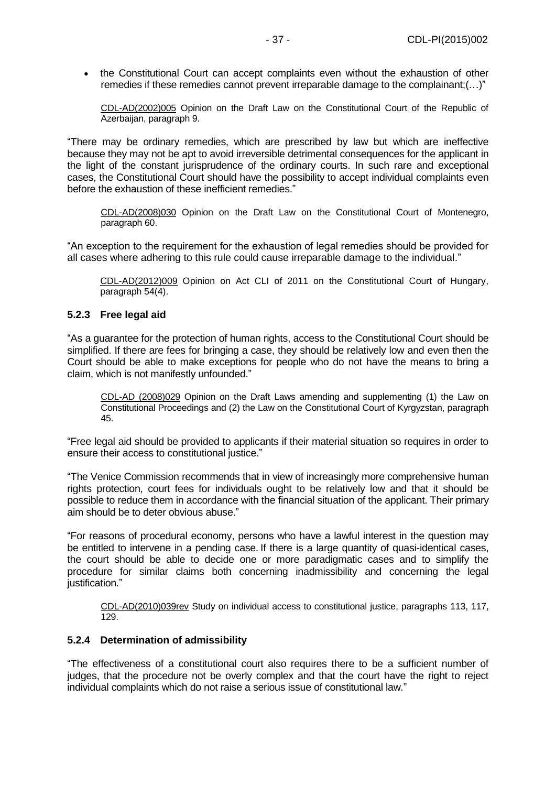• the Constitutional Court can accept complaints even without the exhaustion of other remedies if these remedies cannot prevent irreparable damage to the complainant;(…)"

[CDL-AD\(2002\)005](file:///C:/Users/gerwien/AppData/Local/Microsoft/Windows/Temporary%20Internet%20Files/docs/2002/CDL-AD(2002)005-e.asp) Opinion on the Draft Law on the Constitutional Court of the Republic of Azerbaijan, paragraph 9.

"There may be ordinary remedies, which are prescribed by law but which are ineffective because they may not be apt to avoid irreversible detrimental consequences for the applicant in the light of the constant jurisprudence of the ordinary courts. In such rare and exceptional cases, the Constitutional Court should have the possibility to accept individual complaints even before the exhaustion of these inefficient remedies."

[CDL-AD\(2008\)030](http://www.venice.coe.int/docs/2008/CDL-AD(2008)030-E.pdf) Opinion on the Draft Law on the Constitutional Court of Montenegro, paragraph 60.

"An exception to the requirement for the exhaustion of legal remedies should be provided for all cases where adhering to this rule could cause irreparable damage to the individual."

CDL-AD(2012)009 [Opinion on Act CLI of 2011 on the Constitutional Court of Hungary,](http://www.venice.coe.int/docs/2012/CDL-AD(2012)009-e.pdf)  paragraph 54(4).

#### <span id="page-36-0"></span>**5.2.3 Free legal aid**

"As a guarantee for the protection of human rights, access to the Constitutional Court should be simplified. If there are fees for bringing a case, they should be relatively low and even then the Court should be able to make exceptions for people who do not have the means to bring a claim, which is not manifestly unfounded."

[CDL-AD \(2008\)029](http://www.venice.coe.int/docs/2008/CDL-AD%20(2008)029-E.pdf) Opinion on the Draft Laws amending and supplementing (1) the Law on Constitutional Proceedings and (2) the Law on the Constitutional Court of Kyrgyzstan, paragraph 45.

"Free legal aid should be provided to applicants if their material situation so requires in order to ensure their access to constitutional justice."

"The Venice Commission recommends that in view of increasingly more comprehensive human rights protection, court fees for individuals ought to be relatively low and that it should be possible to reduce them in accordance with the financial situation of the applicant. Their primary aim should be to deter obvious abuse."

"For reasons of procedural economy, persons who have a lawful interest in the question may be entitled to intervene in a pending case. If there is a large quantity of quasi-identical cases, the court should be able to decide one or more paradigmatic cases and to simplify the procedure for similar claims both concerning inadmissibility and concerning the legal iustification."

[CDL-AD\(2010\)039rev](http://www.venice.coe.int/docs/2010/CDL-AD(2010)039rev-E.pdf) Study on individual access to constitutional justice, paragraphs 113, 117, 129.

#### <span id="page-36-1"></span>**5.2.4 Determination of admissibility**

"The effectiveness of a constitutional court also requires there to be a sufficient number of judges, that the procedure not be overly complex and that the court have the right to reject individual complaints which do not raise a serious issue of constitutional law."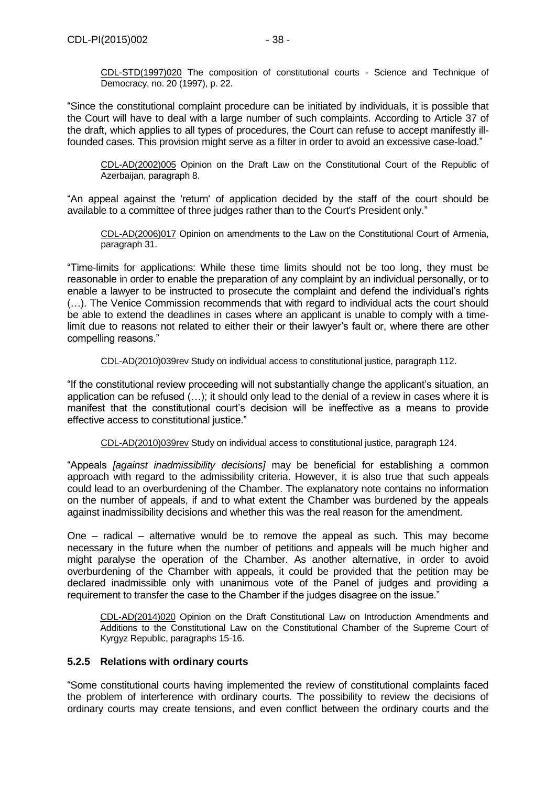[CDL-STD\(1997\)020](file:///C:/Users/gerwien/AppData/Local/Microsoft/Windows/Temporary%20Internet%20Files/docs/1997/CDL-STD(1997)020-e.asp) The composition of constitutional courts - Science and Technique of Democracy, no. 20 (1997), p. 22.

"Since the constitutional complaint procedure can be initiated by individuals, it is possible that the Court will have to deal with a large number of such complaints. According to Article 37 of the draft, which applies to all types of procedures, the Court can refuse to accept manifestly illfounded cases. This provision might serve as a filter in order to avoid an excessive case-load."

[CDL-AD\(2002\)005](file:///C:/Users/gerwien/AppData/Local/Microsoft/Windows/Temporary%20Internet%20Files/docs/2002/CDL-AD(2002)005-e.asp) Opinion on the Draft Law on the Constitutional Court of the Republic of Azerbaijan, paragraph 8.

"An appeal against the 'return' of application decided by the staff of the court should be available to a committee of three judges rather than to the Court's President only."

[CDL-AD\(2006\)017](file:///C:/Users/gerwien/AppData/Local/Microsoft/Windows/Temporary%20Internet%20Files/docs/2006/CDL-AD(2006)017-e.asp) Opinion on amendments to the Law on the Constitutional Court of Armenia, paragraph 31.

"Time-limits for applications: While these time limits should not be too long, they must be reasonable in order to enable the preparation of any complaint by an individual personally, or to enable a lawyer to be instructed to prosecute the complaint and defend the individual's rights (…). The Venice Commission recommends that with regard to individual acts the court should be able to extend the deadlines in cases where an applicant is unable to comply with a timelimit due to reasons not related to either their or their lawyer's fault or, where there are other compelling reasons."

[CDL-AD\(2010\)039rev](http://www.venice.coe.int/docs/2010/CDL-AD(2010)039rev-E.pdf) Study on individual access to constitutional justice, paragraph 112.

"If the constitutional review proceeding will not substantially change the applicant's situation, an application can be refused (…); it should only lead to the denial of a review in cases where it is manifest that the constitutional court's decision will be ineffective as a means to provide effective access to constitutional justice."

[CDL-AD\(2010\)039rev](http://www.venice.coe.int/docs/2010/CDL-AD(2010)039rev-E.pdf) Study on individual access to constitutional justice, paragraph 124.

"Appeals *[against inadmissibility decisions]* may be beneficial for establishing a common approach with regard to the admissibility criteria. However, it is also true that such appeals could lead to an overburdening of the Chamber. The explanatory note contains no information on the number of appeals, if and to what extent the Chamber was burdened by the appeals against inadmissibility decisions and whether this was the real reason for the amendment.

One – radical – alternative would be to remove the appeal as such. This may become necessary in the future when the number of petitions and appeals will be much higher and might paralyse the operation of the Chamber. As another alternative, in order to avoid overburdening of the Chamber with appeals, it could be provided that the petition may be declared inadmissible only with unanimous vote of the Panel of judges and providing a requirement to transfer the case to the Chamber if the judges disagree on the issue."

CDL-AD(2014)020 Opinion on the Draft Constitutional Law on Introduction Amendments and Additions to the Constitutional Law on the Constitutional Chamber of the Supreme Court of Kyrgyz Republic, paragraphs 15-16.

#### <span id="page-37-0"></span>**5.2.5 Relations with ordinary courts**

"Some constitutional courts having implemented the review of constitutional complaints faced the problem of interference with ordinary courts. The possibility to review the decisions of ordinary courts may create tensions, and even conflict between the ordinary courts and the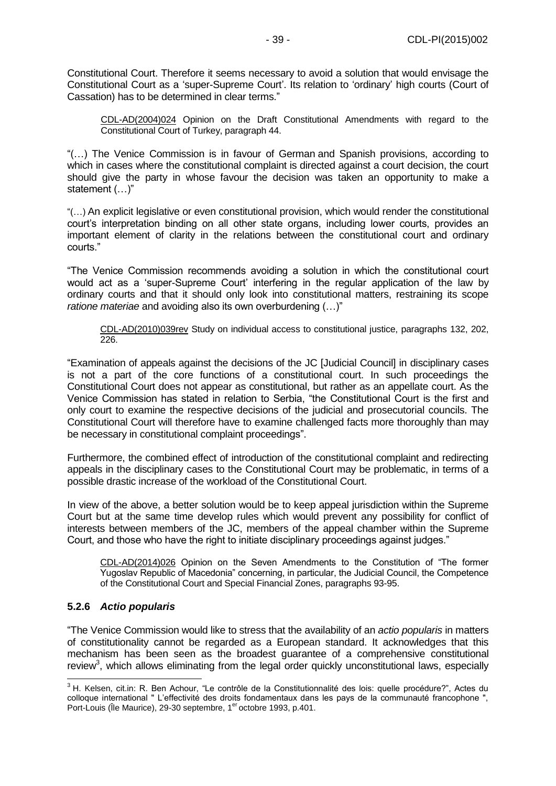Constitutional Court. Therefore it seems necessary to avoid a solution that would envisage the Constitutional Court as a 'super-Supreme Court'. Its relation to 'ordinary' high courts (Court of Cassation) has to be determined in clear terms."

[CDL-AD\(2004\)024](http://www.venice.coe.int/docs/2004/CDL-AD(2004)024-E.pdf) Opinion on the Draft Constitutional Amendments with regard to the Constitutional Court of Turkey, paragraph 44.

"(…) The Venice Commission is in favour of German and Spanish provisions, according to which in cases where the constitutional complaint is directed against a court decision, the court should give the party in whose favour the decision was taken an opportunity to make a statement (…)"

"(…) An explicit legislative or even constitutional provision, which would render the constitutional court's interpretation binding on all other state organs, including lower courts, provides an important element of clarity in the relations between the constitutional court and ordinary courts."

"The Venice Commission recommends avoiding a solution in which the constitutional court would act as a 'super-Supreme Court' interfering in the regular application of the law by ordinary courts and that it should only look into constitutional matters, restraining its scope *ratione materiae* and avoiding also its own overburdening (…)"

[CDL-AD\(2010\)039rev](http://www.venice.coe.int/docs/2010/CDL-AD(2010)039rev-E.pdf) Study on individual access to constitutional justice, paragraphs 132, 202, 226.

"Examination of appeals against the decisions of the JC [Judicial Council] in disciplinary cases is not a part of the core functions of a constitutional court. In such proceedings the Constitutional Court does not appear as constitutional, but rather as an appellate court. As the Venice Commission has stated in relation to Serbia, "the Constitutional Court is the first and only court to examine the respective decisions of the judicial and prosecutorial councils. The Constitutional Court will therefore have to examine challenged facts more thoroughly than may be necessary in constitutional complaint proceedings".

Furthermore, the combined effect of introduction of the constitutional complaint and redirecting appeals in the disciplinary cases to the Constitutional Court may be problematic, in terms of a possible drastic increase of the workload of the Constitutional Court.

In view of the above, a better solution would be to keep appeal jurisdiction within the Supreme Court but at the same time develop rules which would prevent any possibility for conflict of interests between members of the JC, members of the appeal chamber within the Supreme Court, and those who have the right to initiate disciplinary proceedings against judges."

CDL-AD(2014)026 Opinion on the Seven Amendments to the Constitution of "The former Yugoslav Republic of Macedonia" concerning, in particular, the Judicial Council, the Competence of the Constitutional Court and Special Financial Zones, paragraphs 93-95.

## <span id="page-38-0"></span>**5.2.6** *Actio popularis*

 $\overline{a}$ 

"The Venice Commission would like to stress that the availability of an *actio popularis* in matters of constitutionality cannot be regarded as a European standard. It acknowledges that this mechanism has been seen as the broadest guarantee of a comprehensive constitutional review<sup>3</sup>, which allows eliminating from the legal order quickly unconstitutional laws, especially

<sup>&</sup>lt;sup>3</sup> H. Kelsen, cit.in: R. Ben Achour, "Le contrôle de la Constitutionnalité des lois: quelle procédure?", Actes du colloque international " L'effectivité des droits fondamentaux dans les pays de la communauté francophone ", Port-Louis (Île Maurice), 29-30 septembre, 1<sup>er</sup> octobre 1993, p.401.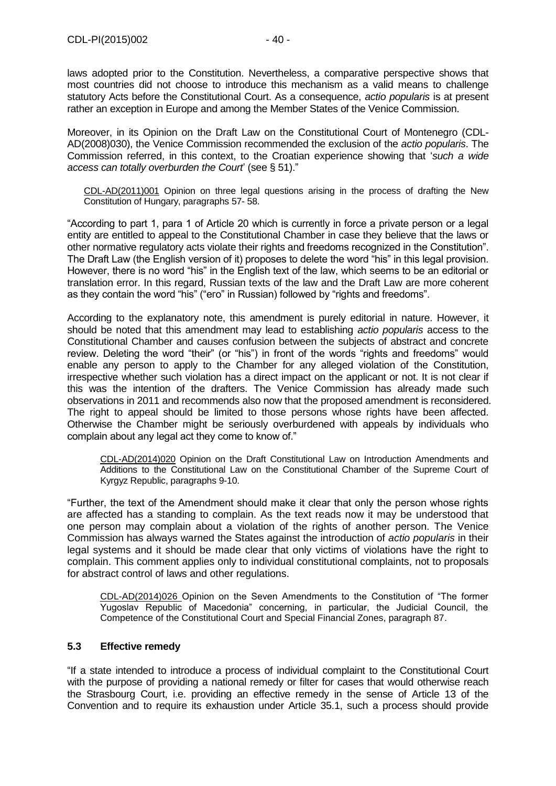laws adopted prior to the Constitution. Nevertheless, a comparative perspective shows that most countries did not choose to introduce this mechanism as a valid means to challenge statutory Acts before the Constitutional Court. As a consequence, *actio popularis* is at present rather an exception in Europe and among the Member States of the Venice Commission.

Moreover, in its Opinion on the Draft Law on the Constitutional Court of Montenegro (CDL-AD(2008)030), the Venice Commission recommended the exclusion of the *actio popularis*. The Commission referred, in this context, to the Croatian experience showing that '*such a wide access can totally overburden the Court*' (see § 51)."

[CDL-AD\(2011\)001](http://www.venice.coe.int/docs/2011/CDL-AD(2011)001-e.pdf) Opinion on three legal questions arising in the process of drafting the New Constitution of Hungary, paragraphs 57- 58.

"According to part 1, para 1 of Article 20 which is currently in force a private person or a legal entity are entitled to appeal to the Constitutional Chamber in case they believe that the laws or other normative regulatory acts violate their rights and freedoms recognized in the Constitution". The Draft Law (the English version of it) proposes to delete the word "his" in this legal provision. However, there is no word "his" in the English text of the law, which seems to be an editorial or translation error. In this regard, Russian texts of the law and the Draft Law are more coherent as they contain the word "his" ("его" in Russian) followed by "rights and freedoms".

According to the explanatory note, this amendment is purely editorial in nature. However, it should be noted that this amendment may lead to establishing *actio popularis* access to the Constitutional Chamber and causes confusion between the subjects of abstract and concrete review. Deleting the word "their" (or "his") in front of the words "rights and freedoms" would enable any person to apply to the Chamber for any alleged violation of the Constitution, irrespective whether such violation has a direct impact on the applicant or not. It is not clear if this was the intention of the drafters. The Venice Commission has already made such observations in 2011 and recommends also now that the proposed amendment is reconsidered. The right to appeal should be limited to those persons whose rights have been affected. Otherwise the Chamber might be seriously overburdened with appeals by individuals who complain about any legal act they come to know of."

CDL-AD(2014)020 Opinion on the Draft Constitutional Law on Introduction Amendments and Additions to the Constitutional Law on the Constitutional Chamber of the Supreme Court of Kyrgyz Republic, paragraphs 9-10.

"Further, the text of the Amendment should make it clear that only the person whose rights are affected has a standing to complain. As the text reads now it may be understood that one person may complain about a violation of the rights of another person. The Venice Commission has always warned the States against the introduction of *actio popularis* in their legal systems and it should be made clear that only victims of violations have the right to complain. This comment applies only to individual constitutional complaints, not to proposals for abstract control of laws and other regulations.

CDL-AD(2014)026 Opinion on the Seven Amendments to the Constitution of "The former Yugoslav Republic of Macedonia" concerning, in particular, the Judicial Council, the Competence of the Constitutional Court and Special Financial Zones, paragraph 87.

## <span id="page-39-0"></span>**5.3 Effective remedy**

"If a state intended to introduce a process of individual complaint to the Constitutional Court with the purpose of providing a national remedy or filter for cases that would otherwise reach the Strasbourg Court, i.e. providing an effective remedy in the sense of Article 13 of the Convention and to require its exhaustion under Article 35.1, such a process should provide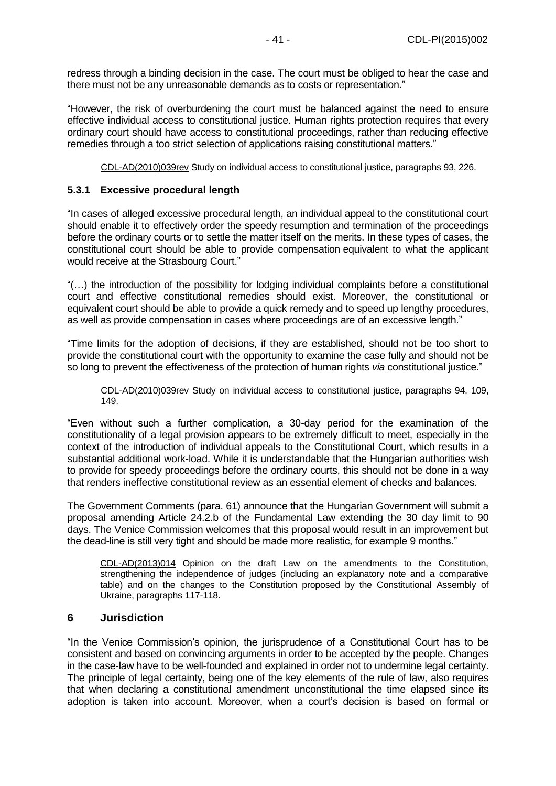redress through a binding decision in the case. The court must be obliged to hear the case and there must not be any unreasonable demands as to costs or representation."

"However, the risk of overburdening the court must be balanced against the need to ensure effective individual access to constitutional justice. Human rights protection requires that every ordinary court should have access to constitutional proceedings, rather than reducing effective remedies through a too strict selection of applications raising constitutional matters."

[CDL-AD\(2010\)039rev](http://www.venice.coe.int/docs/2010/CDL-AD(2010)039rev-E.pdf) Study on individual access to constitutional justice, paragraphs 93, 226.

#### <span id="page-40-0"></span>**5.3.1 Excessive procedural length**

"In cases of alleged excessive procedural length, an individual appeal to the constitutional court should enable it to effectively order the speedy resumption and termination of the proceedings before the ordinary courts or to settle the matter itself on the merits. In these types of cases, the constitutional court should be able to provide compensation equivalent to what the applicant would receive at the Strasbourg Court."

"(…) the introduction of the possibility for lodging individual complaints before a constitutional court and effective constitutional remedies should exist. Moreover, the constitutional or equivalent court should be able to provide a quick remedy and to speed up lengthy procedures, as well as provide compensation in cases where proceedings are of an excessive length."

"Time limits for the adoption of decisions, if they are established, should not be too short to provide the constitutional court with the opportunity to examine the case fully and should not be so long to prevent the effectiveness of the protection of human rights *via* constitutional justice."

[CDL-AD\(2010\)039rev](http://www.venice.coe.int/docs/2010/CDL-AD(2010)039rev-E.pdf) Study on individual access to constitutional justice, paragraphs 94, 109, 149.

"Even without such a further complication, a 30-day period for the examination of the constitutionality of a legal provision appears to be extremely difficult to meet, especially in the context of the introduction of individual appeals to the Constitutional Court, which results in a substantial additional work-load. While it is understandable that the Hungarian authorities wish to provide for speedy proceedings before the ordinary courts, this should not be done in a way that renders ineffective constitutional review as an essential element of checks and balances.

The Government Comments (para. 61) announce that the Hungarian Government will submit a proposal amending Article 24.2.b of the Fundamental Law extending the 30 day limit to 90 days. The Venice Commission welcomes that this proposal would result in an improvement but the dead-line is still very tight and should be made more realistic, for example 9 months."

CDL-AD(2013)014 Opinion on the draft Law on the amendments to the Constitution, strengthening the independence of judges (including an explanatory note and a comparative table) and on the changes to the Constitution proposed by the Constitutional Assembly of Ukraine, paragraphs 117-118.

## <span id="page-40-1"></span>**6 Jurisdiction**

"In the Venice Commission's opinion, the jurisprudence of a Constitutional Court has to be consistent and based on convincing arguments in order to be accepted by the people. Changes in the case-law have to be well-founded and explained in order not to undermine legal certainty. The principle of legal certainty, being one of the key elements of the rule of law, also requires that when declaring a constitutional amendment unconstitutional the time elapsed since its adoption is taken into account. Moreover, when a court's decision is based on formal or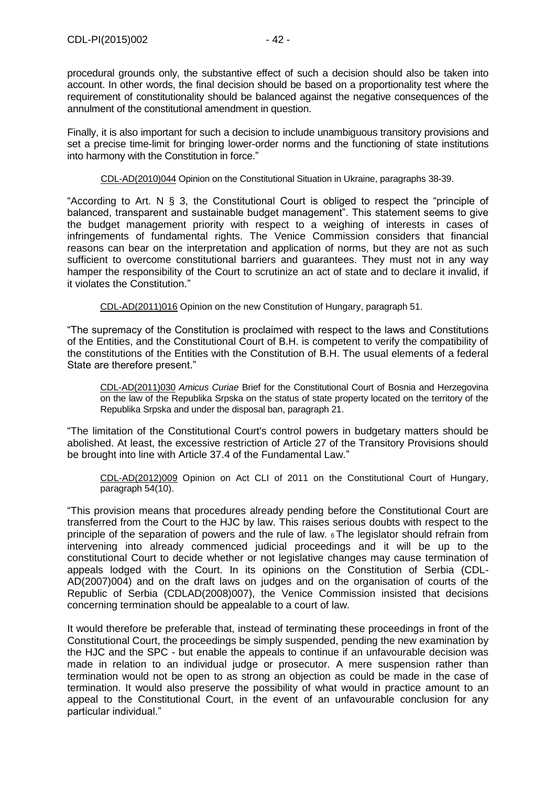procedural grounds only, the substantive effect of such a decision should also be taken into account. In other words, the final decision should be based on a proportionality test where the requirement of constitutionality should be balanced against the negative consequences of the annulment of the constitutional amendment in question.

Finally, it is also important for such a decision to include unambiguous transitory provisions and set a precise time-limit for bringing lower-order norms and the functioning of state institutions into harmony with the Constitution in force."

[CDL-AD\(2010\)044](http://www.venice.coe.int/docs/2010/CDL-AD(2010)044-E.pdf) Opinion on the Constitutional Situation in Ukraine, paragraphs 38-39.

"According to Art. N § 3, the Constitutional Court is obliged to respect the "principle of balanced, transparent and sustainable budget management". This statement seems to give the budget management priority with respect to a weighing of interests in cases of infringements of fundamental rights. The Venice Commission considers that financial reasons can bear on the interpretation and application of norms, but they are not as such sufficient to overcome constitutional barriers and guarantees. They must not in any way hamper the responsibility of the Court to scrutinize an act of state and to declare it invalid, if it violates the Constitution."

CDL-AD(2011)016 Opinion on the new Constitution of Hungary, paragraph 51.

"The supremacy of the Constitution is proclaimed with respect to the laws and Constitutions of the Entities, and the Constitutional Court of B.H. is competent to verify the compatibility of the constitutions of the Entities with the Constitution of B.H. The usual elements of a federal State are therefore present."

CDL-AD(2011)030 *Amicus Curiae* Brief for the Constitutional Court of Bosnia and Herzegovina on the law of the Republika Srpska on the status of state property located on the territory of the Republika Srpska and under the disposal ban, paragraph 21.

"The limitation of the Constitutional Court's control powers in budgetary matters should be abolished. At least, the excessive restriction of Article 27 of the Transitory Provisions should be brought into line with Article 37.4 of the Fundamental Law."

CDL-AD(2012)009 [Opinion on Act CLI of 2011 on the Constitutional Court of Hungary,](http://www.venice.coe.int/docs/2012/CDL-AD(2012)009-e.pdf)  paragraph 54(10).

"This provision means that procedures already pending before the Constitutional Court are transferred from the Court to the HJC by law. This raises serious doubts with respect to the principle of the separation of powers and the rule of law. 6 The legislator should refrain from intervening into already commenced judicial proceedings and it will be up to the constitutional Court to decide whether or not legislative changes may cause termination of appeals lodged with the Court. In its opinions on the Constitution of Serbia (CDL-AD(2007)004) and on the draft laws on judges and on the organisation of courts of the Republic of Serbia (CDLAD(2008)007), the Venice Commission insisted that decisions concerning termination should be appealable to a court of law.

It would therefore be preferable that, instead of terminating these proceedings in front of the Constitutional Court, the proceedings be simply suspended, pending the new examination by the HJC and the SPC - but enable the appeals to continue if an unfavourable decision was made in relation to an individual judge or prosecutor. A mere suspension rather than termination would not be open to as strong an objection as could be made in the case of termination. It would also preserve the possibility of what would in practice amount to an appeal to the Constitutional Court, in the event of an unfavourable conclusion for any particular individual."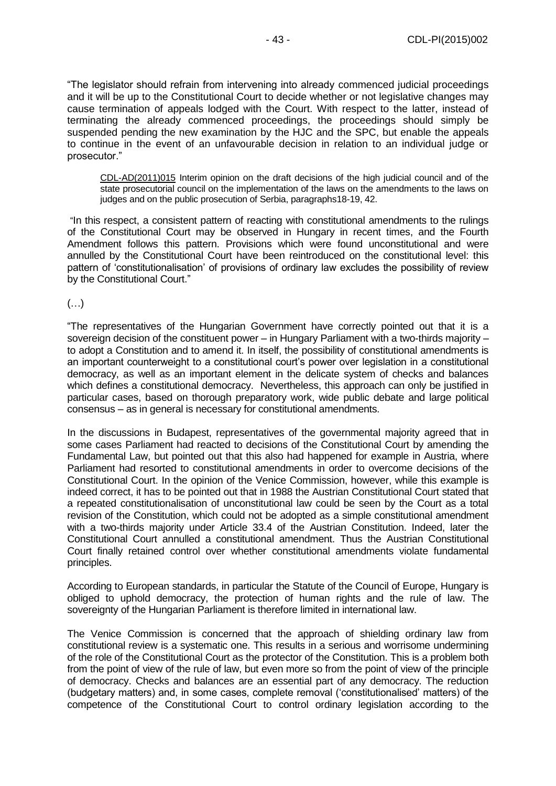"The legislator should refrain from intervening into already commenced judicial proceedings and it will be up to the Constitutional Court to decide whether or not legislative changes may cause termination of appeals lodged with the Court. With respect to the latter, instead of terminating the already commenced proceedings, the proceedings should simply be suspended pending the new examination by the HJC and the SPC, but enable the appeals to continue in the event of an unfavourable decision in relation to an individual judge or prosecutor."

CDL-AD(2011)015 [Interim opinion on the draft decisions of the high judicial council and of the](http://www.venice.coe.int/docs/2011/CDL-AD(2011)015-e.pdf)  [state prosecutorial council on the implementation of the laws on the amendments to the laws on](http://www.venice.coe.int/docs/2011/CDL-AD(2011)015-e.pdf)  [judges and on the public prosecution of Serbia, p](http://www.venice.coe.int/docs/2011/CDL-AD(2011)015-e.pdf)aragraphs18-19, 42.

"In this respect, a consistent pattern of reacting with constitutional amendments to the rulings of the Constitutional Court may be observed in Hungary in recent times, and the Fourth Amendment follows this pattern. Provisions which were found unconstitutional and were annulled by the Constitutional Court have been reintroduced on the constitutional level: this pattern of 'constitutionalisation' of provisions of ordinary law excludes the possibility of review by the Constitutional Court."

(…)

"The representatives of the Hungarian Government have correctly pointed out that it is a sovereign decision of the constituent power – in Hungary Parliament with a two-thirds majority – to adopt a Constitution and to amend it. In itself, the possibility of constitutional amendments is an important counterweight to a constitutional court's power over legislation in a constitutional democracy, as well as an important element in the delicate system of checks and balances which defines a constitutional democracy. Nevertheless, this approach can only be justified in particular cases, based on thorough preparatory work, wide public debate and large political consensus – as in general is necessary for constitutional amendments.

In the discussions in Budapest, representatives of the governmental majority agreed that in some cases Parliament had reacted to decisions of the Constitutional Court by amending the Fundamental Law, but pointed out that this also had happened for example in Austria, where Parliament had resorted to constitutional amendments in order to overcome decisions of the Constitutional Court. In the opinion of the Venice Commission, however, while this example is indeed correct, it has to be pointed out that in 1988 the Austrian Constitutional Court stated that a repeated constitutionalisation of unconstitutional law could be seen by the Court as a total revision of the Constitution, which could not be adopted as a simple constitutional amendment with a two-thirds majority under Article 33.4 of the Austrian Constitution. Indeed, later the Constitutional Court annulled a constitutional amendment. Thus the Austrian Constitutional Court finally retained control over whether constitutional amendments violate fundamental principles.

According to European standards, in particular the Statute of the Council of Europe, Hungary is obliged to uphold democracy, the protection of human rights and the rule of law. The sovereignty of the Hungarian Parliament is therefore limited in international law.

The Venice Commission is concerned that the approach of shielding ordinary law from constitutional review is a systematic one. This results in a serious and worrisome undermining of the role of the Constitutional Court as the protector of the Constitution. This is a problem both from the point of view of the rule of law, but even more so from the point of view of the principle of democracy. Checks and balances are an essential part of any democracy. The reduction (budgetary matters) and, in some cases, complete removal ('constitutionalised' matters) of the competence of the Constitutional Court to control ordinary legislation according to the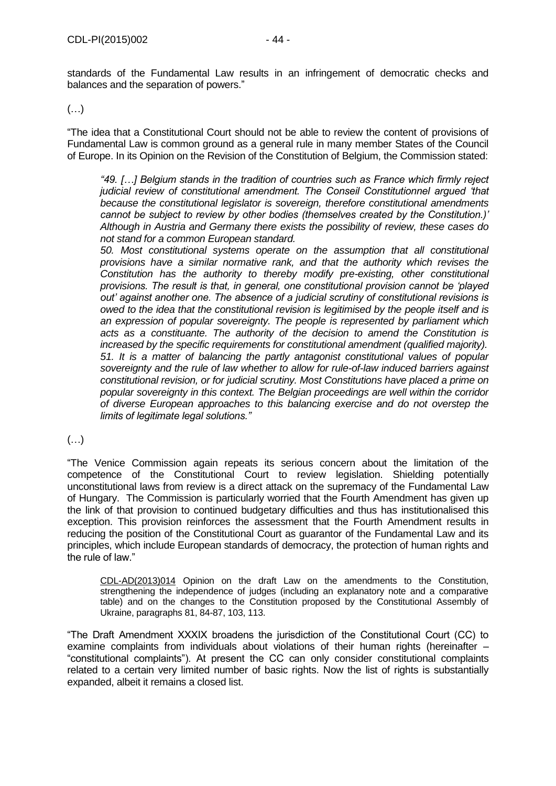standards of the Fundamental Law results in an infringement of democratic checks and balances and the separation of powers."

(…)

"The idea that a Constitutional Court should not be able to review the content of provisions of Fundamental Law is common ground as a general rule in many member States of the Council of Europe. In its Opinion on the Revision of the Constitution of Belgium, the Commission stated:

*"49. […] Belgium stands in the tradition of countries such as France which firmly reject judicial review of constitutional amendment. The Conseil Constitutionnel argued 'that because the constitutional legislator is sovereign, therefore constitutional amendments cannot be subject to review by other bodies (themselves created by the Constitution.)' Although in Austria and Germany there exists the possibility of review, these cases do not stand for a common European standard.*

*50. Most constitutional systems operate on the assumption that all constitutional provisions have a similar normative rank, and that the authority which revises the Constitution has the authority to thereby modify pre-existing, other constitutional provisions. The result is that, in general, one constitutional provision cannot be 'played out' against another one. The absence of a judicial scrutiny of constitutional revisions is owed to the idea that the constitutional revision is legitimised by the people itself and is an expression of popular sovereignty. The people is represented by parliament which acts as a constituante. The authority of the decision to amend the Constitution is increased by the specific requirements for constitutional amendment (qualified majority). 51. It is a matter of balancing the partly antagonist constitutional values of popular sovereignty and the rule of law whether to allow for rule-of-law induced barriers against constitutional revision, or for judicial scrutiny. Most Constitutions have placed a prime on popular sovereignty in this context. The Belgian proceedings are well within the corridor of diverse European approaches to this balancing exercise and do not overstep the limits of legitimate legal solutions."*

# (…)

"The Venice Commission again repeats its serious concern about the limitation of the competence of the Constitutional Court to review legislation. Shielding potentially unconstitutional laws from review is a direct attack on the supremacy of the Fundamental Law of Hungary. The Commission is particularly worried that the Fourth Amendment has given up the link of that provision to continued budgetary difficulties and thus has institutionalised this exception. This provision reinforces the assessment that the Fourth Amendment results in reducing the position of the Constitutional Court as guarantor of the Fundamental Law and its principles, which include European standards of democracy, the protection of human rights and the rule of law."

CDL-AD(2013)014 Opinion on the draft Law on the amendments to the Constitution, strengthening the independence of judges (including an explanatory note and a comparative table) and on the changes to the Constitution proposed by the Constitutional Assembly of Ukraine, paragraphs 81, 84-87, 103, 113.

"The Draft Amendment XXXIX broadens the jurisdiction of the Constitutional Court (CC) to examine complaints from individuals about violations of their human rights (hereinafter – "constitutional complaints"). At present the CC can only consider constitutional complaints related to a certain very limited number of basic rights. Now the list of rights is substantially expanded, albeit it remains a closed list.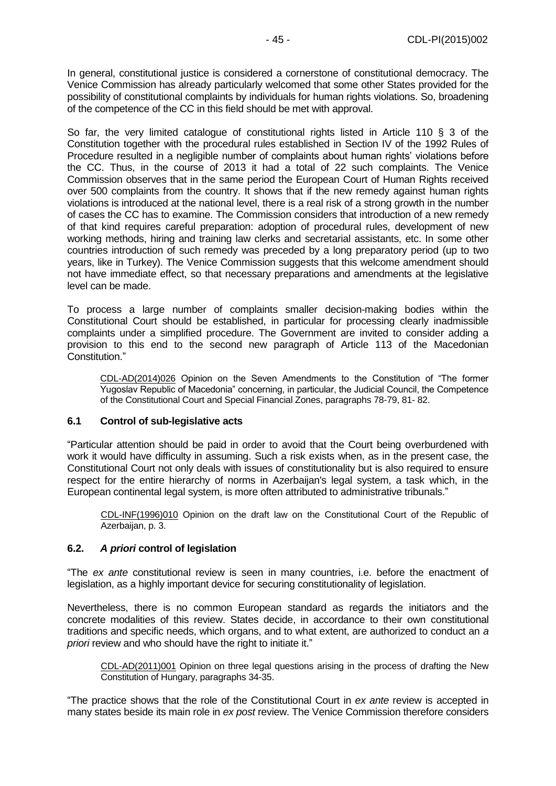In general, constitutional justice is considered a cornerstone of constitutional democracy. The Venice Commission has already particularly welcomed that some other States provided for the possibility of constitutional complaints by individuals for human rights violations. So, broadening of the competence of the CC in this field should be met with approval.

So far, the very limited catalogue of constitutional rights listed in Article 110 § 3 of the Constitution together with the procedural rules established in Section IV of the 1992 Rules of Procedure resulted in a negligible number of complaints about human rights' violations before the CC. Thus, in the course of 2013 it had a total of 22 such complaints. The Venice Commission observes that in the same period the European Court of Human Rights received over 500 complaints from the country. It shows that if the new remedy against human rights violations is introduced at the national level, there is a real risk of a strong growth in the number of cases the CC has to examine. The Commission considers that introduction of a new remedy of that kind requires careful preparation: adoption of procedural rules, development of new working methods, hiring and training law clerks and secretarial assistants, etc. In some other countries introduction of such remedy was preceded by a long preparatory period (up to two years, like in Turkey). The Venice Commission suggests that this welcome amendment should not have immediate effect, so that necessary preparations and amendments at the legislative level can be made.

To process a large number of complaints smaller decision-making bodies within the Constitutional Court should be established, in particular for processing clearly inadmissible complaints under a simplified procedure. The Government are invited to consider adding a provision to this end to the second new paragraph of Article 113 of the Macedonian Constitution."

CDL-AD(2014)026 Opinion on the Seven Amendments to the Constitution of "The former Yugoslav Republic of Macedonia" concerning, in particular, the Judicial Council, the Competence of the Constitutional Court and Special Financial Zones, paragraphs 78-79, 81- 82.

#### <span id="page-44-0"></span>**6.1 Control of sub-legislative acts**

"Particular attention should be paid in order to avoid that the Court being overburdened with work it would have difficulty in assuming. Such a risk exists when, as in the present case, the Constitutional Court not only deals with issues of constitutionality but is also required to ensure respect for the entire hierarchy of norms in Azerbaijan's legal system, a task which, in the European continental legal system, is more often attributed to administrative tribunals."

[CDL-INF\(1996\)010](file:///C:/Users/gerwien/AppData/Local/Microsoft/Windows/Temporary%20Internet%20Files/docs/1996/CDL-INF(1996)010-e.asp) Opinion on the draft law on the Constitutional Court of the Republic of Azerbaijan, p. 3.

## <span id="page-44-1"></span>**6.2.** *A priori* **control of legislation**

"The *ex ante* constitutional review is seen in many countries, i.e. before the enactment of legislation, as a highly important device for securing constitutionality of legislation.

Nevertheless, there is no common European standard as regards the initiators and the concrete modalities of this review. States decide, in accordance to their own constitutional traditions and specific needs, which organs, and to what extent, are authorized to conduct an *a priori* review and who should have the right to initiate it."

[CDL-AD\(2011\)001](http://www.venice.coe.int/docs/2011/CDL-AD(2011)001-e.pdf) Opinion on three legal questions arising in the process of drafting the New Constitution of Hungary, paragraphs 34-35.

"The practice shows that the role of the Constitutional Court in *ex ante* review is accepted in many states beside its main role in *ex post* review. The Venice Commission therefore considers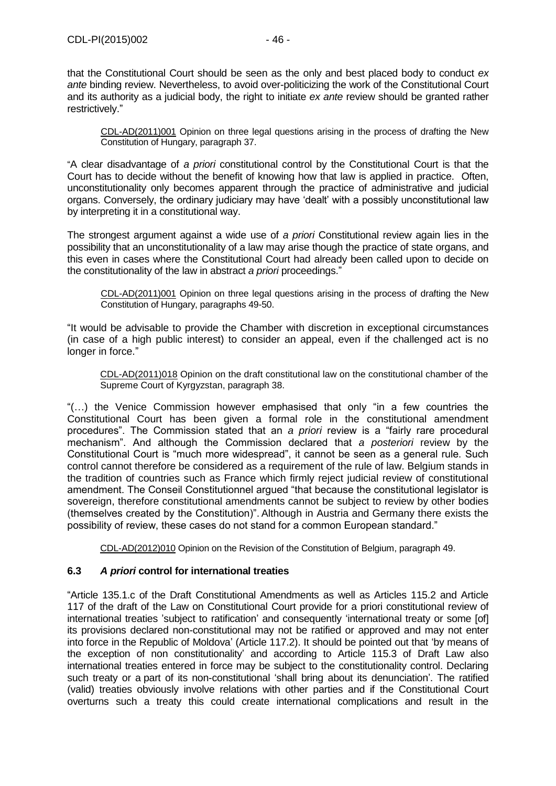[CDL-AD\(2011\)001](http://www.venice.coe.int/docs/2011/CDL-AD(2011)001-e.pdf) Opinion on three legal questions arising in the process of drafting the New Constitution of Hungary, paragraph 37.

"A clear disadvantage of *a priori* constitutional control by the Constitutional Court is that the Court has to decide without the benefit of knowing how that law is applied in practice. Often, unconstitutionality only becomes apparent through the practice of administrative and judicial organs. Conversely, the ordinary judiciary may have 'dealt' with a possibly unconstitutional law by interpreting it in a constitutional way.

The strongest argument against a wide use of *a priori* Constitutional review again lies in the possibility that an unconstitutionality of a law may arise though the practice of state organs, and this even in cases where the Constitutional Court had already been called upon to decide on the constitutionality of the law in abstract *a priori* proceedings."

[CDL-AD\(2011\)001](http://www.venice.coe.int/docs/2011/CDL-AD(2011)001-e.pdf) Opinion on three legal questions arising in the process of drafting the New Constitution of Hungary, paragraphs 49-50.

"It would be advisable to provide the Chamber with discretion in exceptional circumstances (in case of a high public interest) to consider an appeal, even if the challenged act is no longer in force."

CDL-AD(2011)018 Opinion on the draft constitutional law on the constitutional chamber of the Supreme Court of Kyrgyzstan, paragraph 38.

"(…) the Venice Commission however emphasised that only "in a few countries the Constitutional Court has been given a formal role in the constitutional amendment procedures". The Commission stated that an *a priori* review is a "fairly rare procedural mechanism". And although the Commission declared that *a posteriori* review by the Constitutional Court is "much more widespread", it cannot be seen as a general rule. Such control cannot therefore be considered as a requirement of the rule of law. Belgium stands in the tradition of countries such as France which firmly reject judicial review of constitutional amendment. The Conseil Constitutionnel argued "that because the constitutional legislator is sovereign, therefore constitutional amendments cannot be subject to review by other bodies (themselves created by the Constitution)". Although in Austria and Germany there exists the possibility of review, these cases do not stand for a common European standard."

CDL-AD(2012)010 [Opinion on the Revision of the Constitution of Belgium, p](http://www.venice.coe.int/docs/2012/CDL-AD(2012)010-e.pdf)aragraph 49.

## <span id="page-45-0"></span>**6.3** *A priori* **control for international treaties**

"Article 135.1.c of the Draft Constitutional Amendments as well as Articles 115.2 and Article 117 of the draft of the Law on Constitutional Court provide for a priori constitutional review of international treaties 'subject to ratification' and consequently 'international treaty or some [of] its provisions declared non-constitutional may not be ratified or approved and may not enter into force in the Republic of Moldova' (Article 117.2). It should be pointed out that 'by means of the exception of non constitutionality' and according to Article 115.3 of Draft Law also international treaties entered in force may be subject to the constitutionality control. Declaring such treaty or a part of its non-constitutional 'shall bring about its denunciation'. The ratified (valid) treaties obviously involve relations with other parties and if the Constitutional Court overturns such a treaty this could create international complications and result in the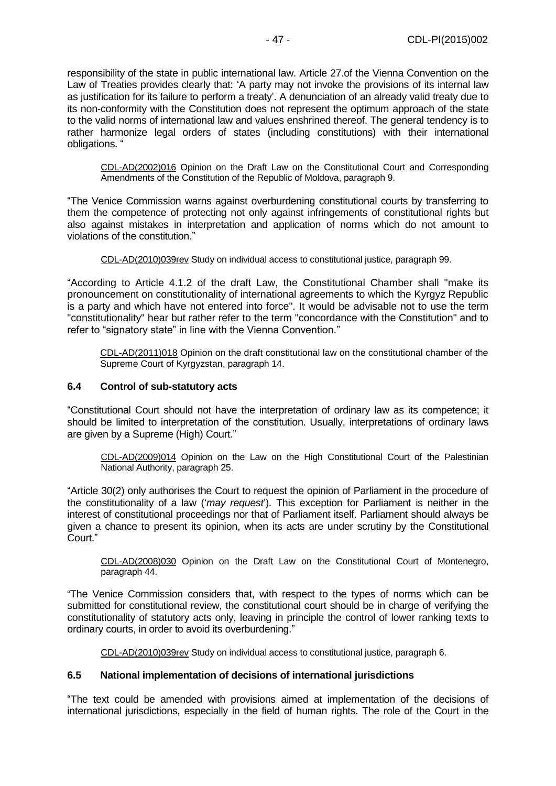responsibility of the state in public international law. Article 27.of the Vienna Convention on the Law of Treaties provides clearly that: 'A party may not invoke the provisions of its internal law as justification for its failure to perform a treaty'. A denunciation of an already valid treaty due to its non-conformity with the Constitution does not represent the optimum approach of the state to the valid norms of international law and values enshrined thereof. The general tendency is to rather harmonize legal orders of states (including constitutions) with their international obligations. "

[CDL-AD\(2002\)016](file:///C:/Users/gerwien/AppData/Local/Microsoft/Windows/Temporary%20Internet%20Files/docs/2002/CDL-AD(2002)016-e.asp) Opinion on the Draft Law on the Constitutional Court and Corresponding Amendments of the Constitution of the Republic of Moldova, paragraph 9.

"The Venice Commission warns against overburdening constitutional courts by transferring to them the competence of protecting not only against infringements of constitutional rights but also against mistakes in interpretation and application of norms which do not amount to violations of the constitution."

[CDL-AD\(2010\)039rev](http://www.venice.coe.int/docs/2010/CDL-AD(2010)039rev-E.pdf) Study on individual access to constitutional justice, paragraph 99.

"According to Article 4.1.2 of the draft Law, the Constitutional Chamber shall "make its pronouncement on constitutionality of international agreements to which the Kyrgyz Republic is a party and which have not entered into force". It would be advisable not to use the term "constitutionality" hear but rather refer to the term "concordance with the Constitution" and to refer to "signatory state" in line with the Vienna Convention."

CDL-AD(2011)018 [Opinion on the draft constitutional law on the constitutional chamber of the](http://www.venice.coe.int/docs/2011/CDL-AD(2011)018-e.pdf)  [Supreme Court of Kyrgyzstan, p](http://www.venice.coe.int/docs/2011/CDL-AD(2011)018-e.pdf)aragraph 14.

#### <span id="page-46-0"></span>**6.4 Control of sub-statutory acts**

"Constitutional Court should not have the interpretation of ordinary law as its competence; it should be limited to interpretation of the constitution. Usually, interpretations of ordinary laws are given by a Supreme (High) Court."

[CDL-AD\(2009\)014](http://www.venice.coe.int/docs/2009/CDL-AD(2009)014-E.pdf) Opinion on the Law on the High Constitutional Court of the Palestinian National Authority, paragraph 25.

"Article 30(2) only authorises the Court to request the opinion of Parliament in the procedure of the constitutionality of a law ('*may request*'). This exception for Parliament is neither in the interest of constitutional proceedings nor that of Parliament itself. Parliament should always be given a chance to present its opinion, when its acts are under scrutiny by the Constitutional Court."

[CDL-AD\(2008\)030](http://www.venice.coe.int/docs/2008/CDL-AD(2008)030-E.pdf) Opinion on the Draft Law on the Constitutional Court of Montenegro, paragraph 44.

"The Venice Commission considers that, with respect to the types of norms which can be submitted for constitutional review, the constitutional court should be in charge of verifying the constitutionality of statutory acts only, leaving in principle the control of lower ranking texts to ordinary courts, in order to avoid its overburdening."

[CDL-AD\(2010\)039rev](http://www.venice.coe.int/docs/2010/CDL-AD(2010)039rev-E.pdf) Study on individual access to constitutional justice, paragraph 6.

#### <span id="page-46-1"></span>**6.5 National implementation of decisions of international jurisdictions**

"The text could be amended with provisions aimed at implementation of the decisions of international jurisdictions, especially in the field of human rights. The role of the Court in the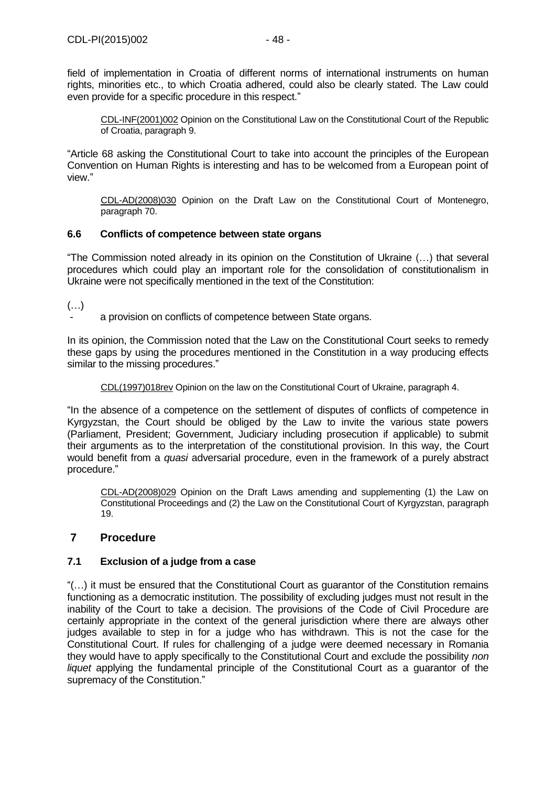field of implementation in Croatia of different norms of international instruments on human rights, minorities etc., to which Croatia adhered, could also be clearly stated. The Law could even provide for a specific procedure in this respect."

[CDL-INF\(2001\)002](file:///C:/Users/gerwien/AppData/Local/Microsoft/Windows/Temporary%20Internet%20Files/docs/2001/CDL-INF(2001)002-e.asp) Opinion on the Constitutional Law on the Constitutional Court of the Republic of Croatia, paragraph 9.

"Article 68 asking the Constitutional Court to take into account the principles of the European Convention on Human Rights is interesting and has to be welcomed from a European point of view."

[CDL-AD\(2008\)030](http://www.venice.coe.int/docs/2008/CDL-AD(2008)030-E.pdf) Opinion on the Draft Law on the Constitutional Court of Montenegro, paragraph 70.

## <span id="page-47-0"></span>**6.6 Conflicts of competence between state organs**

"The Commission noted already in its opinion on the Constitution of Ukraine (…) that several procedures which could play an important role for the consolidation of constitutionalism in Ukraine were not specifically mentioned in the text of the Constitution:

 $(\ldots)$ 

a provision on conflicts of competence between State organs.

In its opinion, the Commission noted that the Law on the Constitutional Court seeks to remedy these gaps by using the procedures mentioned in the Constitution in a way producing effects similar to the missing procedures."

[CDL\(1997\)018rev](file:///C:/Users/gerwien/AppData/Local/Microsoft/Windows/Temporary%20Internet%20Files/docs/1997/CDL(1997)018rev-e.asp) Opinion on the law on the Constitutional Court of Ukraine, paragraph 4.

"In the absence of a competence on the settlement of disputes of conflicts of competence in Kyrgyzstan, the Court should be obliged by the Law to invite the various state powers (Parliament, President; Government, Judiciary including prosecution if applicable) to submit their arguments as to the interpretation of the constitutional provision. In this way, the Court would benefit from a *quasi* adversarial procedure, even in the framework of a purely abstract procedure."

[CDL-AD\(2008\)029](http://www.venice.coe.int/docs/2008/CDL-AD(2008)029-E.pdf) Opinion on the Draft Laws amending and supplementing (1) the Law on Constitutional Proceedings and (2) the Law on the Constitutional Court of Kyrgyzstan, paragraph 19.

## <span id="page-47-1"></span>**7 Procedure**

## <span id="page-47-2"></span>**7.1 Exclusion of a judge from a case**

"(…) it must be ensured that the Constitutional Court as guarantor of the Constitution remains functioning as a democratic institution. The possibility of excluding judges must not result in the inability of the Court to take a decision. The provisions of the Code of Civil Procedure are certainly appropriate in the context of the general jurisdiction where there are always other judges available to step in for a judge who has withdrawn. This is not the case for the Constitutional Court. If rules for challenging of a judge were deemed necessary in Romania they would have to apply specifically to the Constitutional Court and exclude the possibility *non liquet* applying the fundamental principle of the Constitutional Court as a guarantor of the supremacy of the Constitution."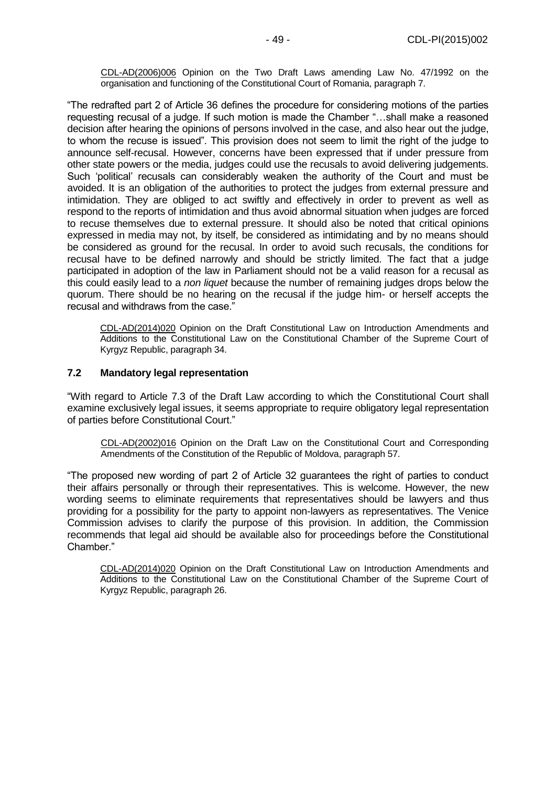[CDL-AD\(2006\)006](file:///C:/Users/gerwien/AppData/Local/Microsoft/Windows/Temporary%20Internet%20Files/docs/2006/CDL-AD(2006)006-e.asp) Opinion on the Two Draft Laws amending Law No. 47/1992 on the organisation and functioning of the Constitutional Court of Romania, paragraph 7.

"The redrafted part 2 of Article 36 defines the procedure for considering motions of the parties requesting recusal of a judge. If such motion is made the Chamber "…shall make a reasoned decision after hearing the opinions of persons involved in the case, and also hear out the judge, to whom the recuse is issued". This provision does not seem to limit the right of the judge to announce self-recusal. However, concerns have been expressed that if under pressure from other state powers or the media, judges could use the recusals to avoid delivering judgements. Such 'political' recusals can considerably weaken the authority of the Court and must be avoided. It is an obligation of the authorities to protect the judges from external pressure and intimidation. They are obliged to act swiftly and effectively in order to prevent as well as respond to the reports of intimidation and thus avoid abnormal situation when judges are forced to recuse themselves due to external pressure. It should also be noted that critical opinions expressed in media may not, by itself, be considered as intimidating and by no means should be considered as ground for the recusal. In order to avoid such recusals, the conditions for recusal have to be defined narrowly and should be strictly limited. The fact that a judge participated in adoption of the law in Parliament should not be a valid reason for a recusal as this could easily lead to a *non liquet* because the number of remaining judges drops below the quorum. There should be no hearing on the recusal if the judge him- or herself accepts the recusal and withdraws from the case."

CDL-AD(2014)020 Opinion on the Draft Constitutional Law on Introduction Amendments and Additions to the Constitutional Law on the Constitutional Chamber of the Supreme Court of Kyrgyz Republic, paragraph 34.

## <span id="page-48-0"></span>**7.2 Mandatory legal representation**

"With regard to Article 7.3 of the Draft Law according to which the Constitutional Court shall examine exclusively legal issues, it seems appropriate to require obligatory legal representation of parties before Constitutional Court."

[CDL-AD\(2002\)016](file:///C:/Users/gerwien/AppData/Local/Microsoft/Windows/Temporary%20Internet%20Files/docs/2002/CDL-AD(2002)016-e.asp) Opinion on the Draft Law on the Constitutional Court and Corresponding Amendments of the Constitution of the Republic of Moldova, paragraph 57.

"The proposed new wording of part 2 of Article 32 guarantees the right of parties to conduct their affairs personally or through their representatives. This is welcome. However, the new wording seems to eliminate requirements that representatives should be lawyers and thus providing for a possibility for the party to appoint non-lawyers as representatives. The Venice Commission advises to clarify the purpose of this provision. In addition, the Commission recommends that legal aid should be available also for proceedings before the Constitutional Chamber."

CDL-AD(2014)020 Opinion on the Draft Constitutional Law on Introduction Amendments and Additions to the Constitutional Law on the Constitutional Chamber of the Supreme Court of Kyrgyz Republic, paragraph 26.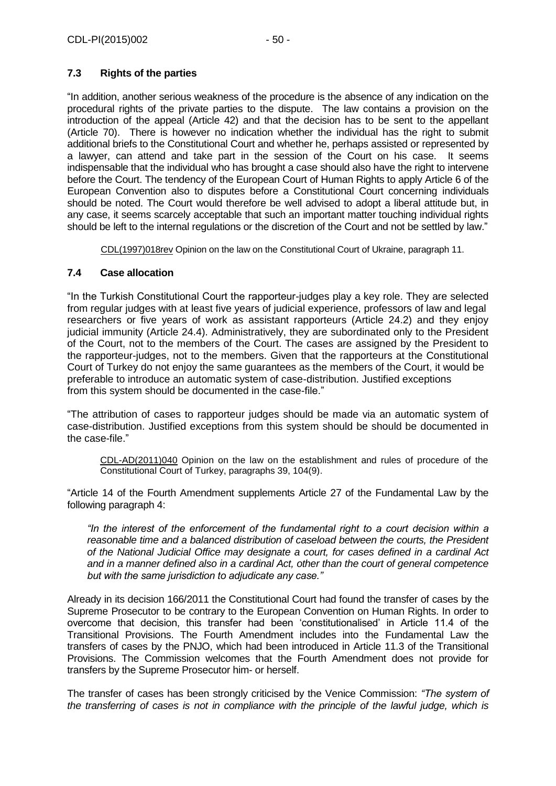# <span id="page-49-0"></span>**7.3 Rights of the parties**

"In addition, another serious weakness of the procedure is the absence of any indication on the procedural rights of the private parties to the dispute. The law contains a provision on the introduction of the appeal (Article 42) and that the decision has to be sent to the appellant (Article 70). There is however no indication whether the individual has the right to submit additional briefs to the Constitutional Court and whether he, perhaps assisted or represented by a lawyer, can attend and take part in the session of the Court on his case. It seems indispensable that the individual who has brought a case should also have the right to intervene before the Court. The tendency of the European Court of Human Rights to apply Article 6 of the European Convention also to disputes before a Constitutional Court concerning individuals should be noted. The Court would therefore be well advised to adopt a liberal attitude but, in any case, it seems scarcely acceptable that such an important matter touching individual rights should be left to the internal regulations or the discretion of the Court and not be settled by law."

[CDL\(1997\)018rev](file:///C:/Users/gerwien/AppData/Local/Microsoft/Windows/Temporary%20Internet%20Files/docs/1997/CDL(1997)018rev-e.asp) Opinion on the law on the Constitutional Court of Ukraine, paragraph 11.

## <span id="page-49-1"></span>**7.4 Case allocation**

"In the Turkish Constitutional Court the rapporteur-judges play a key role. They are selected from regular judges with at least five years of judicial experience, professors of law and legal researchers or five years of work as assistant rapporteurs (Article 24.2) and they enjoy judicial immunity (Article 24.4). Administratively, they are subordinated only to the President of the Court, not to the members of the Court. The cases are assigned by the President to the rapporteur-judges, not to the members. Given that the rapporteurs at the Constitutional Court of Turkey do not enjoy the same guarantees as the members of the Court, it would be preferable to introduce an automatic system of case-distribution. Justified exceptions from this system should be documented in the case-file."

"The attribution of cases to rapporteur judges should be made via an automatic system of case-distribution. Justified exceptions from this system should be should be documented in the case-file."

CDL-AD(2011)040 Opinion on the law on the establishment and rules of procedure of the Constitutional Court of Turkey, paragraphs 39, 104(9).

"Article 14 of the Fourth Amendment supplements Article 27 of the Fundamental Law by the following paragraph 4:

*"In the interest of the enforcement of the fundamental right to a court decision within a reasonable time and a balanced distribution of caseload between the courts, the President of the National Judicial Office may designate a court, for cases defined in a cardinal Act and in a manner defined also in a cardinal Act, other than the court of general competence but with the same jurisdiction to adjudicate any case."* 

Already in its decision 166/2011 the Constitutional Court had found the transfer of cases by the Supreme Prosecutor to be contrary to the European Convention on Human Rights. In order to overcome that decision, this transfer had been 'constitutionalised' in Article 11.4 of the Transitional Provisions. The Fourth Amendment includes into the Fundamental Law the transfers of cases by the PNJO, which had been introduced in Article 11.3 of the Transitional Provisions. The Commission welcomes that the Fourth Amendment does not provide for transfers by the Supreme Prosecutor him- or herself.

The transfer of cases has been strongly criticised by the Venice Commission: *"The system of the transferring of cases is not in compliance with the principle of the lawful judge, which is*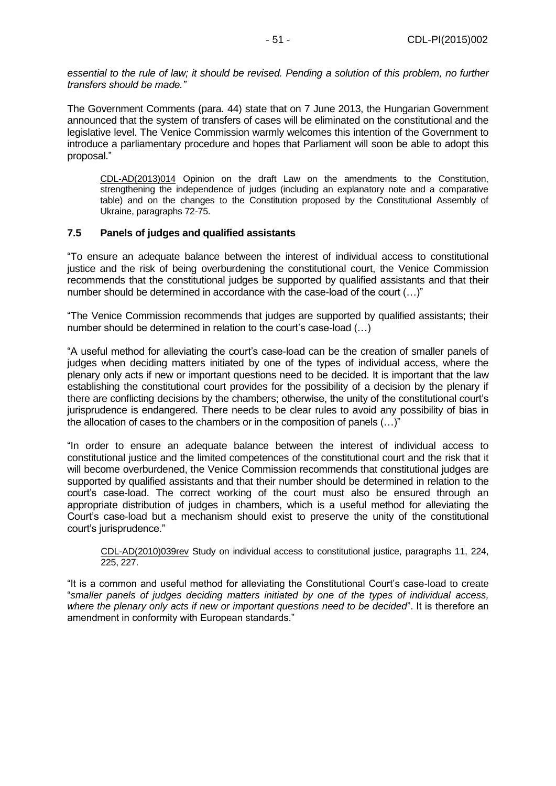*essential to the rule of law; it should be revised. Pending a solution of this problem, no further transfers should be made."* 

The Government Comments (para. 44) state that on 7 June 2013, the Hungarian Government announced that the system of transfers of cases will be eliminated on the constitutional and the legislative level. The Venice Commission warmly welcomes this intention of the Government to introduce a parliamentary procedure and hopes that Parliament will soon be able to adopt this proposal."

CDL-AD(2013)014 Opinion on the draft Law on the amendments to the Constitution, strengthening the independence of judges (including an explanatory note and a comparative table) and on the changes to the Constitution proposed by the Constitutional Assembly of Ukraine, paragraphs 72-75.

## <span id="page-50-0"></span>**7.5 Panels of judges and qualified assistants**

"To ensure an adequate balance between the interest of individual access to constitutional justice and the risk of being overburdening the constitutional court, the Venice Commission recommends that the constitutional judges be supported by qualified assistants and that their number should be determined in accordance with the case-load of the court (…)"

"The Venice Commission recommends that judges are supported by qualified assistants; their number should be determined in relation to the court's case-load  $(...)$ 

"A useful method for alleviating the court's case-load can be the creation of smaller panels of judges when deciding matters initiated by one of the types of individual access, where the plenary only acts if new or important questions need to be decided. It is important that the law establishing the constitutional court provides for the possibility of a decision by the plenary if there are conflicting decisions by the chambers; otherwise, the unity of the constitutional court's jurisprudence is endangered. There needs to be clear rules to avoid any possibility of bias in the allocation of cases to the chambers or in the composition of panels (…)"

"In order to ensure an adequate balance between the interest of individual access to constitutional justice and the limited competences of the constitutional court and the risk that it will become overburdened, the Venice Commission recommends that constitutional judges are supported by qualified assistants and that their number should be determined in relation to the court's case-load. The correct working of the court must also be ensured through an appropriate distribution of judges in chambers, which is a useful method for alleviating the Court's case-load but a mechanism should exist to preserve the unity of the constitutional court's jurisprudence."

CDL-AD(2010)039rev Study on individual access to constitutional justice, paragraphs 11, 224, 225, 227.

"It is a common and useful method for alleviating the Constitutional Court's case-load to create "*smaller panels of judges deciding matters initiated by one of the types of individual access, where the plenary only acts if new or important questions need to be decided*". It is therefore an amendment in conformity with European standards."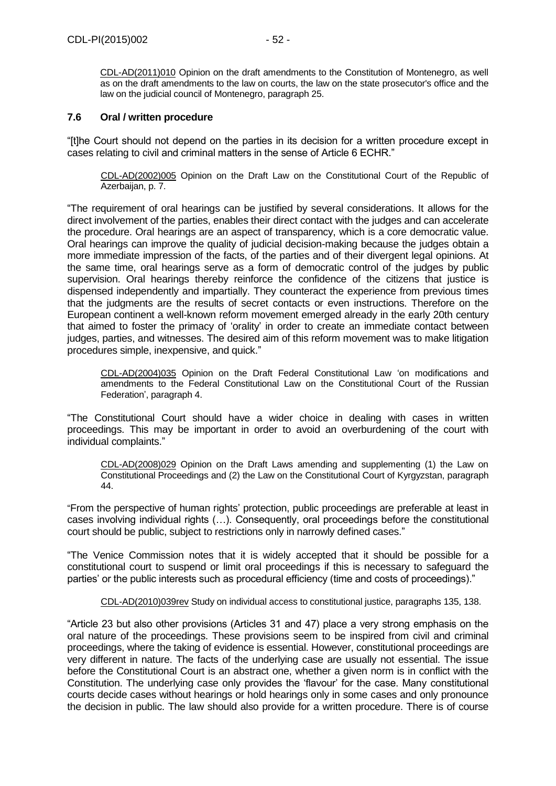CDL-AD(2011)010 [Opinion on the draft amendments to the Constitution of Montenegro, as well](http://www.venice.coe.int/docs/2011/CDL-AD(2011)010-e.pdf)  [as on the draft amendments to the law on courts, the law on the state prosecutor's office and the](http://www.venice.coe.int/docs/2011/CDL-AD(2011)010-e.pdf)  [law on the judicial council of Montenegro, p](http://www.venice.coe.int/docs/2011/CDL-AD(2011)010-e.pdf)aragraph 25.

#### <span id="page-51-0"></span>**7.6 Oral / written procedure**

"[t]he Court should not depend on the parties in its decision for a written procedure except in cases relating to civil and criminal matters in the sense of Article 6 ECHR."

[CDL-AD\(2002\)005](file:///C:/Users/gerwien/AppData/Local/Microsoft/Windows/Temporary%20Internet%20Files/docs/2002/CDL-AD(2002)005-e.asp) Opinion on the Draft Law on the Constitutional Court of the Republic of Azerbaijan, p. 7.

"The requirement of oral hearings can be justified by several considerations. It allows for the direct involvement of the parties, enables their direct contact with the judges and can accelerate the procedure. Oral hearings are an aspect of transparency, which is a core democratic value. Oral hearings can improve the quality of judicial decision-making because the judges obtain a more immediate impression of the facts, of the parties and of their divergent legal opinions. At the same time, oral hearings serve as a form of democratic control of the judges by public supervision. Oral hearings thereby reinforce the confidence of the citizens that justice is dispensed independently and impartially. They counteract the experience from previous times that the judgments are the results of secret contacts or even instructions. Therefore on the European continent a well-known reform movement emerged already in the early 20th century that aimed to foster the primacy of 'orality' in order to create an immediate contact between judges, parties, and witnesses. The desired aim of this reform movement was to make litigation procedures simple, inexpensive, and quick."

[CDL-AD\(2004\)035](file:///C:/Users/gerwien/AppData/Local/Microsoft/Windows/Temporary%20Internet%20Files/docs/2004/CDL-AD(2004)035-e.asp) Opinion on the Draft Federal Constitutional Law 'on modifications and amendments to the Federal Constitutional Law on the Constitutional Court of the Russian Federation', paragraph 4.

"The Constitutional Court should have a wider choice in dealing with cases in written proceedings. This may be important in order to avoid an overburdening of the court with individual complaints."

[CDL-AD\(2008\)029](http://www.venice.coe.int/docs/2008/CDL-AD(2008)029-E.pdf) Opinion on the Draft Laws amending and supplementing (1) the Law on Constitutional Proceedings and (2) the Law on the Constitutional Court of Kyrgyzstan, paragraph 44.

"From the perspective of human rights' protection, public proceedings are preferable at least in cases involving individual rights (…). Consequently, oral proceedings before the constitutional court should be public, subject to restrictions only in narrowly defined cases."

"The Venice Commission notes that it is widely accepted that it should be possible for a constitutional court to suspend or limit oral proceedings if this is necessary to safeguard the parties' or the public interests such as procedural efficiency (time and costs of proceedings)."

[CDL-AD\(2010\)039rev](http://www.venice.coe.int/docs/2010/CDL-AD(2010)039rev-E.pdf) Study on individual access to constitutional justice, paragraphs 135, 138.

"Article 23 but also other provisions (Articles 31 and 47) place a very strong emphasis on the oral nature of the proceedings. These provisions seem to be inspired from civil and criminal proceedings, where the taking of evidence is essential. However, constitutional proceedings are very different in nature. The facts of the underlying case are usually not essential. The issue before the Constitutional Court is an abstract one, whether a given norm is in conflict with the Constitution. The underlying case only provides the 'flavour' for the case. Many constitutional courts decide cases without hearings or hold hearings only in some cases and only pronounce the decision in public. The law should also provide for a written procedure. There is of course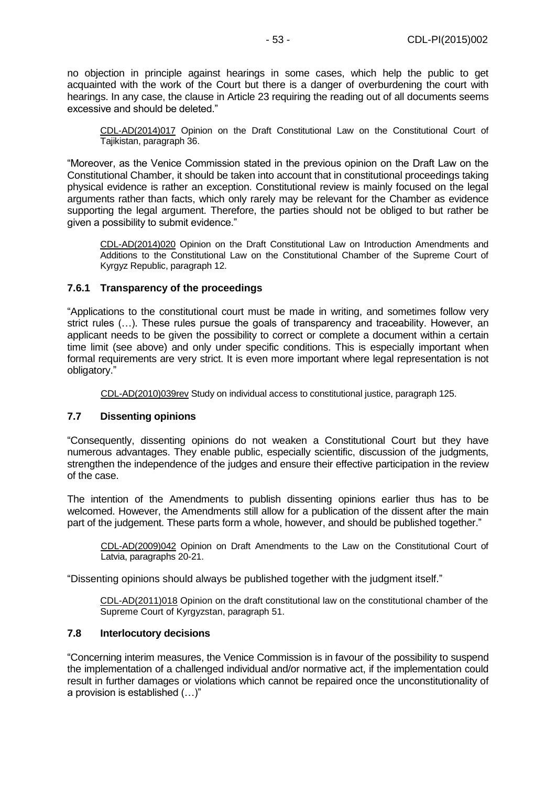no objection in principle against hearings in some cases, which help the public to get acquainted with the work of the Court but there is a danger of overburdening the court with hearings. In any case, the clause in Article 23 requiring the reading out of all documents seems excessive and should be deleted."

CDL-AD(2014)017 Opinion on the Draft Constitutional Law on the Constitutional Court of Tajikistan, paragraph 36.

"Moreover, as the Venice Commission stated in the previous opinion on the Draft Law on the Constitutional Chamber, it should be taken into account that in constitutional proceedings taking physical evidence is rather an exception. Constitutional review is mainly focused on the legal arguments rather than facts, which only rarely may be relevant for the Chamber as evidence supporting the legal argument. Therefore, the parties should not be obliged to but rather be given a possibility to submit evidence."

CDL-AD(2014)020 Opinion on the Draft Constitutional Law on Introduction Amendments and Additions to the Constitutional Law on the Constitutional Chamber of the Supreme Court of Kyrgyz Republic, paragraph 12.

## <span id="page-52-0"></span>**7.6.1 Transparency of the proceedings**

"Applications to the constitutional court must be made in writing, and sometimes follow very strict rules (…). These rules pursue the goals of transparency and traceability. However, an applicant needs to be given the possibility to correct or complete a document within a certain time limit (see above) and only under specific conditions. This is especially important when formal requirements are very strict. It is even more important where legal representation is not obligatory."

[CDL-AD\(2010\)039rev](http://www.venice.coe.int/docs/2010/CDL-AD(2010)039rev-E.pdf) Study on individual access to constitutional justice, paragraph 125.

#### <span id="page-52-1"></span>**7.7 Dissenting opinions**

"Consequently, dissenting opinions do not weaken a Constitutional Court but they have numerous advantages. They enable public, especially scientific, discussion of the judgments, strengthen the independence of the judges and ensure their effective participation in the review of the case.

The intention of the Amendments to publish dissenting opinions earlier thus has to be welcomed. However, the Amendments still allow for a publication of the dissent after the main part of the judgement. These parts form a whole, however, and should be published together."

[CDL-AD\(2009\)042](http://www.venice.coe.int/docs/2009/CDL-AD(2009)042-E.pdf) Opinion on Draft Amendments to the Law on the Constitutional Court of Latvia, paragraphs 20-21.

"Dissenting opinions should always be published together with the judgment itself."

CDL-AD(2011)018 Opinion on the draft constitutional law on the constitutional chamber of the Supreme Court of Kyrgyzstan, paragraph 51.

#### <span id="page-52-2"></span>**7.8 Interlocutory decisions**

"Concerning interim measures, the Venice Commission is in favour of the possibility to suspend the implementation of a challenged individual and/or normative act, if the implementation could result in further damages or violations which cannot be repaired once the unconstitutionality of a provision is established (…)"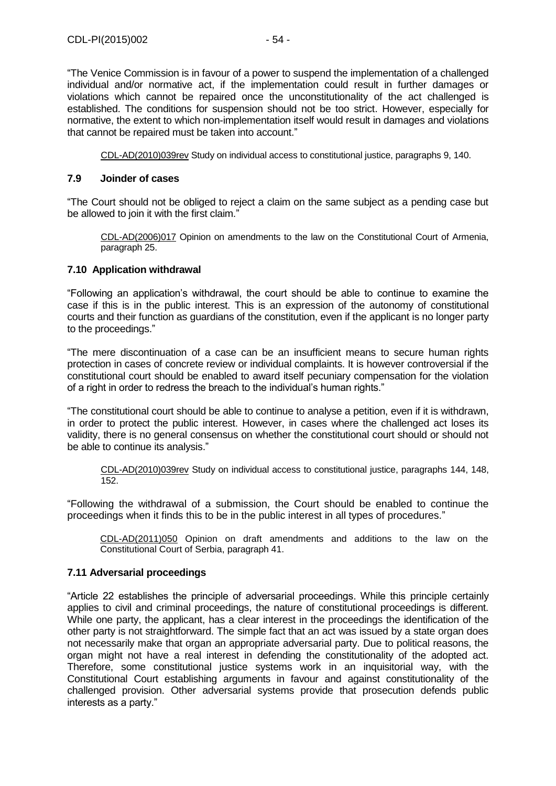"The Venice Commission is in favour of a power to suspend the implementation of a challenged individual and/or normative act, if the implementation could result in further damages or violations which cannot be repaired once the unconstitutionality of the act challenged is established. The conditions for suspension should not be too strict. However, especially for normative, the extent to which non-implementation itself would result in damages and violations that cannot be repaired must be taken into account."

[CDL-AD\(2010\)039rev](http://www.venice.coe.int/docs/2010/CDL-AD(2010)039rev-E.pdf) Study on individual access to constitutional justice, paragraphs 9, 140.

#### <span id="page-53-0"></span>**7.9 Joinder of cases**

"The Court should not be obliged to reject a claim on the same subject as a pending case but be allowed to join it with the first claim."

[CDL-AD\(2006\)017](file:///C:/Users/gerwien/AppData/Local/Microsoft/Windows/Temporary%20Internet%20Files/docs/2006/CDL-AD(2006)017-e.asp) Opinion on amendments to the law on the Constitutional Court of Armenia, paragraph 25.

## <span id="page-53-1"></span>**7.10 Application withdrawal**

"Following an application's withdrawal, the court should be able to continue to examine the case if this is in the public interest. This is an expression of the autonomy of constitutional courts and their function as guardians of the constitution, even if the applicant is no longer party to the proceedings."

"The mere discontinuation of a case can be an insufficient means to secure human rights protection in cases of concrete review or individual complaints. It is however controversial if the constitutional court should be enabled to award itself pecuniary compensation for the violation of a right in order to redress the breach to the individual's human rights."

"The constitutional court should be able to continue to analyse a petition, even if it is withdrawn, in order to protect the public interest. However, in cases where the challenged act loses its validity, there is no general consensus on whether the constitutional court should or should not be able to continue its analysis."

[CDL-AD\(2010\)039rev](http://www.venice.coe.int/docs/2010/CDL-AD(2010)039rev-E.pdf) Study on individual access to constitutional justice, paragraphs 144, 148, 152.

"Following the withdrawal of a submission, the Court should be enabled to continue the proceedings when it finds this to be in the public interest in all types of procedures."

CDL-AD(2011)050 [Opinion on draft amendments and additions to the law on the](http://www.venice.coe.int/docs/2011/CDL-AD(2011)050-e.pdf)  [Constitutional Court of Serbia, p](http://www.venice.coe.int/docs/2011/CDL-AD(2011)050-e.pdf)aragraph 41.

## <span id="page-53-2"></span>**7.11 Adversarial proceedings**

"Article 22 establishes the principle of adversarial proceedings. While this principle certainly applies to civil and criminal proceedings, the nature of constitutional proceedings is different. While one party, the applicant, has a clear interest in the proceedings the identification of the other party is not straightforward. The simple fact that an act was issued by a state organ does not necessarily make that organ an appropriate adversarial party. Due to political reasons, the organ might not have a real interest in defending the constitutionality of the adopted act. Therefore, some constitutional justice systems work in an inquisitorial way, with the Constitutional Court establishing arguments in favour and against constitutionality of the challenged provision. Other adversarial systems provide that prosecution defends public interests as a party."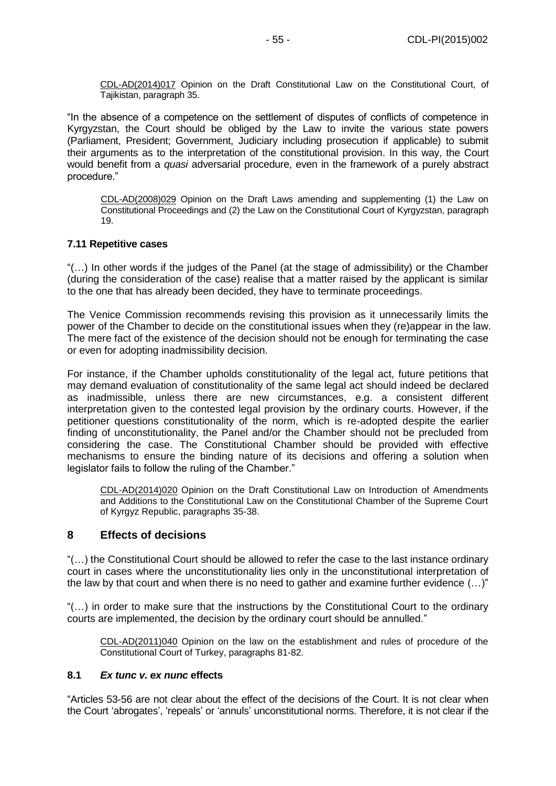CDL-AD(2014)017 Opinion on the Draft Constitutional Law on the Constitutional Court, of Tajikistan, paragraph 35.

"In the absence of a competence on the settlement of disputes of conflicts of competence in Kyrgyzstan, the Court should be obliged by the Law to invite the various state powers (Parliament, President; Government, Judiciary including prosecution if applicable) to submit their arguments as to the interpretation of the constitutional provision. In this way, the Court would benefit from a *quasi* adversarial procedure, even in the framework of a purely abstract procedure."

[CDL-AD\(2008\)029](http://www.venice.coe.int/docs/2008/CDL-AD(2008)029-E.pdf) Opinion on the Draft Laws amending and supplementing (1) the Law on Constitutional Proceedings and (2) the Law on the Constitutional Court of Kyrgyzstan, paragraph 19.

#### <span id="page-54-0"></span>**7.11 Repetitive cases**

"(…) In other words if the judges of the Panel (at the stage of admissibility) or the Chamber (during the consideration of the case) realise that a matter raised by the applicant is similar to the one that has already been decided, they have to terminate proceedings.

The Venice Commission recommends revising this provision as it unnecessarily limits the power of the Chamber to decide on the constitutional issues when they (re)appear in the law. The mere fact of the existence of the decision should not be enough for terminating the case or even for adopting inadmissibility decision.

For instance, if the Chamber upholds constitutionality of the legal act, future petitions that may demand evaluation of constitutionality of the same legal act should indeed be declared as inadmissible, unless there are new circumstances, e.g. a consistent different interpretation given to the contested legal provision by the ordinary courts. However, if the petitioner questions constitutionality of the norm, which is re-adopted despite the earlier finding of unconstitutionality, the Panel and/or the Chamber should not be precluded from considering the case. The Constitutional Chamber should be provided with effective mechanisms to ensure the binding nature of its decisions and offering a solution when legislator fails to follow the ruling of the Chamber."

CDL-AD(2014)020 Opinion on the Draft Constitutional Law on Introduction of Amendments and Additions to the Constitutional Law on the Constitutional Chamber of the Supreme Court of Kyrgyz Republic, paragraphs 35-38.

## <span id="page-54-1"></span>**8 Effects of decisions**

"(…) the Constitutional Court should be allowed to refer the case to the last instance ordinary court in cases where the unconstitutionality lies only in the unconstitutional interpretation of the law by that court and when there is no need to gather and examine further evidence (…)"

"(…) in order to make sure that the instructions by the Constitutional Court to the ordinary courts are implemented, the decision by the ordinary court should be annulled."

CDL-AD(2011)040 Opinion on the law on the establishment and rules of procedure of the Constitutional Court of Turkey, paragraphs 81-82.

#### <span id="page-54-2"></span>**8.1** *Ex tunc v. ex nunc* **effects**

"Articles 53-56 are not clear about the effect of the decisions of the Court. It is not clear when the Court 'abrogates', 'repeals' or 'annuls' unconstitutional norms. Therefore, it is not clear if the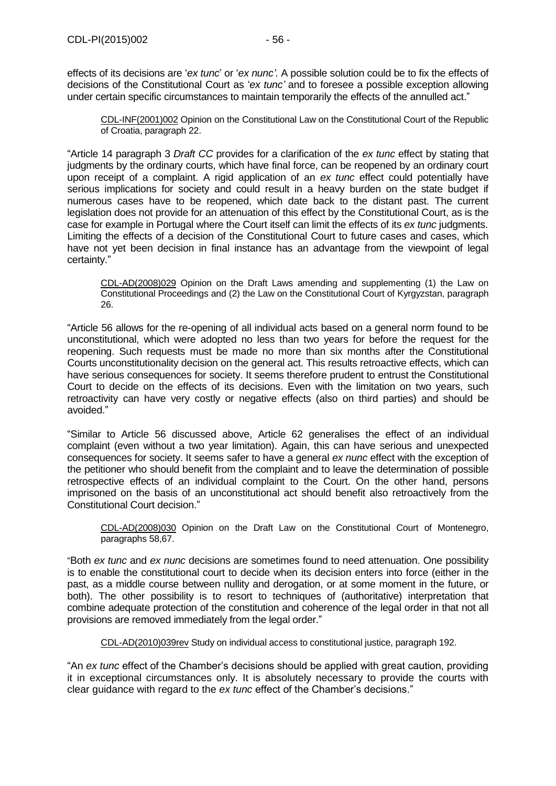effects of its decisions are '*ex tunc*' or '*ex nunc'*. A possible solution could be to fix the effects of decisions of the Constitutional Court as '*ex tunc'* and to foresee a possible exception allowing under certain specific circumstances to maintain temporarily the effects of the annulled act."

[CDL-INF\(2001\)002](file:///C:/Users/gerwien/AppData/Local/Microsoft/Windows/Temporary%20Internet%20Files/docs/2001/CDL-INF(2001)002-e.asp) Opinion on the Constitutional Law on the Constitutional Court of the Republic of Croatia, paragraph 22.

"Article 14 paragraph 3 *Draft CC* provides for a clarification of the *ex tunc* effect by stating that judgments by the ordinary courts, which have final force, can be reopened by an ordinary court upon receipt of a complaint. A rigid application of an *ex tunc* effect could potentially have serious implications for society and could result in a heavy burden on the state budget if numerous cases have to be reopened, which date back to the distant past. The current legislation does not provide for an attenuation of this effect by the Constitutional Court, as is the case for example in Portugal where the Court itself can limit the effects of its *ex tunc* judgments. Limiting the effects of a decision of the Constitutional Court to future cases and cases, which have not yet been decision in final instance has an advantage from the viewpoint of legal certainty."

[CDL-AD\(2008\)029](http://www.venice.coe.int/docs/2008/CDL-AD(2008)029-E.pdf) Opinion on the Draft Laws amending and supplementing (1) the Law on Constitutional Proceedings and (2) the Law on the Constitutional Court of Kyrgyzstan, paragraph 26.

"Article 56 allows for the re-opening of all individual acts based on a general norm found to be unconstitutional, which were adopted no less than two years for before the request for the reopening. Such requests must be made no more than six months after the Constitutional Courts unconstitutionality decision on the general act. This results retroactive effects, which can have serious consequences for society. It seems therefore prudent to entrust the Constitutional Court to decide on the effects of its decisions. Even with the limitation on two years, such retroactivity can have very costly or negative effects (also on third parties) and should be avoided."

"Similar to Article 56 discussed above, Article 62 generalises the effect of an individual complaint (even without a two year limitation). Again, this can have serious and unexpected consequences for society. It seems safer to have a general *ex nunc* effect with the exception of the petitioner who should benefit from the complaint and to leave the determination of possible retrospective effects of an individual complaint to the Court. On the other hand, persons imprisoned on the basis of an unconstitutional act should benefit also retroactively from the Constitutional Court decision."

[CDL-AD\(2008\)030](http://www.venice.coe.int/docs/2008/CDL-AD(2008)030-E.pdf) Opinion on the Draft Law on the Constitutional Court of Montenegro, paragraphs 58,67.

"Both *ex tunc* and *ex nunc* decisions are sometimes found to need attenuation. One possibility is to enable the constitutional court to decide when its decision enters into force (either in the past, as a middle course between nullity and derogation, or at some moment in the future, or both). The other possibility is to resort to techniques of (authoritative) interpretation that combine adequate protection of the constitution and coherence of the legal order in that not all provisions are removed immediately from the legal order."

[CDL-AD\(2010\)039rev](http://www.venice.coe.int/docs/2010/CDL-AD(2010)039rev-E.pdf) Study on individual access to constitutional justice, paragraph 192.

"An *ex tunc* effect of the Chamber's decisions should be applied with great caution, providing it in exceptional circumstances only. It is absolutely necessary to provide the courts with clear guidance with regard to the *ex tunc* effect of the Chamber's decisions."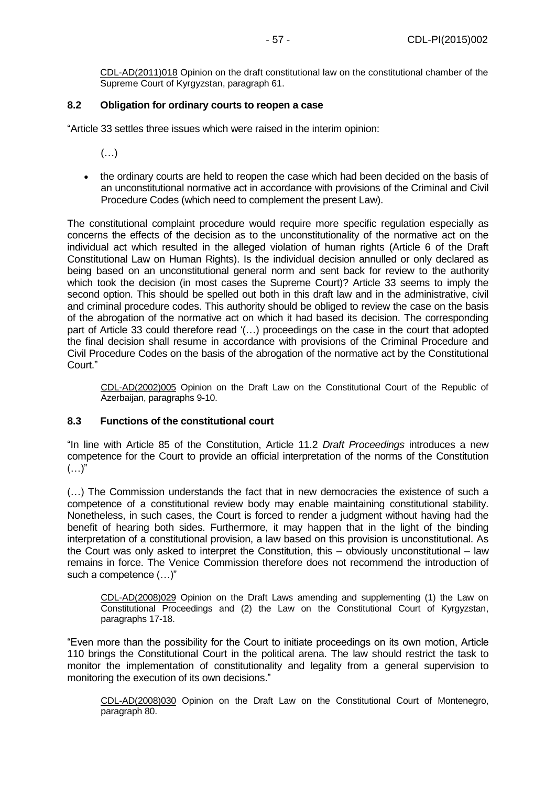CDL-AD(2011)018 Opinion on the draft constitutional law on the constitutional chamber of the Supreme Court of Kyrgyzstan, paragraph 61.

## <span id="page-56-0"></span>**8.2 Obligation for ordinary courts to reopen a case**

"Article 33 settles three issues which were raised in the interim opinion:

- (…)
- the ordinary courts are held to reopen the case which had been decided on the basis of an unconstitutional normative act in accordance with provisions of the Criminal and Civil Procedure Codes (which need to complement the present Law).

The constitutional complaint procedure would require more specific regulation especially as concerns the effects of the decision as to the unconstitutionality of the normative act on the individual act which resulted in the alleged violation of human rights (Article 6 of the Draft Constitutional Law on Human Rights). Is the individual decision annulled or only declared as being based on an unconstitutional general norm and sent back for review to the authority which took the decision (in most cases the Supreme Court)? Article 33 seems to imply the second option. This should be spelled out both in this draft law and in the administrative, civil and criminal procedure codes. This authority should be obliged to review the case on the basis of the abrogation of the normative act on which it had based its decision. The corresponding part of Article 33 could therefore read '(…) proceedings on the case in the court that adopted the final decision shall resume in accordance with provisions of the Criminal Procedure and Civil Procedure Codes on the basis of the abrogation of the normative act by the Constitutional Court."

[CDL-AD\(2002\)005](http://www.venice.coe.int/docs/2002/CDL-AD(2002)005-E.pdf) Opinion on the Draft Law on the Constitutional Court of the Republic of Azerbaijan, paragraphs 9-10.

#### <span id="page-56-1"></span>**8.3 Functions of the constitutional court**

"In line with Article 85 of the Constitution, Article 11.2 *Draft Proceedings* introduces a new competence for the Court to provide an official interpretation of the norms of the Constitution  $(\ldots)$ "

(…) The Commission understands the fact that in new democracies the existence of such a competence of a constitutional review body may enable maintaining constitutional stability. Nonetheless, in such cases, the Court is forced to render a judgment without having had the benefit of hearing both sides. Furthermore, it may happen that in the light of the binding interpretation of a constitutional provision, a law based on this provision is unconstitutional. As the Court was only asked to interpret the Constitution, this – obviously unconstitutional – law remains in force. The Venice Commission therefore does not recommend the introduction of such a competence (…)"

[CDL-AD\(2008\)029](http://www.venice.coe.int/docs/2008/CDL-AD(2008)029-E.pdf) Opinion on the Draft Laws amending and supplementing (1) the Law on Constitutional Proceedings and (2) the Law on the Constitutional Court of Kyrgyzstan, paragraphs 17-18.

"Even more than the possibility for the Court to initiate proceedings on its own motion, Article 110 brings the Constitutional Court in the political arena. The law should restrict the task to monitor the implementation of constitutionality and legality from a general supervision to monitoring the execution of its own decisions."

[CDL-AD\(2008\)030](http://www.venice.coe.int/docs/2008/CDL-AD(2008)030-E.pdf) Opinion on the Draft Law on the Constitutional Court of Montenegro, paragraph 80.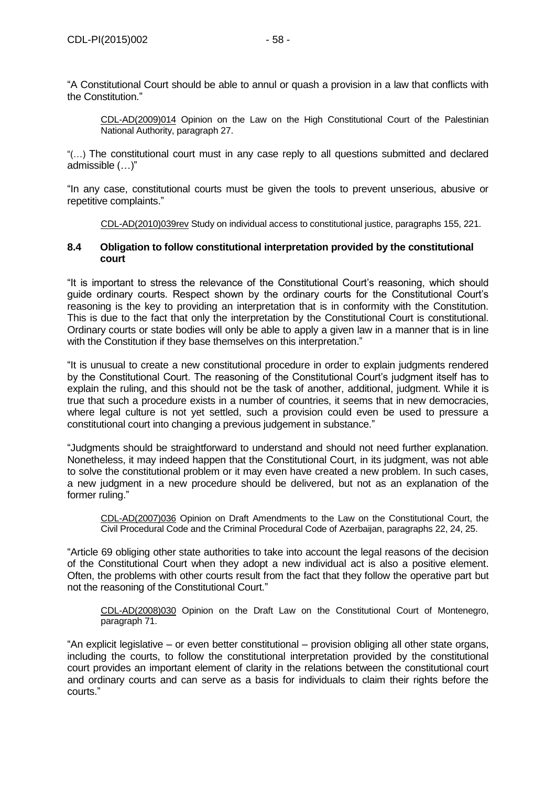"A Constitutional Court should be able to annul or quash a provision in a law that conflicts with the Constitution."

[CDL-AD\(2009\)014](http://www.venice.coe.int/docs/2009/CDL-AD(2009)014-E.pdf) Opinion on the Law on the High Constitutional Court of the Palestinian National Authority, paragraph 27.

"(…) The constitutional court must in any case reply to all questions submitted and declared admissible (…)"

"In any case, constitutional courts must be given the tools to prevent unserious, abusive or repetitive complaints."

[CDL-AD\(2010\)039rev](http://www.venice.coe.int/docs/2010/CDL-AD(2010)039rev-E.pdf) Study on individual access to constitutional justice, paragraphs 155, 221.

#### <span id="page-57-0"></span>**8.4 Obligation to follow constitutional interpretation provided by the constitutional court**

"It is important to stress the relevance of the Constitutional Court's reasoning, which should guide ordinary courts. Respect shown by the ordinary courts for the Constitutional Court's reasoning is the key to providing an interpretation that is in conformity with the Constitution. This is due to the fact that only the interpretation by the Constitutional Court is constitutional. Ordinary courts or state bodies will only be able to apply a given law in a manner that is in line with the Constitution if they base themselves on this interpretation."

"It is unusual to create a new constitutional procedure in order to explain judgments rendered by the Constitutional Court. The reasoning of the Constitutional Court's judgment itself has to explain the ruling, and this should not be the task of another, additional, judgment. While it is true that such a procedure exists in a number of countries, it seems that in new democracies, where legal culture is not yet settled, such a provision could even be used to pressure a constitutional court into changing a previous judgement in substance."

"Judgments should be straightforward to understand and should not need further explanation. Nonetheless, it may indeed happen that the Constitutional Court, in its judgment, was not able to solve the constitutional problem or it may even have created a new problem. In such cases, a new judgment in a new procedure should be delivered, but not as an explanation of the former ruling."

[CDL-AD\(2007\)036](http://www.venice.coe.int/docs/2007/CDL-AD(2007)036-E.pdf) Opinion on Draft Amendments to the Law on the Constitutional Court, the Civil Procedural Code and the Criminal Procedural Code of Azerbaijan, paragraphs 22, 24, 25.

"Article 69 obliging other state authorities to take into account the legal reasons of the decision of the Constitutional Court when they adopt a new individual act is also a positive element. Often, the problems with other courts result from the fact that they follow the operative part but not the reasoning of the Constitutional Court."

[CDL-AD\(2008\)030](http://www.venice.coe.int/docs/2008/CDL-AD(2008)030-E.pdf) Opinion on the Draft Law on the Constitutional Court of Montenegro, paragraph 71.

"An explicit legislative – or even better constitutional – provision obliging all other state organs, including the courts, to follow the constitutional interpretation provided by the constitutional court provides an important element of clarity in the relations between the constitutional court and ordinary courts and can serve as a basis for individuals to claim their rights before the courts."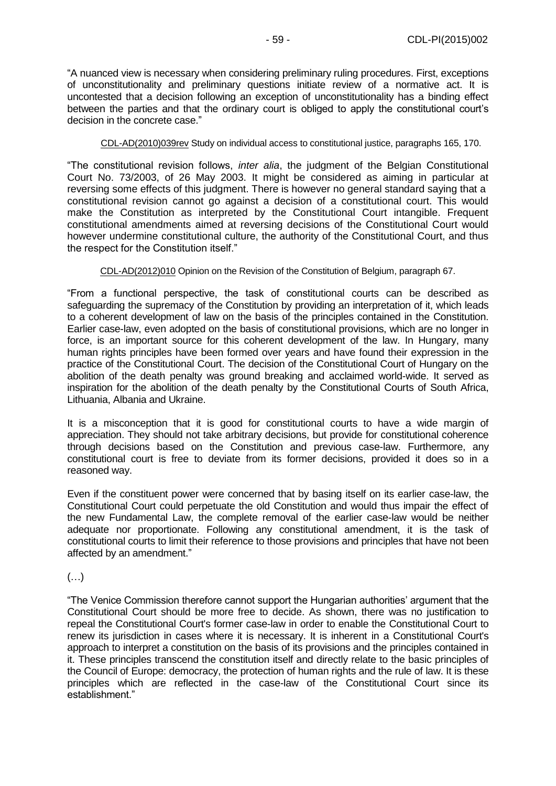"A nuanced view is necessary when considering preliminary ruling procedures. First, exceptions of unconstitutionality and preliminary questions initiate review of a normative act. It is uncontested that a decision following an exception of unconstitutionality has a binding effect between the parties and that the ordinary court is obliged to apply the constitutional court's decision in the concrete case."

#### [CDL-AD\(2010\)039rev](http://www.venice.coe.int/docs/2010/CDL-AD(2010)039rev-E.pdf) Study on individual access to constitutional justice, paragraphs 165, 170.

"The constitutional revision follows, *inter alia*, the judgment of the Belgian Constitutional Court No. 73/2003, of 26 May 2003. It might be considered as aiming in particular at reversing some effects of this judgment. There is however no general standard saying that a constitutional revision cannot go against a decision of a constitutional court. This would make the Constitution as interpreted by the Constitutional Court intangible. Frequent constitutional amendments aimed at reversing decisions of the Constitutional Court would however undermine constitutional culture, the authority of the Constitutional Court, and thus the respect for the Constitution itself."

CDL-AD(2012)010 [Opinion on the Revision of the Constitution of Belgium,](http://www.venice.coe.int/docs/2012/CDL-AD(2012)010-e.pdf) paragraph 67.

"From a functional perspective, the task of constitutional courts can be described as safeguarding the supremacy of the Constitution by providing an interpretation of it, which leads to a coherent development of law on the basis of the principles contained in the Constitution. Earlier case-law, even adopted on the basis of constitutional provisions, which are no longer in force, is an important source for this coherent development of the law. In Hungary, many human rights principles have been formed over years and have found their expression in the practice of the Constitutional Court. The decision of the Constitutional Court of Hungary on the abolition of the death penalty was ground breaking and acclaimed world-wide. It served as inspiration for the abolition of the death penalty by the Constitutional Courts of South Africa, Lithuania, Albania and Ukraine.

It is a misconception that it is good for constitutional courts to have a wide margin of appreciation. They should not take arbitrary decisions, but provide for constitutional coherence through decisions based on the Constitution and previous case-law. Furthermore, any constitutional court is free to deviate from its former decisions, provided it does so in a reasoned way.

Even if the constituent power were concerned that by basing itself on its earlier case-law, the Constitutional Court could perpetuate the old Constitution and would thus impair the effect of the new Fundamental Law, the complete removal of the earlier case-law would be neither adequate nor proportionate. Following any constitutional amendment, it is the task of constitutional courts to limit their reference to those provisions and principles that have not been affected by an amendment."

(…)

"The Venice Commission therefore cannot support the Hungarian authorities' argument that the Constitutional Court should be more free to decide. As shown, there was no justification to repeal the Constitutional Court's former case-law in order to enable the Constitutional Court to renew its jurisdiction in cases where it is necessary. It is inherent in a Constitutional Court's approach to interpret a constitution on the basis of its provisions and the principles contained in it. These principles transcend the constitution itself and directly relate to the basic principles of the Council of Europe: democracy, the protection of human rights and the rule of law. It is these principles which are reflected in the case-law of the Constitutional Court since its establishment."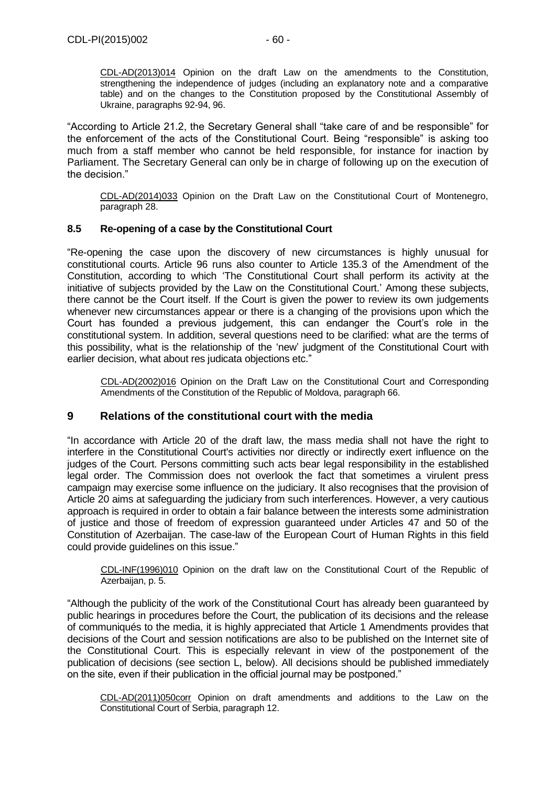CDL-AD(2013)014 Opinion on the draft Law on the amendments to the Constitution, strengthening the independence of judges (including an explanatory note and a comparative table) and on the changes to the Constitution proposed by the Constitutional Assembly of Ukraine, paragraphs 92-94, 96.

"According to Article 21.2, the Secretary General shall "take care of and be responsible" for the enforcement of the acts of the Constitutional Court. Being "responsible" is asking too much from a staff member who cannot be held responsible, for instance for inaction by Parliament. The Secretary General can only be in charge of following up on the execution of the decision."

CDL-AD(2014)033 Opinion on the Draft Law on the Constitutional Court of Montenegro, paragraph 28.

#### <span id="page-59-0"></span>**8.5 Re-opening of a case by the Constitutional Court**

"Re-opening the case upon the discovery of new circumstances is highly unusual for constitutional courts. Article 96 runs also counter to Article 135.3 of the Amendment of the Constitution, according to which 'The Constitutional Court shall perform its activity at the initiative of subjects provided by the Law on the Constitutional Court.' Among these subjects, there cannot be the Court itself. If the Court is given the power to review its own judgements whenever new circumstances appear or there is a changing of the provisions upon which the Court has founded a previous judgement, this can endanger the Court's role in the constitutional system. In addition, several questions need to be clarified: what are the [terms](http://www.venice.coe.int/docs/terms-E.pdf) of this possibility, what is the relationship of the 'new' judgment of the Constitutional Court with earlier decision, what about res judicata objections etc."

[CDL-AD\(2002\)016](http://www.venice.coe.int/docs/2002/CDL-AD(2002)016-E.pdf) Opinion on the Draft Law on the Constitutional Court and Corresponding Amendments of the Constitution of the Republic of Moldova, paragraph 66.

## <span id="page-59-1"></span>**9 Relations of the constitutional court with the media**

"In accordance with Article 20 of the draft law, the mass media shall not have the right to interfere in the Constitutional Court's activities nor directly or indirectly exert influence on the judges of the Court. Persons committing such acts bear legal responsibility in the established legal order. The Commission does not overlook the fact that sometimes a virulent press campaign may exercise some influence on the judiciary. It also recognises that the provision of Article 20 aims at safeguarding the judiciary from such interferences. However, a very cautious approach is required in order to obtain a fair balance between the interests some administration of justice and those of freedom of expression guaranteed under Articles 47 and 50 of the Constitution of Azerbaijan. The case-law of the European Court of Human Rights in this field could provide guidelines on this issue."

[CDL-INF\(1996\)010](http://www.venice.coe.int/docs/1996/CDL-INF(1996)010-E.pdf) Opinion on the draft law on the Constitutional Court of the Republic of Azerbaijan, p. 5.

"Although the publicity of the work of the Constitutional Court has already been guaranteed by public hearings in procedures before the Court, the publication of its decisions and the release of communiqués to the media, it is highly appreciated that Article 1 Amendments provides that decisions of the Court and session notifications are also to be published on the Internet site of the Constitutional Court. This is especially relevant in view of the postponement of the publication of decisions (see section L, below). All decisions should be published immediately on the site, even if their publication in the official journal may be postponed."

CDL-AD(2011)050corr Opinion on draft amendments and additions to the Law on the Constitutional Court of Serbia, paragraph 12.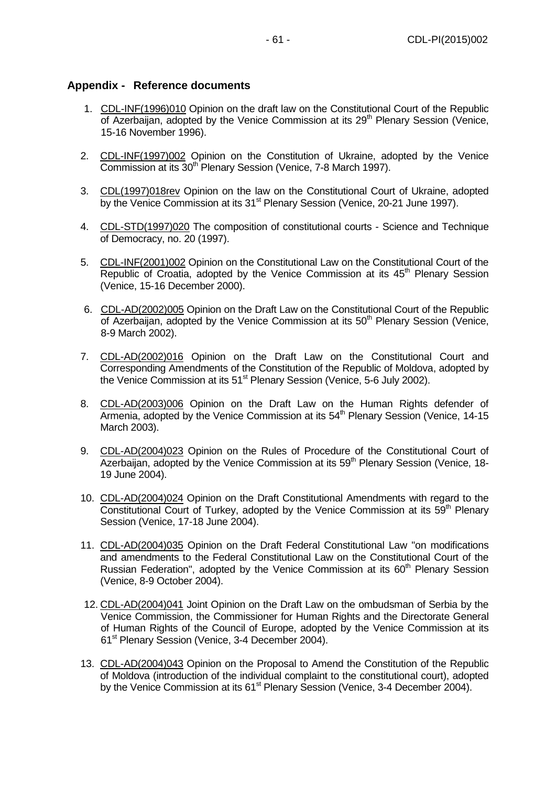# <span id="page-60-0"></span>**Appendix - Reference documents**

- 1. [CDL-INF\(1996\)010](file:///C:/Users/gerwien/AppData/Local/Microsoft/Windows/Temporary%20Internet%20Files/docs/1996/CDL-INF(1996)010-e.asp) Opinion on the draft law on the Constitutional Court of the Republic of Azerbaijan, adopted by the Venice Commission at its 29<sup>th</sup> Plenary Session (Venice, 15-16 November 1996).
- 2. [CDL-INF\(1997\)002](file:///C:/Users/gerwien/AppData/Local/Microsoft/Windows/Temporary%20Internet%20Files/docs/1997/CDL-INF(1997)002-e.asp) Opinion on the Constitution of Ukraine, adopted by the Venice Commission at its 30<sup>th</sup> Plenary Session (Venice, 7-8 March 1997).
- 3. [CDL\(1997\)018rev](file:///C:/Users/gerwien/AppData/Local/Microsoft/Windows/Temporary%20Internet%20Files/docs/1997/CDL(1997)018rev-e.asp) Opinion on the law on the Constitutional Court of Ukraine, adopted by the Venice Commission at its 31<sup>st</sup> Plenary Session (Venice, 20-21 June 1997).
- 4. [CDL-STD\(1997\)020](file:///C:/Users/gerwien/AppData/Local/Microsoft/Windows/Temporary%20Internet%20Files/docs/1997/CDL-STD(1997)020-e.asp) The composition of constitutional courts Science and Technique of Democracy, no. 20 (1997).
- 5. [CDL-INF\(2001\)002](file:///C:/Users/gerwien/AppData/Local/Microsoft/Windows/Temporary%20Internet%20Files/docs/2001/CDL-INF(2001)002-e.asp) Opinion on the Constitutional Law on the Constitutional Court of the Republic of Croatia, adopted by the Venice Commission at its 45<sup>th</sup> Plenary Session (Venice, 15-16 December 2000).
- 6. [CDL-AD\(2002\)005](file:///C:/Users/gerwien/AppData/Local/Microsoft/Windows/Temporary%20Internet%20Files/docs/2002/CDL-AD(2002)005-e.asp) Opinion on the Draft Law on the Constitutional Court of the Republic of Azerbaijan, adopted by the Venice Commission at its  $50<sup>th</sup>$  Plenary Session (Venice, 8-9 March 2002).
- 7. [CDL-AD\(2002\)016](file:///C:/Users/gerwien/AppData/Local/Microsoft/Windows/Temporary%20Internet%20Files/docs/2002/CDL-AD(2002)016-e.asp) Opinion on the Draft Law on the Constitutional Court and Corresponding Amendments of the Constitution of the Republic of Moldova, adopted by the Venice Commission at its 51<sup>st</sup> Plenary Session (Venice, 5-6 July 2002).
- 8. [CDL-AD\(2003\)006](file:///C:/Users/gerwien/AppData/Local/Microsoft/Windows/Temporary%20Internet%20Files/docs/2003/CDL-AD(2003)006-e.asp) Opinion on the Draft Law on the Human Rights defender of Armenia, adopted by the Venice Commission at its  $54<sup>th</sup>$  Plenary Session (Venice, 14-15 March 2003).
- 9. [CDL-AD\(2004\)023](http://www.venice.coe.int/docs/2004/CDL-AD(2004)023-E.pdf) Opinion on the Rules of Procedure of the Constitutional Court of Azerbaijan, adopted by the Venice Commission at its  $59<sup>th</sup>$  Plenary Session (Venice, 18-19 June 2004).
- 10. [CDL-AD\(2004\)024](file:///C:/Users/gerwien/AppData/Local/Microsoft/Windows/Temporary%20Internet%20Files/docs/2004/CDL-AD(2004)024-e.asp) Opinion on the Draft Constitutional Amendments with regard to the Constitutional Court of Turkey, adopted by the Venice Commission at its  $59<sup>th</sup>$  Plenary Session (Venice, 17-18 June 2004).
- 11. [CDL-AD\(2004\)035](file:///C:/Users/gerwien/AppData/Local/Microsoft/Windows/Temporary%20Internet%20Files/docs/2004/CDL-AD(2004)035-e.asp) Opinion on the Draft Federal Constitutional Law "on modifications and amendments to the Federal Constitutional Law on the Constitutional Court of the Russian Federation", adopted by the Venice Commission at its  $60<sup>th</sup>$  Plenary Session (Venice, 8-9 October 2004).
- 12. [CDL-AD\(2004\)041](file:///C:/Users/gerwien/AppData/Local/Microsoft/Windows/Temporary%20Internet%20Files/docs/2004/CDL-AD(2004)041-e.asp) Joint Opinion on the Draft Law on the ombudsman of Serbia by the Venice Commission, the Commissioner for Human Rights and the Directorate General of Human Rights of the Council of Europe, adopted by the Venice Commission at its 61<sup>st</sup> Plenary Session (Venice, 3-4 December 2004).
- 13. [CDL-AD\(2004\)043](file:///C:/Users/gerwien/AppData/Local/Microsoft/Windows/Temporary%20Internet%20Files/docs/2004/CDL-AD(2004)043-e.asp) Opinion on the Proposal to Amend the Constitution of the Republic of Moldova (introduction of the individual complaint to the constitutional court), adopted by the Venice Commission at its 61<sup>st</sup> Plenary Session (Venice, 3-4 December 2004).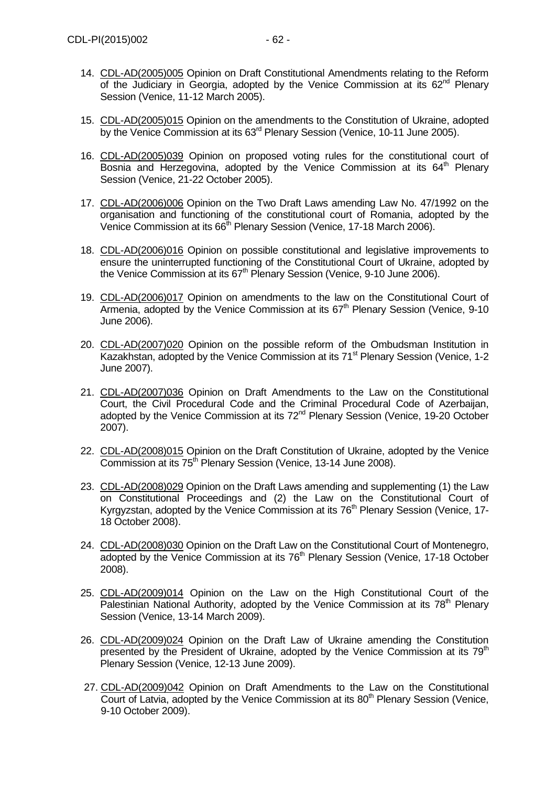- 14. [CDL-AD\(2005\)005](file:///C:/Users/gerwien/AppData/Local/Microsoft/Windows/Temporary%20Internet%20Files/docs/2005/CDL-AD(2005)005-e.asp) Opinion on Draft Constitutional Amendments relating to the Reform of the Judiciary in Georgia, adopted by the Venice Commission at its  $62<sup>nd</sup>$  Plenary Session (Venice, 11-12 March 2005).
- 15. [CDL-AD\(2005\)015](file:///C:/Users/gerwien/AppData/Local/Microsoft/Windows/Temporary%20Internet%20Files/docs/2005/CDL-AD(2005)015-e.asp) Opinion on the amendments to the Constitution of Ukraine, adopted by the Venice Commission at its 63<sup>rd</sup> Plenary Session (Venice, 10-11 June 2005).
- 16. [CDL-AD\(2005\)039](file:///C:/Users/gerwien/AppData/Local/Microsoft/Windows/Temporary%20Internet%20Files/docs/2005/CDL-AD(2005)039-e.asp) Opinion on proposed voting rules for the constitutional court of Bosnia and Herzegovina, adopted by the Venice Commission at its  $64<sup>th</sup>$  Plenary Session (Venice, 21-22 October 2005).
- 17. [CDL-AD\(2006\)006](file:///C:/Users/gerwien/AppData/Local/Microsoft/Windows/Temporary%20Internet%20Files/docs/2006/CDL-AD(2006)006-e.asp) Opinion on the Two Draft Laws amending Law No. 47/1992 on the organisation and functioning of the constitutional court of Romania, adopted by the Venice Commission at its 66<sup>th</sup> Plenary Session (Venice, 17-18 March 2006).
- 18. [CDL-AD\(2006\)016](file:///C:/Users/gerwien/AppData/Local/Microsoft/Windows/Temporary%20Internet%20Files/docs/2006/CDL-AD(2006)016-e.asp) Opinion on possible constitutional and legislative improvements to ensure the uninterrupted functioning of the Constitutional Court of Ukraine, adopted by the Venice Commission at its  $67<sup>th</sup>$  Plenary Session (Venice, 9-10 June 2006).
- 19. [CDL-AD\(2006\)017](file:///C:/Users/gerwien/AppData/Local/Microsoft/Windows/Temporary%20Internet%20Files/docs/2006/CDL-AD(2006)017-e.asp) Opinion on amendments to the law on the Constitutional Court of Armenia, adopted by the Venice Commission at its 67<sup>th</sup> Plenary Session (Venice, 9-10 June 2006).
- 20. [CDL-AD\(2007\)020](http://www.venice.coe.int/docs/2007/CDL-AD(2007)020-E.pdf) Opinion on the possible reform of the Ombudsman Institution in Kazakhstan, adopted by the Venice Commission at its 71<sup>st</sup> Plenary Session (Venice, 1-2 June 2007).
- 21. [CDL-AD\(2007\)036](http://www.venice.coe.int/docs/2007/CDL-AD(2007)036-E.pdf) Opinion on Draft Amendments to the Law on the Constitutional Court, the Civil Procedural Code and the Criminal Procedural Code of Azerbaijan, adopted by the Venice Commission at its 72<sup>nd</sup> Plenary Session (Venice, 19-20 October 2007).
- 22. [CDL-AD\(2008\)015](http://www.venice.coe.int/docs/2008/CDL-AD(2008)015-E.pdf) Opinion on the Draft Constitution of Ukraine, adopted by the Venice Commission at its 75<sup>th</sup> Plenary Session (Venice, 13-14 June 2008).
- 23. [CDL-AD\(2008\)029](http://www.venice.coe.int/docs/2008/CDL-AD(2008)029-E.pdf) Opinion on the Draft Laws amending and supplementing (1) the Law on Constitutional Proceedings and (2) the Law on the Constitutional Court of Kyrgyzstan, adopted by the Venice Commission at its  $76<sup>th</sup>$  Plenary Session (Venice, 17-18 October 2008).
- 24. [CDL-AD\(2008\)030](http://www.venice.coe.int/docs/2008/CDL-AD(2008)030-E.pdf) Opinion on the Draft Law on the Constitutional Court of Montenegro, adopted by the Venice Commission at its 76<sup>th</sup> Plenary Session (Venice, 17-18 October 2008).
- 25. [CDL-AD\(2009\)014](http://www.venice.coe.int/docs/2009/CDL-AD(2009)014-f.pdf) Opinion on the Law on the High Constitutional Court of the Palestinian National Authority, adopted by the Venice Commission at its 78<sup>th</sup> Plenary Session (Venice, 13-14 March 2009).
- 26. [CDL-AD\(2009\)024](http://www.venice.coe.int/docs/2009/CDL-AD(2009)024-E.pdf) Opinion on the Draft Law of Ukraine amending the Constitution presented by the President of Ukraine, adopted by the Venice Commission at its  $79<sup>th</sup>$ Plenary Session (Venice, 12-13 June 2009).
- 27. [CDL-AD\(2009\)042](http://www.venice.coe.int/docs/2009/CDL-AD(2009)042-E.pdf) Opinion on Draft Amendments to the Law on the Constitutional Court of Latvia, adopted by the Venice Commission at its 80<sup>th</sup> Plenary Session (Venice, 9-10 October 2009).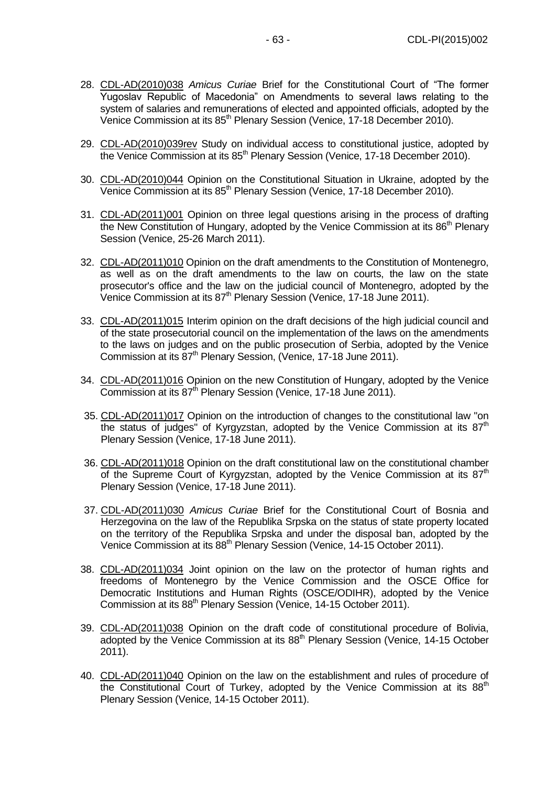- 28. [CDL-AD\(2010\)038](http://www.venice.coe.int/docs/2010/CDL-AD(2010)038-E.pdf) *Amicus Curiae* Brief for the Constitutional Court of "The former Yugoslav Republic of Macedonia" on Amendments to several laws relating to the system of salaries and remunerations of elected and appointed officials, adopted by the Venice Commission at its 85<sup>th</sup> Plenary Session (Venice, 17-18 December 2010).
- 29. [CDL-AD\(2010\)039rev](http://www.venice.coe.int/docs/2010/CDL-AD(2010)039rev-E.pdf) Study on individual access to constitutional justice, adopted by the Venice Commission at its 85<sup>th</sup> Plenary Session (Venice, 17-18 December 2010).
- 30. CDL-AD(2010)044 Opinion on the Constitutional Situation in Ukraine, adopted by the Venice Commission at its 85<sup>th</sup> Plenary Session (Venice, 17-18 December 2010).
- 31. [CDL-AD\(2011\)001](http://www.venice.coe.int/docs/2011/CDL-AD(2011)001-e.pdf) Opinion on three legal questions arising in the process of drafting the New Constitution of Hungary, adopted by the Venice Commission at its  $86<sup>th</sup>$  Plenary Session (Venice, 25-26 March 2011).
- 32. CDL-AD(2011)010 Opinion on the draft amendments to the Constitution of Montenegro, as well as on the draft amendments to the law on courts, the law on the state prosecutor's office and the law on the judicial council of Montenegro, adopted by the Venice Commission at its 87<sup>th</sup> Plenary Session (Venice, 17-18 June 2011).
- 33. CDL-AD(2011)015 [Interim opinion on the draft decisions of the high judicial council and](http://www.venice.coe.int/docs/2011/CDL-AD(2011)015-e.pdf)  [of the state prosecutorial council on the implementation of the laws on the amendments](http://www.venice.coe.int/docs/2011/CDL-AD(2011)015-e.pdf)  [to the laws on judges and on the public prosecution of Serbia,](http://www.venice.coe.int/docs/2011/CDL-AD(2011)015-e.pdf) adopted by the Venice Commission at its 87<sup>th</sup> [Plenary Session, \(Venice, 17-18 June 2011\).](http://www.venice.coe.int/docs/2011/CDL-AD(2011)015-e.pdf)
- 34. CDL-AD(2011)016 [Opinion on the new Constitution of Hungary,](http://www.venice.coe.int/docs/2011/CDL-AD(2011)016-e.pdf) adopted by the Venice Commission at its 87<sup>th</sup> [Plenary Session \(Venice, 17-18 June 2011\).](http://www.venice.coe.int/docs/2011/CDL-AD(2011)016-e.pdf)
- 35. CDL-AD(2011)017 Opinion on the introduction of changes to the constitutional law "on the status of judges" of Kyrgyzstan, adopted by the Venice Commission at its  $87<sup>th</sup>$ Plenary Session (Venice, 17-18 June 2011).
- 36. CDL-AD(2011)018 Opinion on the draft constitutional law on the constitutional chamber of the Supreme Court of Kyrgyzstan, adopted by the Venice Commission at its  $87<sup>th</sup>$ Plenary Session (Venice, 17-18 June 2011).
- 37. CDL-AD(2011)030 *Amicus Curiae* Brief for the Constitutional Court of Bosnia and Herzegovina on the law of the Republika Srpska on the status of state property located on the territory of the Republika Srpska and under the disposal ban, adopted by the Venice Commission at its 88<sup>th</sup> Plenary Session (Venice, 14-15 October 2011).
- 38. CDL-AD(2011)034 Joint opinion on the law on the protector of human rights and freedoms of Montenegro by the Venice Commission and the OSCE Office for Democratic Institutions and Human Rights (OSCE/ODIHR), adopted by the Venice Commission at its 88<sup>th</sup> Plenary Session (Venice, 14-15 October 2011).
- 39. CDL-AD(2011)038 Opinion on the draft code of constitutional procedure of Bolivia, adopted by the Venice Commission at its 88<sup>th</sup> Plenary Session (Venice, 14-15 October 2011).
- 40. CDL-AD(2011)040 Opinion on the law on the establishment and rules of procedure of the Constitutional Court of Turkey, adopted by the Venice Commission at its  $88<sup>th</sup>$ Plenary Session (Venice, 14-15 October 2011).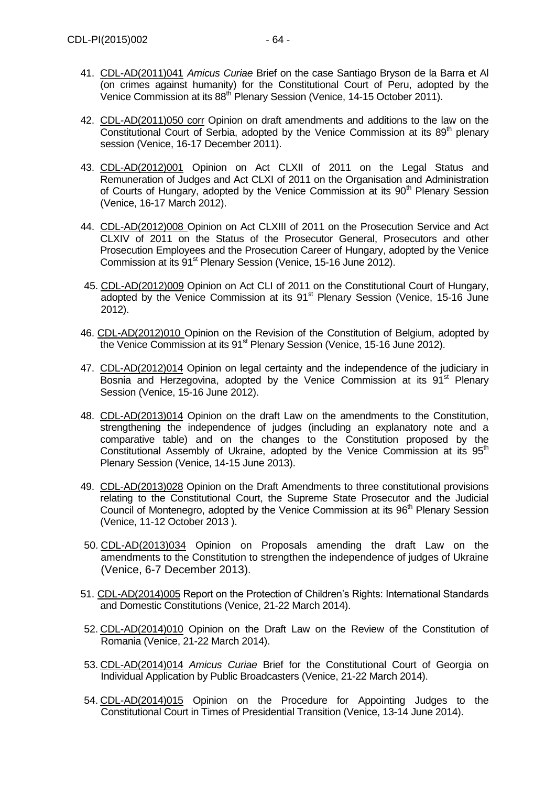- 41. CDL-AD(2011)041 *Amicus Curiae* Brief on the case Santiago Bryson de la Barra et Al (on crimes against humanity) for the Constitutional Court of Peru, adopted by the Venice Commission at its 88<sup>th</sup> Plenary Session (Venice, 14-15 October 2011).
- 42. CDL-AD(2011)050 corr Opinion on draft amendments and additions to the law on the Constitutional Court of Serbia, adopted by the Venice Commission at its  $89<sup>th</sup>$  plenary session (Venice, 16-17 December 2011).
- 43. CDL-AD(2012)001 Opinion on Act CLXII of 2011 on the Legal Status and Remuneration of Judges and Act CLXI of 2011 on the Organisation and Administration of Courts of Hungary, adopted by the Venice Commission at its 90<sup>th</sup> Plenary Session (Venice, 16-17 March 2012).
- 44. CDL-AD(2012)008 [Opinion on Act CLXIII of 2011 on the Prosecution Service and Act](http://www.venice.coe.int/docs/2012/CDL-AD(2012)008-e.pdf)  [CLXIV of 2011 on the Status of the Prosecutor General, Prosecutors and other](http://www.venice.coe.int/docs/2012/CDL-AD(2012)008-e.pdf)  [Prosecution Employees and the Prosecution Career of Hungary, adopted by the Venice](http://www.venice.coe.int/docs/2012/CDL-AD(2012)008-e.pdf)  Commission at its 91<sup>st</sup> [Plenary Session \(Venice, 15-16 June 2012\).](http://www.venice.coe.int/docs/2012/CDL-AD(2012)008-e.pdf)
- 45. CDL-AD(2012)009 [Opinion on Act CLI of 2011 on the Constitutional Court of Hungary,](http://www.venice.coe.int/docs/2012/CDL-AD(2012)009-e.pdf) adopted by the Venice Commission at its  $91<sup>st</sup>$  Plenary Session (Venice, 15-16 June [2012\).](http://www.venice.coe.int/docs/2012/CDL-AD(2012)009-e.pdf)
- 46. CDL-AD(2012)010 [Opinion on the Revision of the Constitution of Belgium,](http://www.venice.coe.int/docs/2012/CDL-AD(2012)010-e.pdf) adopted by the Venice Commission at its 91<sup>st</sup> [Plenary Session \(Venice, 15-16 June 2012\).](http://www.venice.coe.int/docs/2012/CDL-AD(2012)010-e.pdf)
- 47. CDL-AD(2012)014 Opinion on legal certainty and the independence of the judiciary in Bosnia and Herzegovina, adopted by the Venice Commission at its 91<sup>st</sup> Plenary Session (Venice, 15-16 June 2012).
- 48. CDL-AD(2013)014 Opinion on the draft Law on the amendments to the Constitution, strengthening the independence of judges (including an explanatory note and a comparative table) and on the changes to the Constitution proposed by the Constitutional Assembly of Ukraine, adopted by the Venice Commission at its  $95<sup>th</sup>$ Plenary Session (Venice, 14-15 June 2013).
- 49. CDL-AD(2013)028 Opinion on the Draft Amendments to three constitutional provisions relating to the Constitutional Court, the Supreme State Prosecutor and the Judicial Council of Montenegro, adopted by the Venice Commission at its 96<sup>th</sup> Plenary Session (Venice, 11-12 October 2013 ).
- 50. CDL-AD(2013)034 Opinion on Proposals amending the draft Law on the amendments to the Constitution to strengthen the independence of judges of Ukraine (Venice, 6-7 December 2013).
- 51. CDL-AD(2014)005 Report on the Protection of Children's Rights: International Standards and Domestic Constitutions (Venice, 21-22 March 2014).
- 52. CDL-AD(2014)010 Opinion on the Draft Law on the Review of the Constitution of Romania (Venice, 21-22 March 2014).
- 53. CDL-AD(2014)014 *Amicus Curiae* Brief for the Constitutional Court of Georgia on Individual Application by Public Broadcasters (Venice, 21-22 March 2014).
- 54. CDL-AD(2014)015 Opinion on the Procedure for Appointing Judges to the Constitutional Court in Times of Presidential Transition (Venice, 13-14 June 2014).